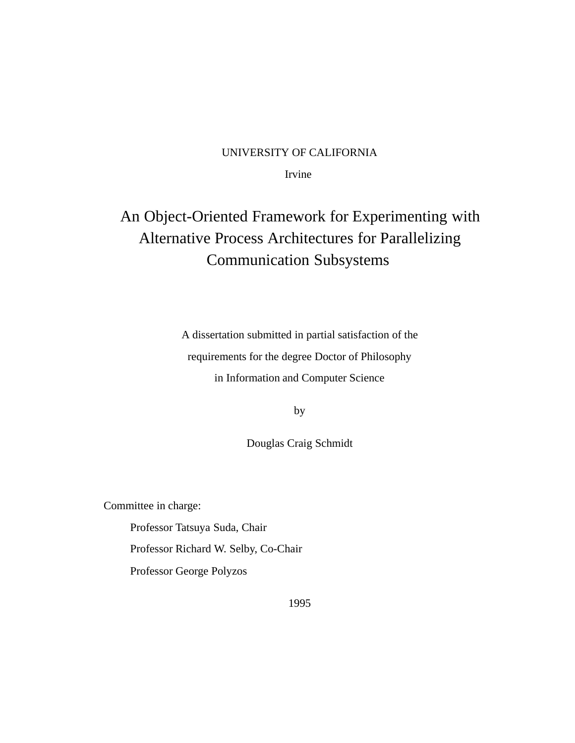#### UNIVERSITY OF CALIFORNIA

Irvine

### An Object-Oriented Framework for Experimenting with Alternative Process Architectures for Parallelizing Communication Subsystems

A dissertation submitted in partial satisfaction of the requirements for the degree Doctor of Philosophy in Information and Computer Science

by

Douglas Craig Schmidt

Committee in charge:

Professor Tatsuya Suda, Chair

Professor Richard W. Selby, Co-Chair

Professor George Polyzos

1995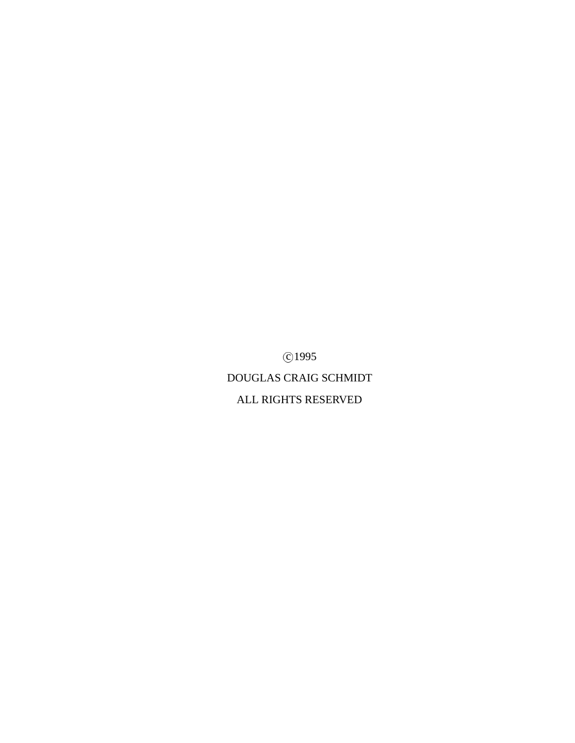c 1995

DOUGLAS CRAIG SCHMIDT ALL RIGHTS RESERVED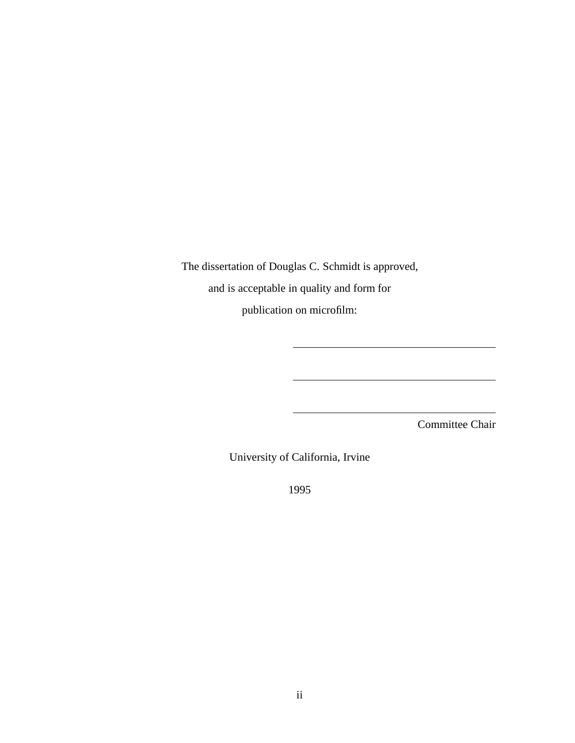The dissertation of Douglas C. Schmidt is approved, and is acceptable in quality and form for publication on microfilm:

Committee Chair

University of California, Irvine

1995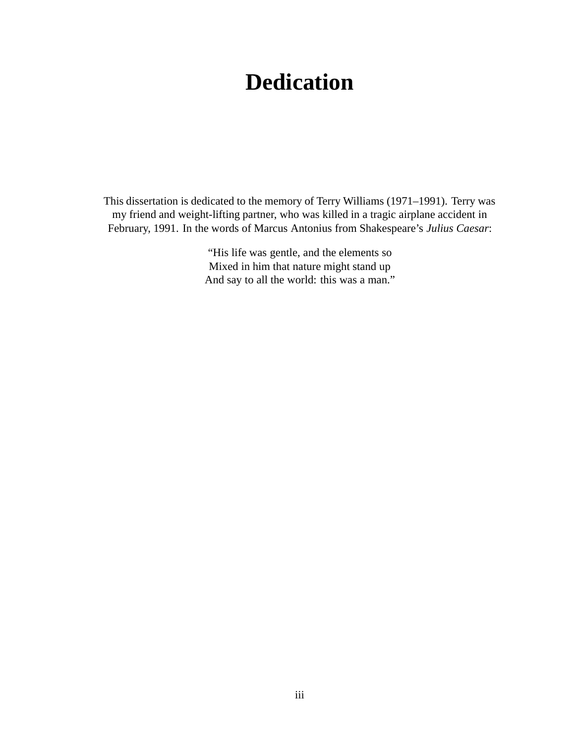# **Dedication**

This dissertation is dedicated to the memory of Terry Williams (1971–1991). Terry was my friend and weight-lifting partner, who was killed in a tragic airplane accident in February, 1991. In the words of Marcus Antonius from Shakespeare's *Julius Caesar*:

> "His life was gentle, and the elements so Mixed in him that nature might stand up And say to all the world: this was a man."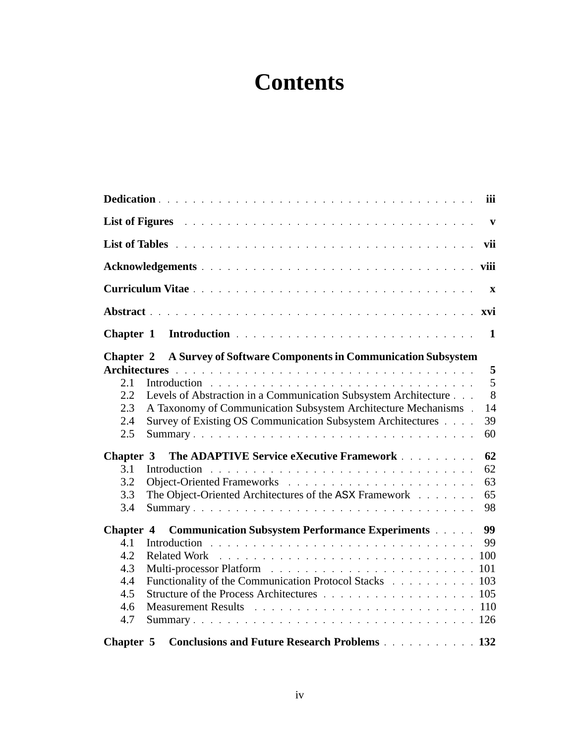# **Contents**

|                                                            |                                                                                                                                                                                                                                | iii                           |  |  |  |  |
|------------------------------------------------------------|--------------------------------------------------------------------------------------------------------------------------------------------------------------------------------------------------------------------------------|-------------------------------|--|--|--|--|
|                                                            | List of Figures and a series are a series and a series and a series and a series of the series of the series of the series of the series of the series of the series of the series of the series of the series of the series o | $\mathbf{v}$                  |  |  |  |  |
|                                                            |                                                                                                                                                                                                                                |                               |  |  |  |  |
|                                                            |                                                                                                                                                                                                                                |                               |  |  |  |  |
|                                                            |                                                                                                                                                                                                                                | $\mathbf{X}$                  |  |  |  |  |
|                                                            |                                                                                                                                                                                                                                |                               |  |  |  |  |
| Chapter 1                                                  |                                                                                                                                                                                                                                | $\mathbf 1$                   |  |  |  |  |
| <b>Chapter 2</b>                                           | A Survey of Software Components in Communication Subsystem                                                                                                                                                                     |                               |  |  |  |  |
| 2.1<br>2.2<br>2.3<br>2.4<br>2.5                            | Levels of Abstraction in a Communication Subsystem Architecture<br>A Taxonomy of Communication Subsystem Architecture Mechanisms .<br>Survey of Existing OS Communication Subsystem Architectures                              | 5<br>5<br>8<br>14<br>39<br>60 |  |  |  |  |
| Chapter 3<br>3.1<br>3.2<br>3.3<br>3.4                      | The ADAPTIVE Service eXecutive Framework<br>The Object-Oriented Architectures of the ASX Framework<br>Summary                                                                                                                  | 62<br>62<br>63<br>65<br>98    |  |  |  |  |
| Chapter 4<br>4.1<br>4.2<br>4.3<br>4.4<br>4.5<br>4.6<br>4.7 | <b>Communication Subsystem Performance Experiments Algebra</b><br>Functionality of the Communication Protocol Stacks 103<br>Structure of the Process Architectures 105                                                         | 99<br>99                      |  |  |  |  |
| Chapter 5                                                  | <b>Conclusions and Future Research Problems</b> 132                                                                                                                                                                            |                               |  |  |  |  |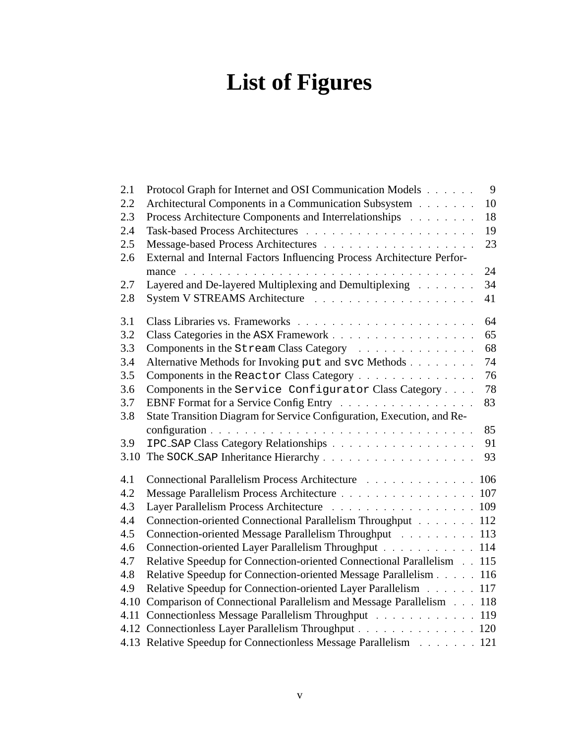# **List of Figures**

| 2.1  | 9<br>Protocol Graph for Internet and OSI Communication Models          |
|------|------------------------------------------------------------------------|
| 2.2  | 10<br>Architectural Components in a Communication Subsystem            |
| 2.3  | 18<br>Process Architecture Components and Interrelationships           |
| 2.4  | 19                                                                     |
| 2.5  | 23                                                                     |
| 2.6  | External and Internal Factors Influencing Process Architecture Perfor- |
|      | 24<br>mance                                                            |
| 2.7  | Layered and De-layered Multiplexing and Demultiplexing<br>34           |
| 2.8  | 41                                                                     |
| 3.1  | 64                                                                     |
| 3.2  | 65                                                                     |
| 3.3  | 68<br>Components in the Stream Class Category                          |
| 3.4  | 74<br>Alternative Methods for Invoking put and svc Methods             |
| 3.5  | 76<br>Components in the Reactor Class Category                         |
| 3.6  | Components in the Service Configurator Class Category<br>78            |
| 3.7  | EBNF Format for a Service Config Entry<br>83                           |
| 3.8  | State Transition Diagram for Service Configuration, Execution, and Re- |
|      | 85                                                                     |
| 3.9  | 91                                                                     |
| 3.10 | 93                                                                     |
| 4.1  | Connectional Parallelism Process Architecture 106                      |
| 4.2  | Message Parallelism Process Architecture 107                           |
| 4.3  | Layer Parallelism Process Architecture 109                             |
| 4.4  | Connection-oriented Connectional Parallelism Throughput 112            |
| 4.5  | Connection-oriented Message Parallelism Throughput 113                 |
| 4.6  | Connection-oriented Layer Parallelism Throughput 114                   |
| 4.7  | Relative Speedup for Connection-oriented Connectional Parallelism 115  |
| 4.8  | Relative Speedup for Connection-oriented Message Parallelism 116       |
| 4.9  | Relative Speedup for Connection-oriented Layer Parallelism 117         |
| 4.10 | Comparison of Connectional Parallelism and Message Parallelism 118     |
| 4.11 | Connectionless Message Parallelism Throughput 119                      |
|      | 4.12 Connectionless Layer Parallelism Throughput 120                   |
|      | 4.13 Relative Speedup for Connectionless Message Parallelism 121       |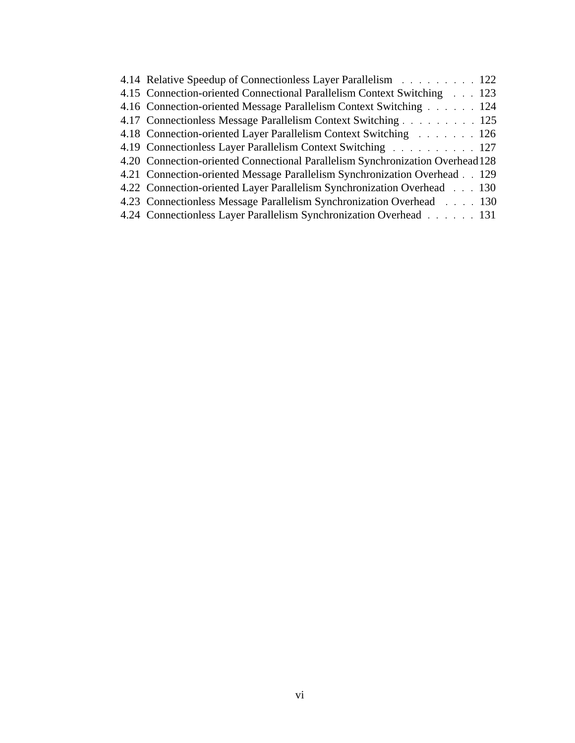| 4.14 Relative Speedup of Connectionless Layer Parallelism 122                  |
|--------------------------------------------------------------------------------|
| 4.15 Connection-oriented Connectional Parallelism Context Switching 1.1.123    |
| 4.16 Connection-oriented Message Parallelism Context Switching 124             |
| 4.17 Connectionless Message Parallelism Context Switching 125                  |
| 4.18 Connection-oriented Layer Parallelism Context Switching 126               |
| 4.19 Connectionless Layer Parallelism Context Switching 127                    |
| 4.20 Connection-oriented Connectional Parallelism Synchronization Overhead 128 |
| 4.21 Connection-oriented Message Parallelism Synchronization Overhead 129      |
| 4.22 Connection-oriented Layer Parallelism Synchronization Overhead 1.130      |
| 4.23 Connectionless Message Parallelism Synchronization Overhead 130           |
| 4.24 Connectionless Layer Parallelism Synchronization Overhead 131             |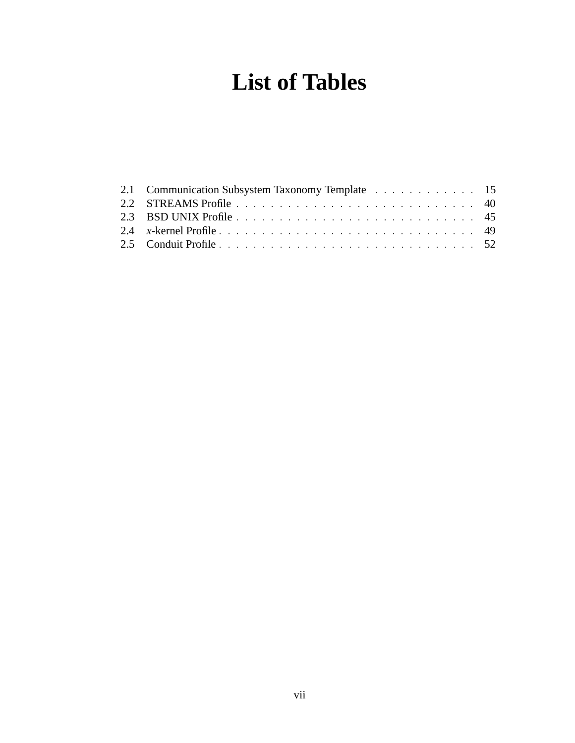# **List of Tables**

| 2.3 BSD UNIX Profile expansion of the contract of the state of the state of the state of the state of the state of the state of the state of the state of the state of the state of the state of the state of the state of the |  |
|--------------------------------------------------------------------------------------------------------------------------------------------------------------------------------------------------------------------------------|--|
| 2.4 x-kernel Profile entertainment and the state of the state of the state of the state of the state of the state of the state of the state of the state of the state of the state of the state of the state of the state of t |  |
|                                                                                                                                                                                                                                |  |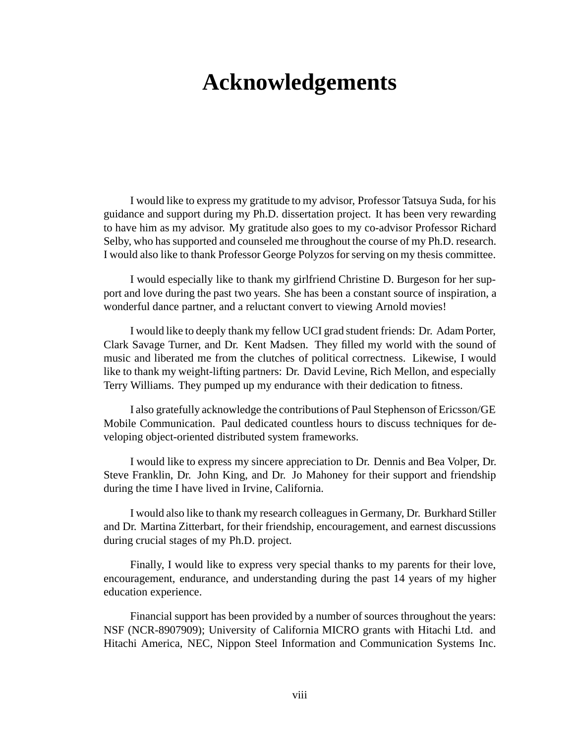## **Acknowledgements**

I would like to express my gratitude to my advisor, Professor Tatsuya Suda, for his guidance and support during my Ph.D. dissertation project. It has been very rewarding to have him as my advisor. My gratitude also goes to my co-advisor Professor Richard Selby, who has supported and counseled me throughout the course of my Ph.D. research. I would also like to thank Professor George Polyzos for serving on my thesis committee.

I would especially like to thank my girlfriend Christine D. Burgeson for her support and love during the past two years. She has been a constant source of inspiration, a wonderful dance partner, and a reluctant convert to viewing Arnold movies!

I would like to deeply thank my fellow UCI grad student friends: Dr. Adam Porter, Clark Savage Turner, and Dr. Kent Madsen. They filled my world with the sound of music and liberated me from the clutches of political correctness. Likewise, I would like to thank my weight-lifting partners: Dr. David Levine, Rich Mellon, and especially Terry Williams. They pumped up my endurance with their dedication to fitness.

I also gratefully acknowledge the contributions of Paul Stephenson of Ericsson/GE Mobile Communication. Paul dedicated countless hours to discuss techniques for developing object-oriented distributed system frameworks.

I would like to express my sincere appreciation to Dr. Dennis and Bea Volper, Dr. Steve Franklin, Dr. John King, and Dr. Jo Mahoney for their support and friendship during the time I have lived in Irvine, California.

I would also like to thank my research colleagues in Germany, Dr. Burkhard Stiller and Dr. Martina Zitterbart, for their friendship, encouragement, and earnest discussions during crucial stages of my Ph.D. project.

Finally, I would like to express very special thanks to my parents for their love, encouragement, endurance, and understanding during the past 14 years of my higher education experience.

Financial support has been provided by a number of sources throughout the years: NSF (NCR-8907909); University of California MICRO grants with Hitachi Ltd. and Hitachi America, NEC, Nippon Steel Information and Communication Systems Inc.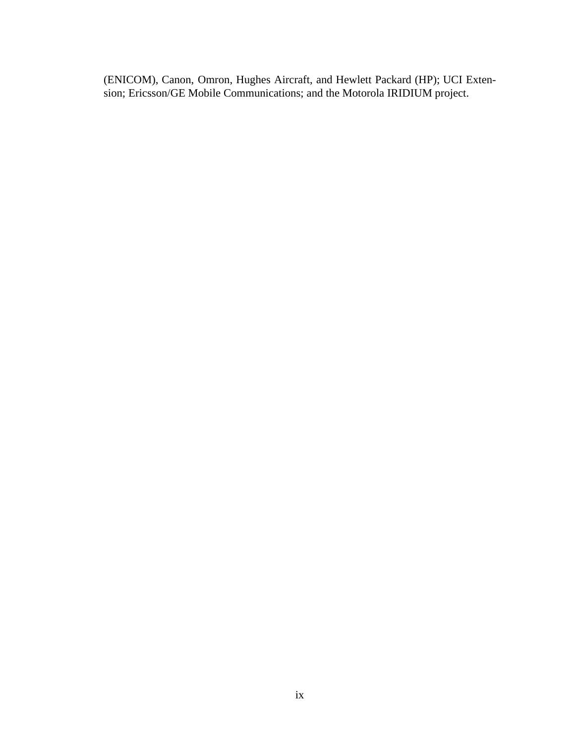(ENICOM), Canon, Omron, Hughes Aircraft, and Hewlett Packard (HP); UCI Extension; Ericsson/GE Mobile Communications; and the Motorola IRIDIUM project.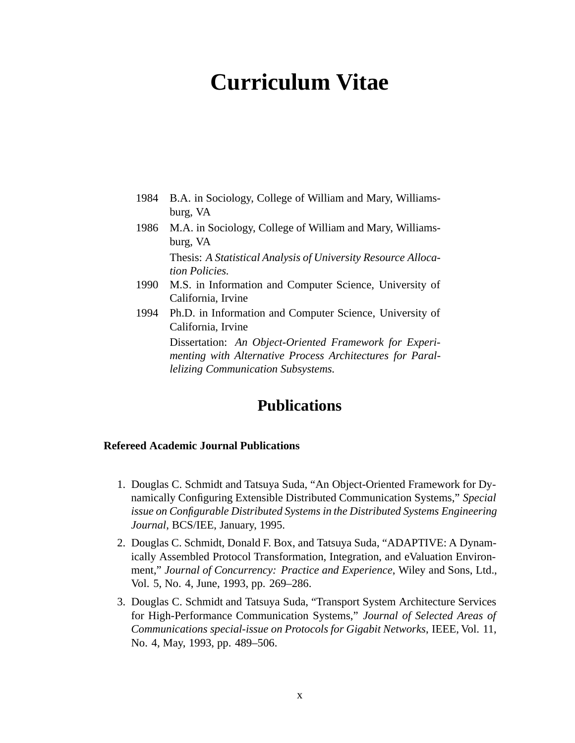# **Curriculum Vitae**

- 1984 B.A. in Sociology, College of William and Mary, Williamsburg, VA
- 1986 M.A. in Sociology, College of William and Mary, Williamsburg, VA

Thesis: *A Statistical Analysis of University Resource Allocation Policies.*

- 1990 M.S. in Information and Computer Science, University of California, Irvine
- 1994 Ph.D. in Information and Computer Science, University of California, Irvine

Dissertation: *An Object-Oriented Framework for Experimenting with Alternative Process Architectures for Parallelizing Communication Subsystems.*

### **Publications**

#### **Refereed Academic Journal Publications**

- 1. Douglas C. Schmidt and Tatsuya Suda, "An Object-Oriented Framework for Dynamically Configuring Extensible Distributed Communication Systems," *Special issue on Configurable Distributed Systems in the Distributed Systems Engineering Journal*, BCS/IEE, January, 1995.
- 2. Douglas C. Schmidt, Donald F. Box, and Tatsuya Suda, "ADAPTIVE: A Dynamically Assembled Protocol Transformation, Integration, and eValuation Environment," *Journal of Concurrency: Practice and Experience*, Wiley and Sons, Ltd., Vol. 5, No. 4, June, 1993, pp. 269–286.
- 3. Douglas C. Schmidt and Tatsuya Suda, "Transport System Architecture Services for High-Performance Communication Systems," *Journal of Selected Areas of Communications special-issue on Protocols for Gigabit Networks*, IEEE, Vol. 11, No. 4, May, 1993, pp. 489–506.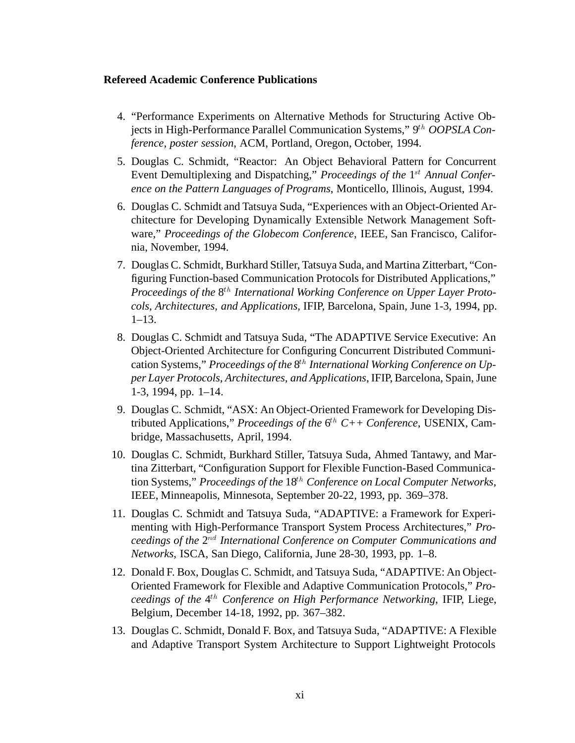#### **Refereed Academic Conference Publications**

- 4. "Performance Experiments on Alternative Methods for Structuring Active Objects in High-Performance Parallel Communication Systems," 9th *OOPSLA Conference, poster session*, ACM, Portland, Oregon, October, 1994.
- 5. Douglas C. Schmidt, "Reactor: An Object Behavioral Pattern for Concurrent Event Demultiplexing and Dispatching," *Proceedings of the* 1<sup>st</sup> *Annual Conference on the Pattern Languages of Programs*, Monticello, Illinois, August, 1994.
- 6. Douglas C. Schmidt and Tatsuya Suda, "Experiences with an Object-Oriented Architecture for Developing Dynamically Extensible Network Management Software," *Proceedings of the Globecom Conference*, IEEE, San Francisco, California, November, 1994.
- 7. Douglas C. Schmidt, Burkhard Stiller, Tatsuya Suda, and Martina Zitterbart, "Configuring Function-based Communication Protocols for Distributed Applications," *Proceedings of the*  $8^{th}$  *International Working Conference on Upper Layer Protocols, Architectures, and Applications*, IFIP, Barcelona, Spain, June 1-3, 1994, pp. 1–13.
- 8. Douglas C. Schmidt and Tatsuya Suda, "The ADAPTIVE Service Executive: An Object-Oriented Architecture for Configuring Concurrent Distributed Communication Systems," *Proceedings of the* 8th *International Working Conference on Upper Layer Protocols, Architectures, and Applications*, IFIP, Barcelona, Spain, June 1-3, 1994, pp. 1–14.
- 9. Douglas C. Schmidt, "ASX: An Object-Oriented Framework for Developing Distributed Applications," *Proceedings of the*  $6^{th}$   $C++$  Conference, USENIX, Cambridge, Massachusetts, April, 1994.
- 10. Douglas C. Schmidt, Burkhard Stiller, Tatsuya Suda, Ahmed Tantawy, and Martina Zitterbart, "Configuration Support for Flexible Function-Based Communication Systems," *Proceedings of the* 18th *Conference on Local Computer Networks*, IEEE, Minneapolis, Minnesota, September 20-22, 1993, pp. 369–378.
- 11. Douglas C. Schmidt and Tatsuya Suda, "ADAPTIVE: a Framework for Experimenting with High-Performance Transport System Process Architectures," *Proceedings of the* 2nd *International Conference on Computer Communications and Networks*, ISCA, San Diego, California, June 28-30, 1993, pp. 1–8.
- 12. Donald F. Box, Douglas C. Schmidt, and Tatsuya Suda, "ADAPTIVE: An Object-Oriented Framework for Flexible and Adaptive Communication Protocols," *Proceedings of the*  $4^{th}$  *Conference on High Performance Networking*, IFIP, Liege, Belgium, December 14-18, 1992, pp. 367–382.
- 13. Douglas C. Schmidt, Donald F. Box, and Tatsuya Suda, "ADAPTIVE: A Flexible and Adaptive Transport System Architecture to Support Lightweight Protocols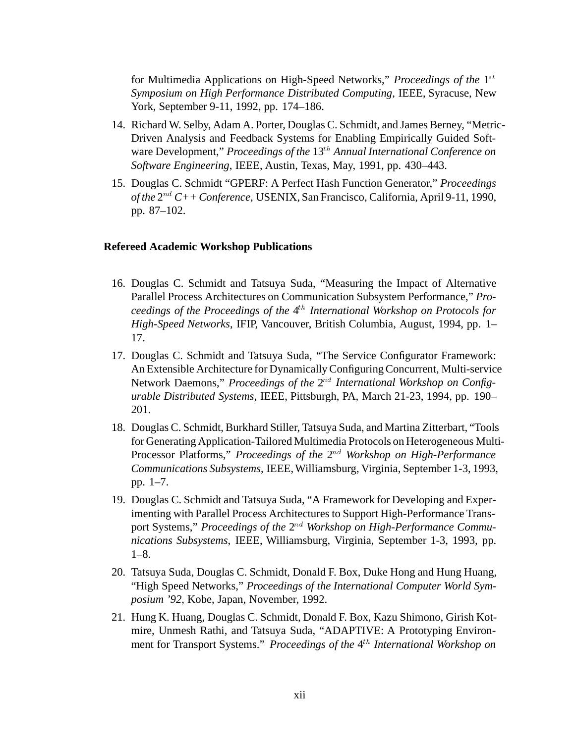for Multimedia Applications on High-Speed Networks," *Proceedings of the* 1st *Symposium on High Performance Distributed Computing*, IEEE, Syracuse, New York, September 9-11, 1992, pp. 174–186.

- 14. Richard W. Selby, Adam A. Porter, Douglas C. Schmidt, and James Berney, "Metric-Driven Analysis and Feedback Systems for Enabling Empirically Guided Software Development," *Proceedings of the* 13th *Annual International Conference on Software Engineering*, IEEE, Austin, Texas, May, 1991, pp. 430–443.
- 15. Douglas C. Schmidt "GPERF: A Perfect Hash Function Generator," *Proceedings of the* 2nd *C++ Conference*, USENIX, San Francisco, California, April 9-11, 1990, pp. 87–102.

#### **Refereed Academic Workshop Publications**

- 16. Douglas C. Schmidt and Tatsuya Suda, "Measuring the Impact of Alternative Parallel Process Architectures on Communication Subsystem Performance," *Proceedings of the Proceedings of the* 4th *International Workshop on Protocols for High-Speed Networks*, IFIP, Vancouver, British Columbia, August, 1994, pp. 1– 17.
- 17. Douglas C. Schmidt and Tatsuya Suda, "The Service Configurator Framework: An Extensible Architecture for Dynamically Configuring Concurrent, Multi-service Network Daemons," *Proceedings of the*  $2^{nd}$  *International Workshop on Configurable Distributed Systems*, IEEE, Pittsburgh, PA, March 21-23, 1994, pp. 190– 201.
- 18. Douglas C. Schmidt, Burkhard Stiller, Tatsuya Suda, and Martina Zitterbart, "Tools for Generating Application-Tailored Multimedia Protocols on Heterogeneous Multi-Processor Platforms," *Proceedings of the* 2nd *Workshop on High-Performance Communications Subsystems*, IEEE, Williamsburg, Virginia, September 1-3, 1993, pp. 1–7.
- 19. Douglas C. Schmidt and Tatsuya Suda, "A Framework for Developing and Experimenting with Parallel Process Architectures to Support High-Performance Transport Systems," *Proceedings of the* 2nd *Workshop on High-Performance Communications Subsystems*, IEEE, Williamsburg, Virginia, September 1-3, 1993, pp. 1–8.
- 20. Tatsuya Suda, Douglas C. Schmidt, Donald F. Box, Duke Hong and Hung Huang, "High Speed Networks," *Proceedings of the International Computer World Symposium '92*, Kobe, Japan, November, 1992.
- 21. Hung K. Huang, Douglas C. Schmidt, Donald F. Box, Kazu Shimono, Girish Kotmire, Unmesh Rathi, and Tatsuya Suda, "ADAPTIVE: A Prototyping Environment for Transport Systems." *Proceedings of the* 4<sup>th</sup> *International Workshop on*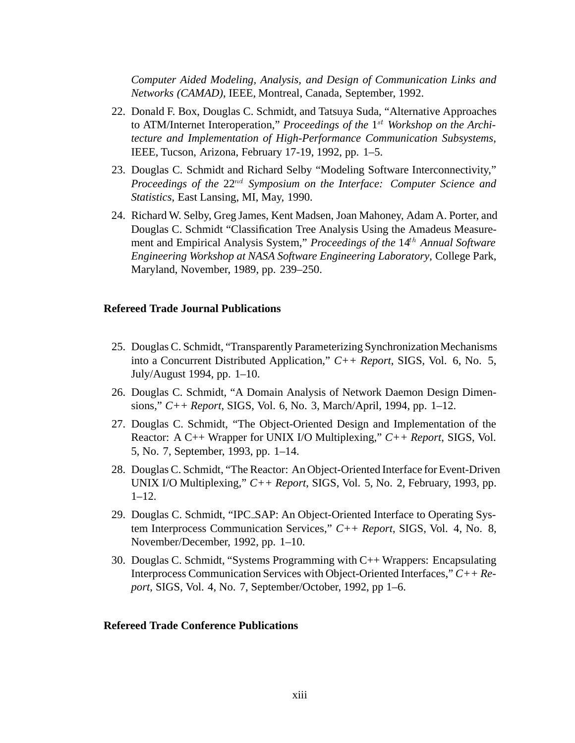*Computer Aided Modeling, Analysis, and Design of Communication Links and Networks (CAMAD)*, IEEE, Montreal, Canada, September, 1992.

- 22. Donald F. Box, Douglas C. Schmidt, and Tatsuya Suda, "Alternative Approaches to ATM/Internet Interoperation," *Proceedings of the* 1<sup>st</sup> *Workshop on the Architecture and Implementation of High-Performance Communication Subsystems*, IEEE, Tucson, Arizona, February 17-19, 1992, pp. 1–5.
- 23. Douglas C. Schmidt and Richard Selby "Modeling Software Interconnectivity," *Proceedings of the*  $22^{nd}$  *Symposium on the Interface: Computer Science and Statistics*, East Lansing, MI, May, 1990.
- 24. Richard W. Selby, Greg James, Kent Madsen, Joan Mahoney, Adam A. Porter, and Douglas C. Schmidt "Classification Tree Analysis Using the Amadeus Measurement and Empirical Analysis System," *Proceedings of the* 14th *Annual Software Engineering Workshop at NASA Software Engineering Laboratory*, College Park, Maryland, November, 1989, pp. 239–250.

#### **Refereed Trade Journal Publications**

- 25. Douglas C. Schmidt, "Transparently Parameterizing Synchronization Mechanisms into a Concurrent Distributed Application," *C++ Report*, SIGS, Vol. 6, No. 5, July/August 1994, pp. 1–10.
- 26. Douglas C. Schmidt, "A Domain Analysis of Network Daemon Design Dimensions," *C++ Report*, SIGS, Vol. 6, No. 3, March/April, 1994, pp. 1–12.
- 27. Douglas C. Schmidt, "The Object-Oriented Design and Implementation of the Reactor: A C++ Wrapper for UNIX I/O Multiplexing," *C++ Report*, SIGS, Vol. 5, No. 7, September, 1993, pp. 1–14.
- 28. Douglas C. Schmidt, "The Reactor: An Object-Oriented Interface for Event-Driven UNIX I/O Multiplexing," *C++ Report*, SIGS, Vol. 5, No. 2, February, 1993, pp. 1–12.
- 29. Douglas C. Schmidt, "IPC SAP: An Object-Oriented Interface to Operating System Interprocess Communication Services," *C++ Report*, SIGS, Vol. 4, No. 8, November/December, 1992, pp. 1–10.
- 30. Douglas C. Schmidt, "Systems Programming with C++ Wrappers: Encapsulating Interprocess Communication Services with Object-Oriented Interfaces," *C++ Report*, SIGS, Vol. 4, No. 7, September/October, 1992, pp 1–6.

#### **Refereed Trade Conference Publications**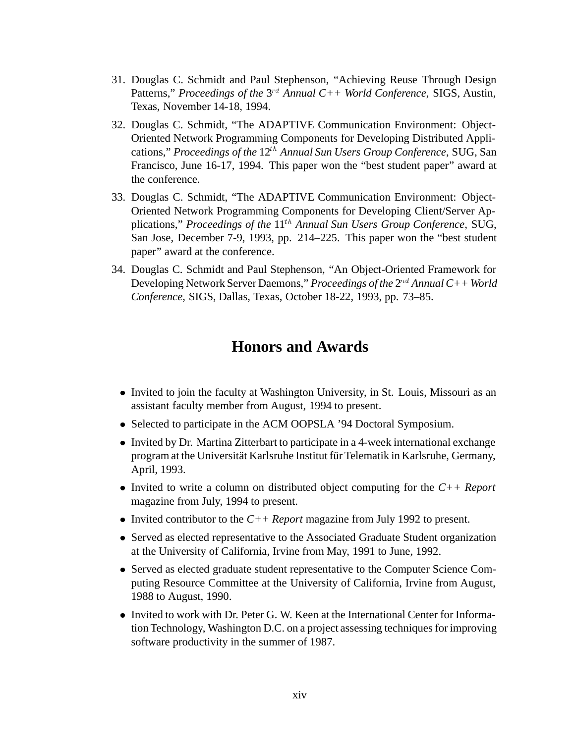- 31. Douglas C. Schmidt and Paul Stephenson, "Achieving Reuse Through Design Patterns," *Proceedings of the* 3<sup>rd</sup> Annual C++ World Conference, SIGS, Austin, Texas, November 14-18, 1994.
- 32. Douglas C. Schmidt, "The ADAPTIVE Communication Environment: Object-Oriented Network Programming Components for Developing Distributed Applications," *Proceedings of the* 12th *Annual Sun Users Group Conference*, SUG, San Francisco, June 16-17, 1994. This paper won the "best student paper" award at the conference.
- 33. Douglas C. Schmidt, "The ADAPTIVE Communication Environment: Object-Oriented Network Programming Components for Developing Client/Server Applications," *Proceedings of the* 11th *Annual Sun Users Group Conference*, SUG, San Jose, December 7-9, 1993, pp. 214–225. This paper won the "best student paper" award at the conference.
- 34. Douglas C. Schmidt and Paul Stephenson, "An Object-Oriented Framework for Developing Network Server Daemons," *Proceedings of the* 2nd *Annual C++ World Conference*, SIGS, Dallas, Texas, October 18-22, 1993, pp. 73–85.

### **Honors and Awards**

- Invited to join the faculty at Washington University, in St. Louis, Missouri as an assistant faculty member from August, 1994 to present.
- Selected to participate in the ACM OOPSLA '94 Doctoral Symposium.
- Invited by Dr. Martina Zitterbart to participate in a 4-week international exchange program at the Universität Karlsruhe Institut für Telematik in Karlsruhe, Germany, April, 1993.
- Invited to write a column on distributed object computing for the *C++ Report* magazine from July, 1994 to present.
- Invited contributor to the  $C++$  *Report* magazine from July 1992 to present.
- Served as elected representative to the Associated Graduate Student organization at the University of California, Irvine from May, 1991 to June, 1992.
- Served as elected graduate student representative to the Computer Science Computing Resource Committee at the University of California, Irvine from August, 1988 to August, 1990.
- Invited to work with Dr. Peter G. W. Keen at the International Center for Information Technology, Washington D.C. on a project assessing techniques for improving software productivity in the summer of 1987.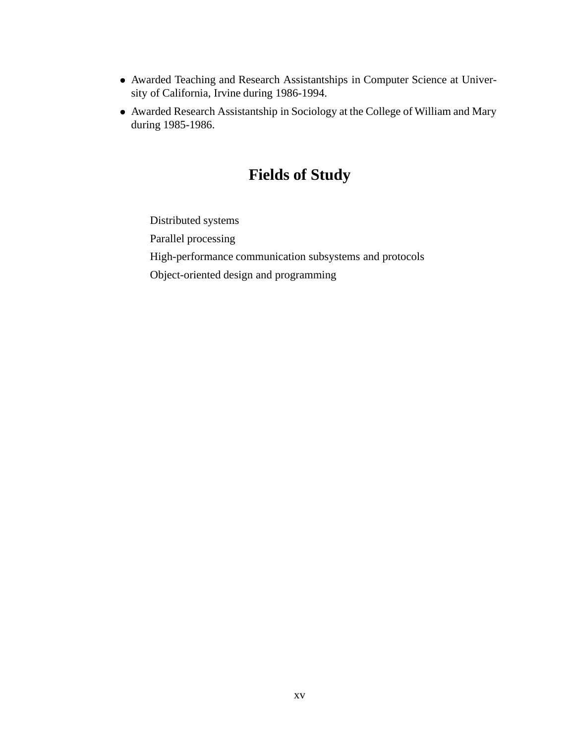- Awarded Teaching and Research Assistantships in Computer Science at University of California, Irvine during 1986-1994.
- Awarded Research Assistantship in Sociology at the College of William and Mary during 1985-1986.

### **Fields of Study**

Distributed systems Parallel processing High-performance communication subsystems and protocols Object-oriented design and programming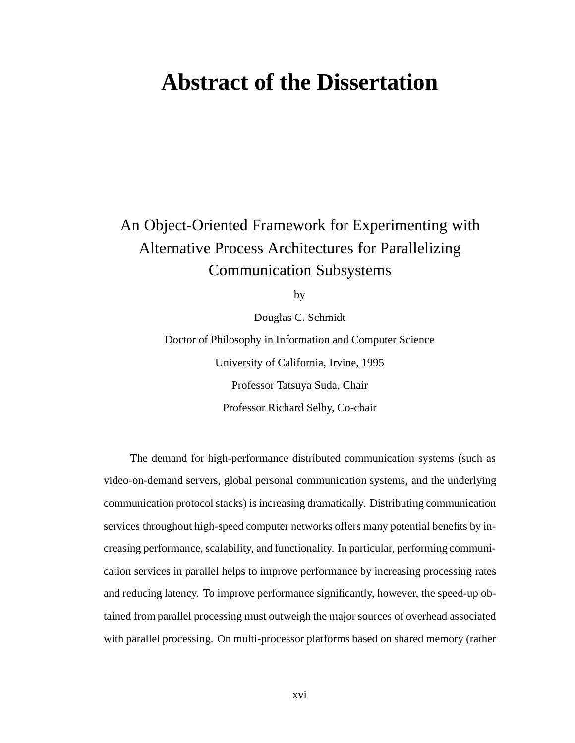## **Abstract of the Dissertation**

### An Object-Oriented Framework for Experimenting with Alternative Process Architectures for Parallelizing Communication Subsystems

by

Douglas C. Schmidt

Doctor of Philosophy in Information and Computer Science University of California, Irvine, 1995 Professor Tatsuya Suda, Chair Professor Richard Selby, Co-chair

The demand for high-performance distributed communication systems (such as video-on-demand servers, global personal communication systems, and the underlying communication protocol stacks) is increasing dramatically. Distributing communication services throughout high-speed computer networks offers many potential benefits by increasing performance, scalability, and functionality. In particular, performing communication services in parallel helps to improve performance by increasing processing rates and reducing latency. To improve performance significantly, however, the speed-up obtained from parallel processing must outweigh the major sources of overhead associated with parallel processing. On multi-processor platforms based on shared memory (rather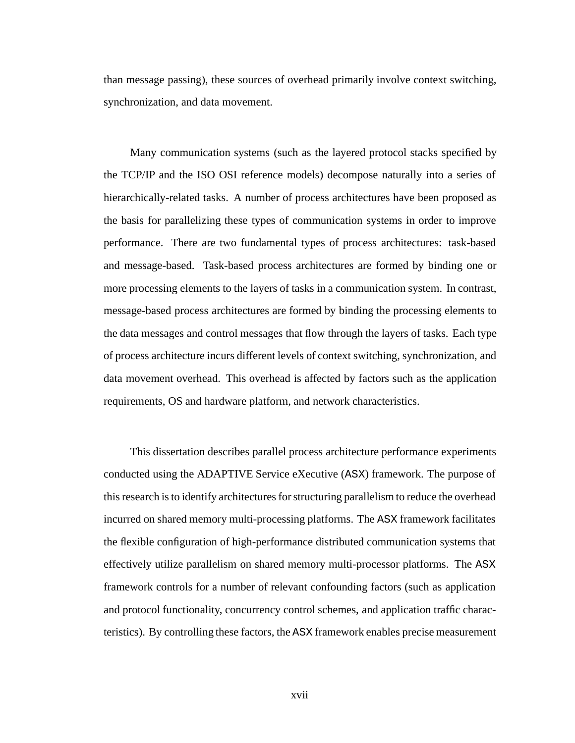than message passing), these sources of overhead primarily involve context switching, synchronization, and data movement.

Many communication systems (such as the layered protocol stacks specified by the TCP/IP and the ISO OSI reference models) decompose naturally into a series of hierarchically-related tasks. A number of process architectures have been proposed as the basis for parallelizing these types of communication systems in order to improve performance. There are two fundamental types of process architectures: task-based and message-based. Task-based process architectures are formed by binding one or more processing elements to the layers of tasks in a communication system. In contrast, message-based process architectures are formed by binding the processing elements to the data messages and control messages that flow through the layers of tasks. Each type of process architecture incurs different levels of context switching, synchronization, and data movement overhead. This overhead is affected by factors such as the application requirements, OS and hardware platform, and network characteristics.

This dissertation describes parallel process architecture performance experiments conducted using the ADAPTIVE Service eXecutive (ASX) framework. The purpose of this research is to identify architectures for structuring parallelism to reduce the overhead incurred on shared memory multi-processing platforms. The ASX framework facilitates the flexible configuration of high-performance distributed communication systems that effectively utilize parallelism on shared memory multi-processor platforms. The ASX framework controls for a number of relevant confounding factors (such as application and protocol functionality, concurrency control schemes, and application traffic characteristics). By controlling these factors, the ASX framework enables precise measurement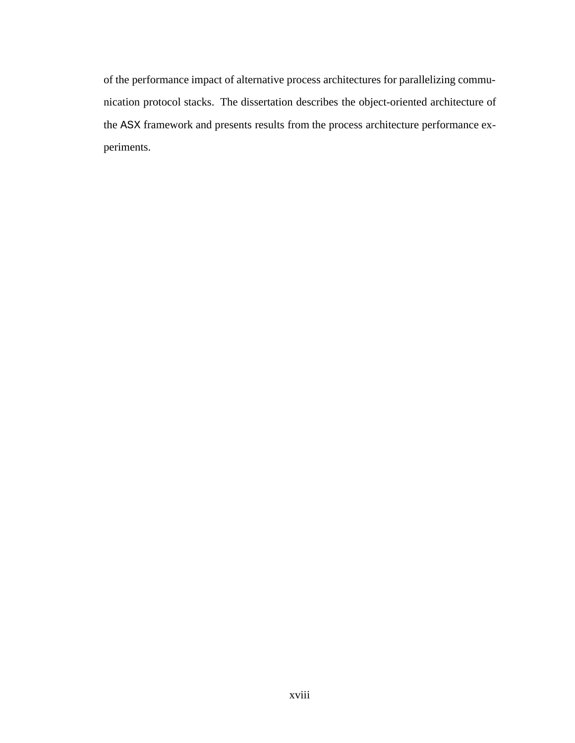of the performance impact of alternative process architectures for parallelizing communication protocol stacks. The dissertation describes the object-oriented architecture of the ASX framework and presents results from the process architecture performance experiments.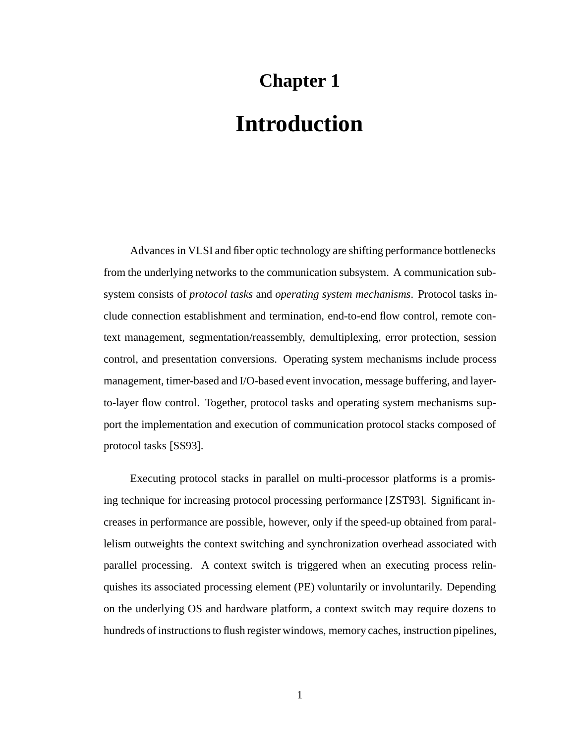# **Chapter 1 Introduction**

Advances in VLSI and fiber optic technology are shifting performance bottlenecks from the underlying networks to the communication subsystem. A communication subsystem consists of *protocol tasks* and *operating system mechanisms*. Protocol tasks include connection establishment and termination, end-to-end flow control, remote context management, segmentation/reassembly, demultiplexing, error protection, session control, and presentation conversions. Operating system mechanisms include process management, timer-based and I/O-based event invocation, message buffering, and layerto-layer flow control. Together, protocol tasks and operating system mechanisms support the implementation and execution of communication protocol stacks composed of protocol tasks [SS93].

Executing protocol stacks in parallel on multi-processor platforms is a promising technique for increasing protocol processing performance [ZST93]. Significant increases in performance are possible, however, only if the speed-up obtained from parallelism outweights the context switching and synchronization overhead associated with parallel processing. A context switch is triggered when an executing process relinquishes its associated processing element (PE) voluntarily or involuntarily. Depending on the underlying OS and hardware platform, a context switch may require dozens to hundreds of instructions to flush register windows, memory caches, instruction pipelines,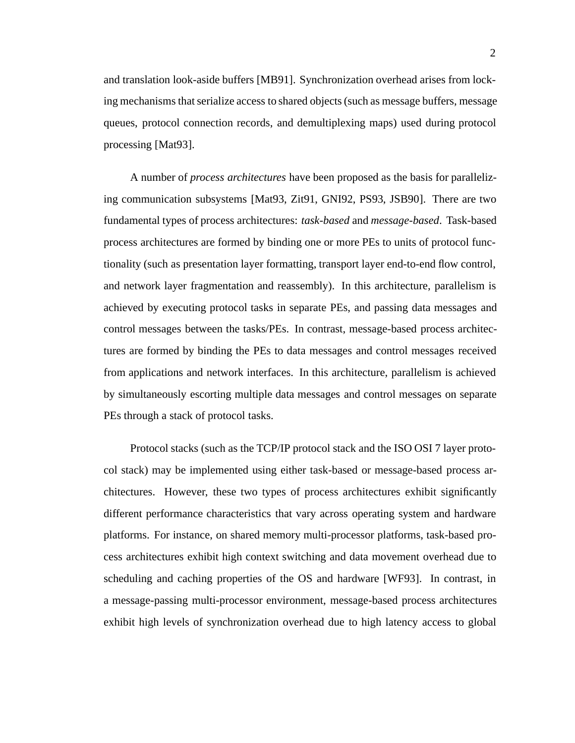2

and translation look-aside buffers [MB91]. Synchronization overhead arises from locking mechanisms that serialize access to shared objects (such as message buffers, message queues, protocol connection records, and demultiplexing maps) used during protocol processing [Mat93].

A number of *process architectures* have been proposed as the basis for parallelizing communication subsystems [Mat93, Zit91, GNI92, PS93, JSB90]. There are two fundamental types of process architectures: *task-based* and *message-based*. Task-based process architectures are formed by binding one or more PEs to units of protocol functionality (such as presentation layer formatting, transport layer end-to-end flow control, and network layer fragmentation and reassembly). In this architecture, parallelism is achieved by executing protocol tasks in separate PEs, and passing data messages and control messages between the tasks/PEs. In contrast, message-based process architectures are formed by binding the PEs to data messages and control messages received from applications and network interfaces. In this architecture, parallelism is achieved by simultaneously escorting multiple data messages and control messages on separate PEs through a stack of protocol tasks.

Protocol stacks (such as the TCP/IP protocol stack and the ISO OSI 7 layer protocol stack) may be implemented using either task-based or message-based process architectures. However, these two types of process architectures exhibit significantly different performance characteristics that vary across operating system and hardware platforms. For instance, on shared memory multi-processor platforms, task-based process architectures exhibit high context switching and data movement overhead due to scheduling and caching properties of the OS and hardware [WF93]. In contrast, in a message-passing multi-processor environment, message-based process architectures exhibit high levels of synchronization overhead due to high latency access to global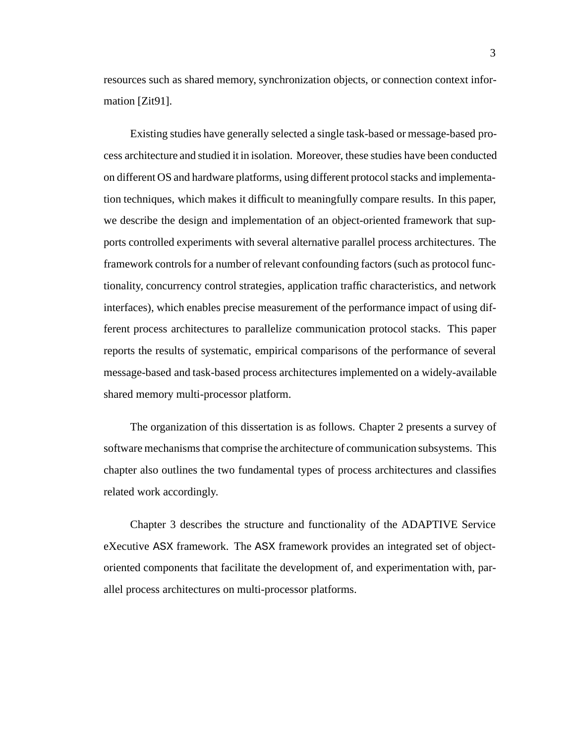resources such as shared memory, synchronization objects, or connection context information [Zit91].

Existing studies have generally selected a single task-based or message-based process architecture and studied it in isolation. Moreover, these studies have been conducted on different OS and hardware platforms, using different protocol stacks and implementation techniques, which makes it difficult to meaningfully compare results. In this paper, we describe the design and implementation of an object-oriented framework that supports controlled experiments with several alternative parallel process architectures. The framework controls for a number of relevant confounding factors (such as protocol functionality, concurrency control strategies, application traffic characteristics, and network interfaces), which enables precise measurement of the performance impact of using different process architectures to parallelize communication protocol stacks. This paper reports the results of systematic, empirical comparisons of the performance of several message-based and task-based process architectures implemented on a widely-available shared memory multi-processor platform.

The organization of this dissertation is as follows. Chapter 2 presents a survey of software mechanisms that comprise the architecture of communication subsystems. This chapter also outlines the two fundamental types of process architectures and classifies related work accordingly.

Chapter 3 describes the structure and functionality of the ADAPTIVE Service eXecutive ASX framework. The ASX framework provides an integrated set of objectoriented components that facilitate the development of, and experimentation with, parallel process architectures on multi-processor platforms.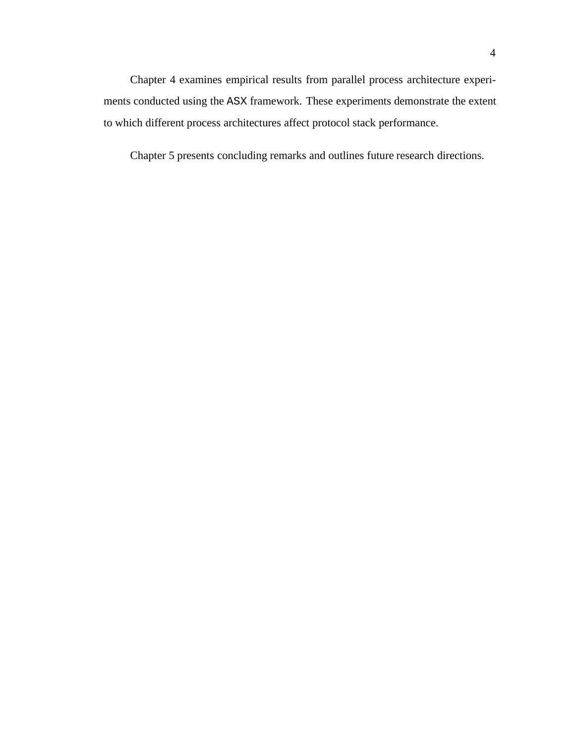Chapter 4 examines empirical results from parallel process architecture experiments conducted using the ASX framework. These experiments demonstrate the extent to which different process architectures affect protocol stack performance.

Chapter 5 presents concluding remarks and outlines future research directions.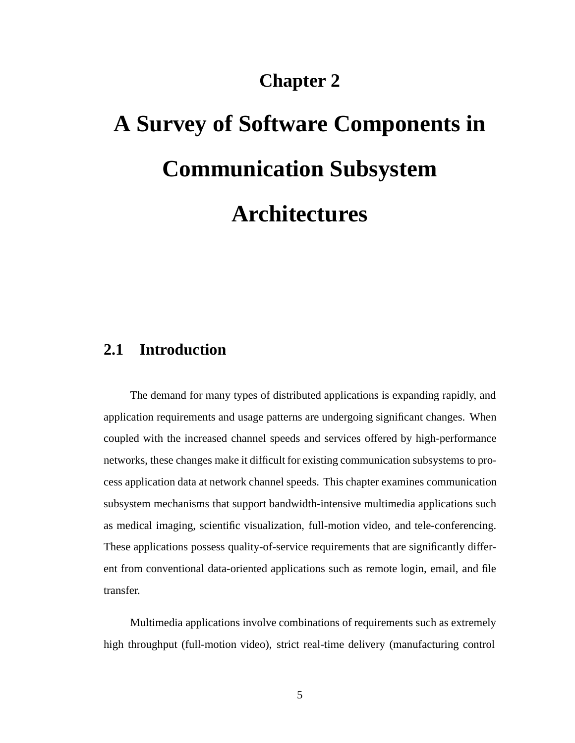### **Chapter 2**

# **A Survey of Software Components in Communication Subsystem Architectures**

### **2.1 Introduction**

The demand for many types of distributed applications is expanding rapidly, and application requirements and usage patterns are undergoing significant changes. When coupled with the increased channel speeds and services offered by high-performance networks, these changes make it difficult for existing communication subsystems to process application data at network channel speeds. This chapter examines communication subsystem mechanisms that support bandwidth-intensive multimedia applications such as medical imaging, scientific visualization, full-motion video, and tele-conferencing. These applications possess quality-of-service requirements that are significantly different from conventional data-oriented applications such as remote login, email, and file transfer.

Multimedia applications involve combinations of requirements such as extremely high throughput (full-motion video), strict real-time delivery (manufacturing control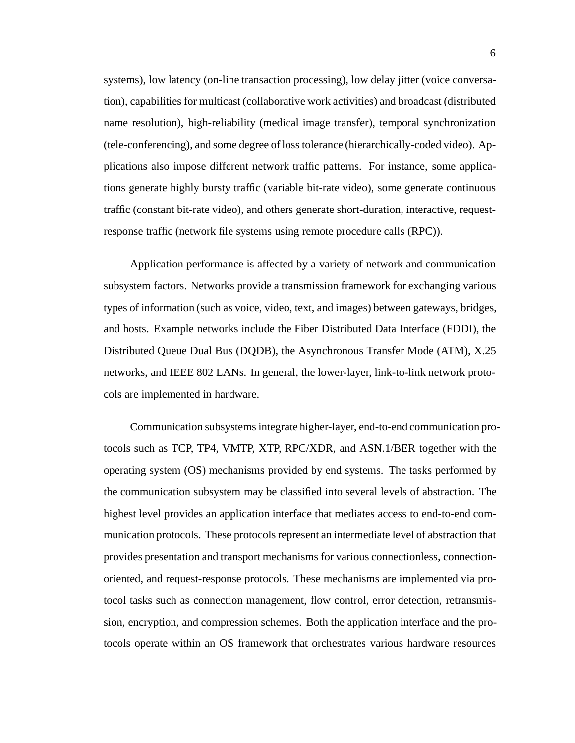systems), low latency (on-line transaction processing), low delay jitter (voice conversation), capabilities for multicast (collaborative work activities) and broadcast (distributed name resolution), high-reliability (medical image transfer), temporal synchronization (tele-conferencing), and some degree of loss tolerance (hierarchically-coded video). Applications also impose different network traffic patterns. For instance, some applications generate highly bursty traffic (variable bit-rate video), some generate continuous traffic (constant bit-rate video), and others generate short-duration, interactive, requestresponse traffic (network file systems using remote procedure calls (RPC)).

Application performance is affected by a variety of network and communication subsystem factors. Networks provide a transmission framework for exchanging various types of information (such as voice, video, text, and images) between gateways, bridges, and hosts. Example networks include the Fiber Distributed Data Interface (FDDI), the Distributed Queue Dual Bus (DQDB), the Asynchronous Transfer Mode (ATM), X.25 networks, and IEEE 802 LANs. In general, the lower-layer, link-to-link network protocols are implemented in hardware.

Communication subsystems integrate higher-layer, end-to-end communication protocols such as TCP, TP4, VMTP, XTP, RPC/XDR, and ASN.1/BER together with the operating system (OS) mechanisms provided by end systems. The tasks performed by the communication subsystem may be classified into several levels of abstraction. The highest level provides an application interface that mediates access to end-to-end communication protocols. These protocols represent an intermediate level of abstraction that provides presentation and transport mechanisms for various connectionless, connectionoriented, and request-response protocols. These mechanisms are implemented via protocol tasks such as connection management, flow control, error detection, retransmission, encryption, and compression schemes. Both the application interface and the protocols operate within an OS framework that orchestrates various hardware resources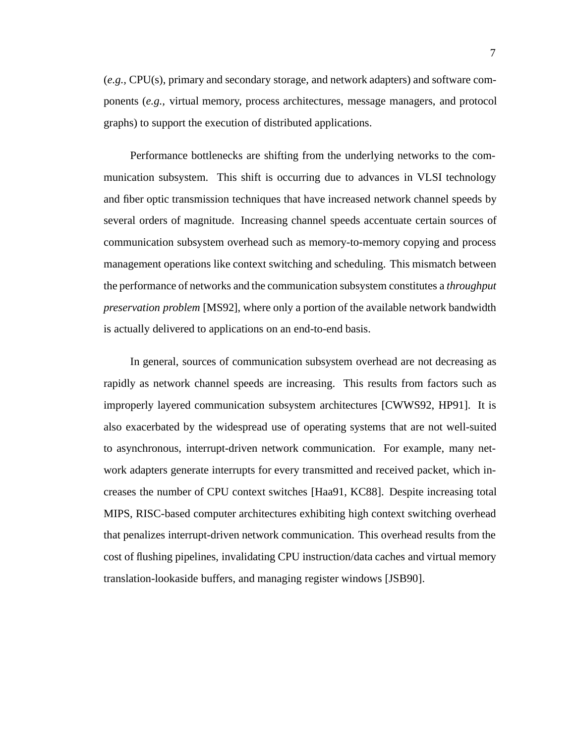(*e.g.,* CPU(s), primary and secondary storage, and network adapters) and software components (*e.g.,* virtual memory, process architectures, message managers, and protocol graphs) to support the execution of distributed applications.

Performance bottlenecks are shifting from the underlying networks to the communication subsystem. This shift is occurring due to advances in VLSI technology and fiber optic transmission techniques that have increased network channel speeds by several orders of magnitude. Increasing channel speeds accentuate certain sources of communication subsystem overhead such as memory-to-memory copying and process management operations like context switching and scheduling. This mismatch between the performance of networks and the communication subsystem constitutes a *throughput preservation problem* [MS92], where only a portion of the available network bandwidth is actually delivered to applications on an end-to-end basis.

In general, sources of communication subsystem overhead are not decreasing as rapidly as network channel speeds are increasing. This results from factors such as improperly layered communication subsystem architectures [CWWS92, HP91]. It is also exacerbated by the widespread use of operating systems that are not well-suited to asynchronous, interrupt-driven network communication. For example, many network adapters generate interrupts for every transmitted and received packet, which increases the number of CPU context switches [Haa91, KC88]. Despite increasing total MIPS, RISC-based computer architectures exhibiting high context switching overhead that penalizes interrupt-driven network communication. This overhead results from the cost of flushing pipelines, invalidating CPU instruction/data caches and virtual memory translation-lookaside buffers, and managing register windows [JSB90].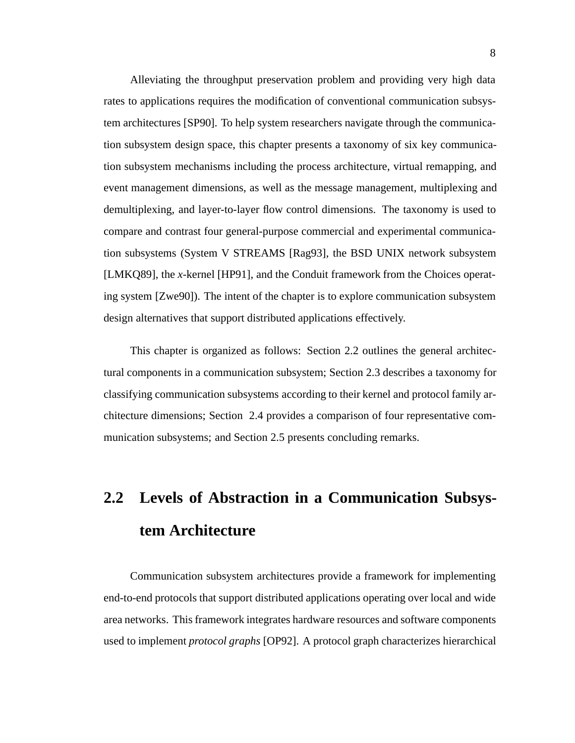Alleviating the throughput preservation problem and providing very high data rates to applications requires the modification of conventional communication subsystem architectures [SP90]. To help system researchers navigate through the communication subsystem design space, this chapter presents a taxonomy of six key communication subsystem mechanisms including the process architecture, virtual remapping, and event management dimensions, as well as the message management, multiplexing and demultiplexing, and layer-to-layer flow control dimensions. The taxonomy is used to compare and contrast four general-purpose commercial and experimental communication subsystems (System V STREAMS [Rag93], the BSD UNIX network subsystem [LMKQ89], the *x*-kernel [HP91], and the Conduit framework from the Choices operating system [Zwe90]). The intent of the chapter is to explore communication subsystem design alternatives that support distributed applications effectively.

This chapter is organized as follows: Section 2.2 outlines the general architectural components in a communication subsystem; Section 2.3 describes a taxonomy for classifying communication subsystems according to their kernel and protocol family architecture dimensions; Section 2.4 provides a comparison of four representative communication subsystems; and Section 2.5 presents concluding remarks.

# **2.2 Levels of Abstraction in a Communication Subsystem Architecture**

Communication subsystem architectures provide a framework for implementing end-to-end protocols that support distributed applications operating over local and wide area networks. This framework integrates hardware resources and software components used to implement *protocol graphs* [OP92]. A protocol graph characterizes hierarchical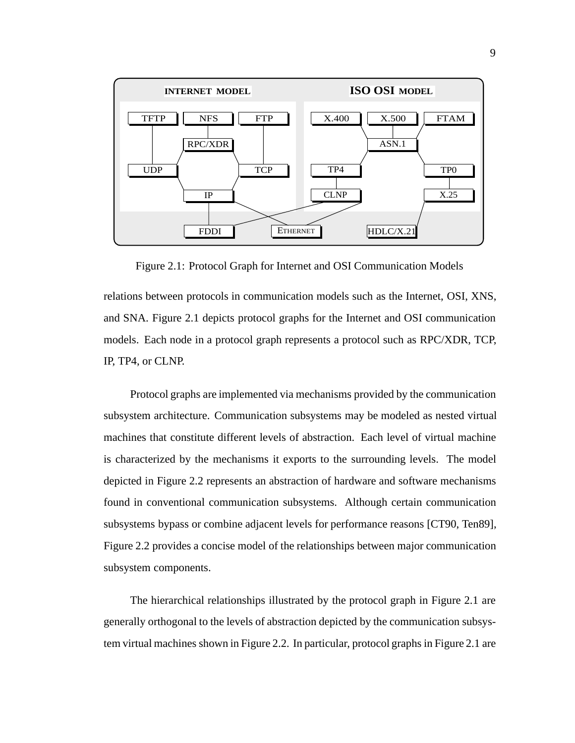

Figure 2.1: Protocol Graph for Internet and OSI Communication Models

relations between protocols in communication models such as the Internet, OSI, XNS, and SNA. Figure 2.1 depicts protocol graphs for the Internet and OSI communication models. Each node in a protocol graph represents a protocol such as RPC/XDR, TCP, IP, TP4, or CLNP.

Protocol graphs are implemented via mechanisms provided by the communication subsystem architecture. Communication subsystems may be modeled as nested virtual machines that constitute different levels of abstraction. Each level of virtual machine is characterized by the mechanisms it exports to the surrounding levels. The model depicted in Figure 2.2 represents an abstraction of hardware and software mechanisms found in conventional communication subsystems. Although certain communication subsystems bypass or combine adjacent levels for performance reasons [CT90, Ten89], Figure 2.2 provides a concise model of the relationships between major communication subsystem components.

The hierarchical relationships illustrated by the protocol graph in Figure 2.1 are generally orthogonal to the levels of abstraction depicted by the communication subsystem virtual machines shown in Figure 2.2. In particular, protocol graphs in Figure 2.1 are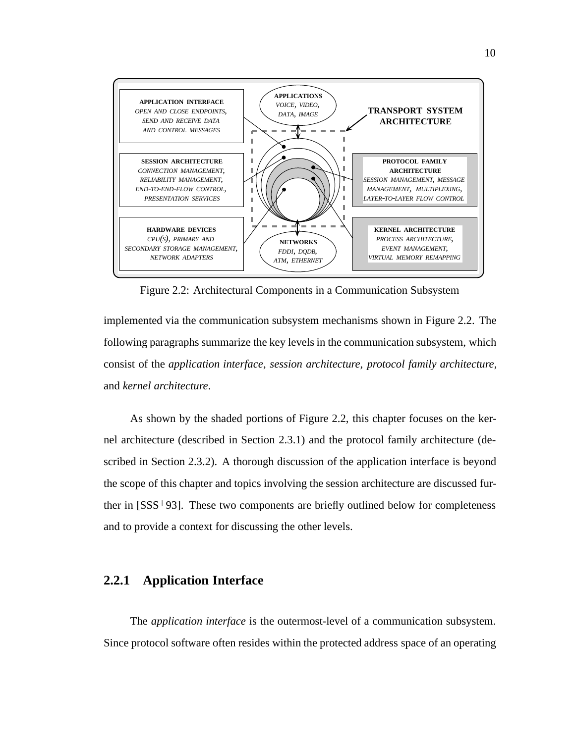

Figure 2.2: Architectural Components in a Communication Subsystem

implemented via the communication subsystem mechanisms shown in Figure 2.2. The following paragraphs summarize the key levels in the communication subsystem, which consist of the *application interface*, *session architecture*, *protocol family architecture*, and *kernel architecture*.

As shown by the shaded portions of Figure 2.2, this chapter focuses on the kernel architecture (described in Section 2.3.1) and the protocol family architecture (described in Section 2.3.2). A thorough discussion of the application interface is beyond the scope of this chapter and topics involving the session architecture are discussed further in [SSS<sup>+</sup> 93]. These two components are briefly outlined below for completeness and to provide a context for discussing the other levels.

### **2.2.1 Application Interface**

The *application interface* is the outermost-level of a communication subsystem. Since protocol software often resides within the protected address space of an operating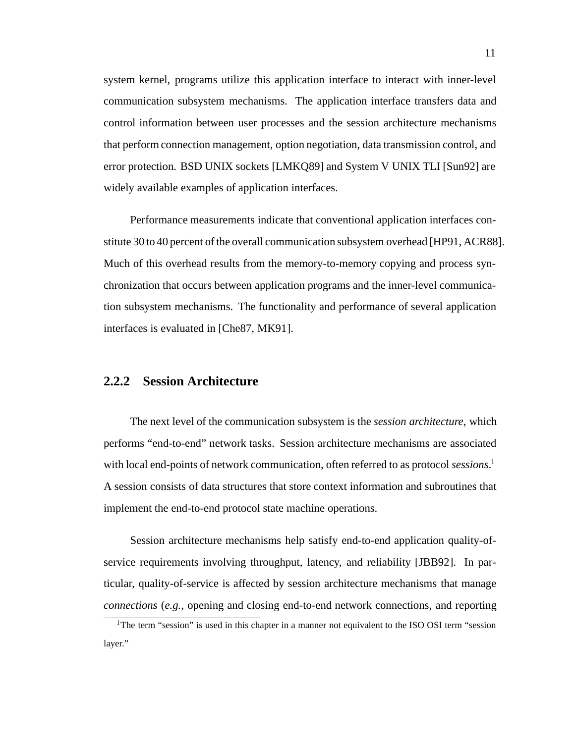system kernel, programs utilize this application interface to interact with inner-level communication subsystem mechanisms. The application interface transfers data and control information between user processes and the session architecture mechanisms that perform connection management, option negotiation, data transmission control, and error protection. BSD UNIX sockets [LMKQ89] and System V UNIX TLI [Sun92] are widely available examples of application interfaces.

Performance measurements indicate that conventional application interfaces constitute 30 to 40 percent of the overall communication subsystem overhead [HP91, ACR88]. Much of this overhead results from the memory-to-memory copying and process synchronization that occurs between application programs and the inner-level communication subsystem mechanisms. The functionality and performance of several application interfaces is evaluated in [Che87, MK91].

#### **2.2.2 Session Architecture**

The next level of the communication subsystem is the *session architecture*, which performs "end-to-end" network tasks. Session architecture mechanisms are associated with local end-points of network communication, often referred to as protocol *sessions*. 1 A session consists of data structures that store context information and subroutines that implement the end-to-end protocol state machine operations.

Session architecture mechanisms help satisfy end-to-end application quality-ofservice requirements involving throughput, latency, and reliability [JBB92]. In particular, quality-of-service is affected by session architecture mechanisms that manage *connections* (*e.g.,* opening and closing end-to-end network connections, and reporting

<sup>&</sup>lt;sup>1</sup>The term "session" is used in this chapter in a manner not equivalent to the ISO OSI term "session" layer."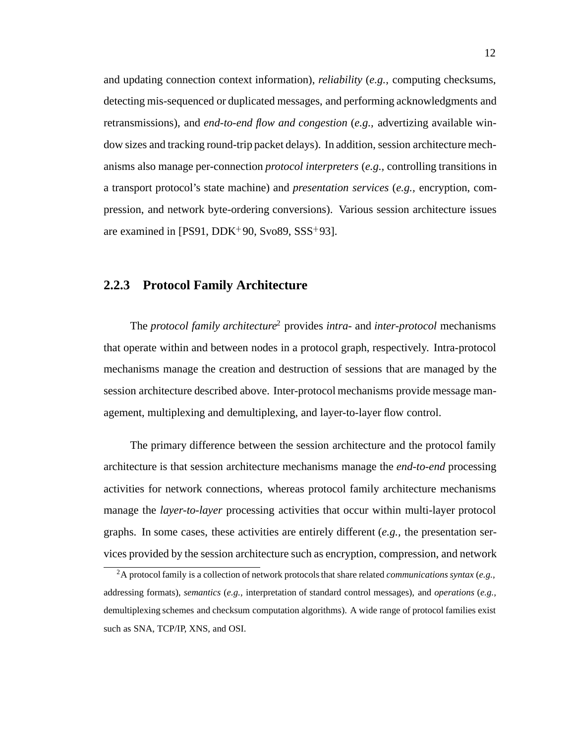and updating connection context information), *reliability* (*e.g.,* computing checksums, detecting mis-sequenced or duplicated messages, and performing acknowledgments and retransmissions), and *end-to-end flow and congestion* (*e.g.,* advertizing available window sizes and tracking round-trip packet delays). In addition, session architecture mechanisms also manage per-connection *protocol interpreters* (*e.g.,* controlling transitions in a transport protocol's state machine) and *presentation services* (*e.g.,* encryption, compression, and network byte-ordering conversions). Various session architecture issues are examined in [PS91, DDK<sup>+</sup> 90, Svo89, SSS<sup>+</sup> 93].

#### **2.2.3 Protocol Family Architecture**

The *protocol family architecture*<sup>2</sup> provides *intra-* and *inter-protocol* mechanisms that operate within and between nodes in a protocol graph, respectively. Intra-protocol mechanisms manage the creation and destruction of sessions that are managed by the session architecture described above. Inter-protocol mechanisms provide message management, multiplexing and demultiplexing, and layer-to-layer flow control.

The primary difference between the session architecture and the protocol family architecture is that session architecture mechanisms manage the *end-to-end* processing activities for network connections, whereas protocol family architecture mechanisms manage the *layer-to-layer* processing activities that occur within multi-layer protocol graphs. In some cases, these activities are entirely different (*e.g.,* the presentation services provided by the session architecture such as encryption, compression, and network

<sup>2</sup>A protocol family is a collection of network protocols that share related *communications syntax* (*e.g.,* addressing formats), *semantics* (*e.g.,* interpretation of standard control messages), and *operations* (*e.g.,* demultiplexing schemes and checksum computation algorithms). A wide range of protocol families exist such as SNA, TCP/IP, XNS, and OSI.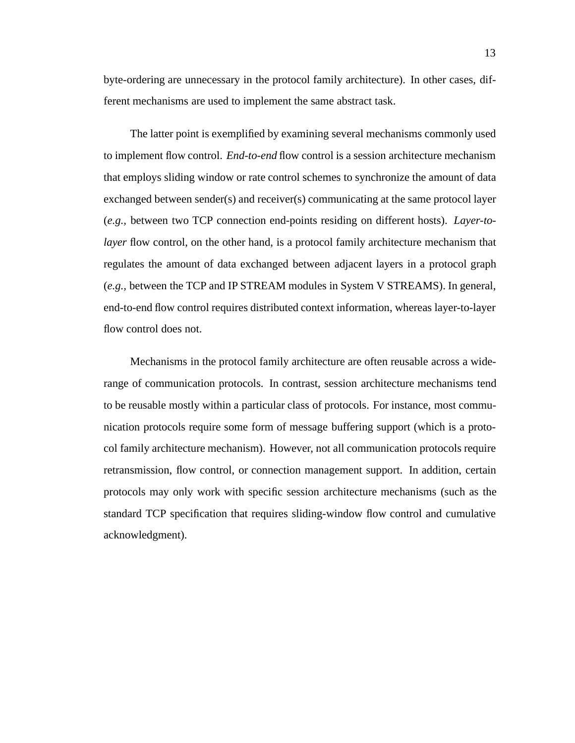byte-ordering are unnecessary in the protocol family architecture). In other cases, different mechanisms are used to implement the same abstract task.

The latter point is exemplified by examining several mechanisms commonly used to implement flow control. *End-to-end* flow control is a session architecture mechanism that employs sliding window or rate control schemes to synchronize the amount of data exchanged between sender(s) and receiver(s) communicating at the same protocol layer (*e.g.,* between two TCP connection end-points residing on different hosts). *Layer-tolayer* flow control, on the other hand, is a protocol family architecture mechanism that regulates the amount of data exchanged between adjacent layers in a protocol graph (*e.g.,* between the TCP and IP STREAM modules in System V STREAMS). In general, end-to-end flow control requires distributed context information, whereas layer-to-layer flow control does not.

Mechanisms in the protocol family architecture are often reusable across a widerange of communication protocols. In contrast, session architecture mechanisms tend to be reusable mostly within a particular class of protocols. For instance, most communication protocols require some form of message buffering support (which is a protocol family architecture mechanism). However, not all communication protocols require retransmission, flow control, or connection management support. In addition, certain protocols may only work with specific session architecture mechanisms (such as the standard TCP specification that requires sliding-window flow control and cumulative acknowledgment).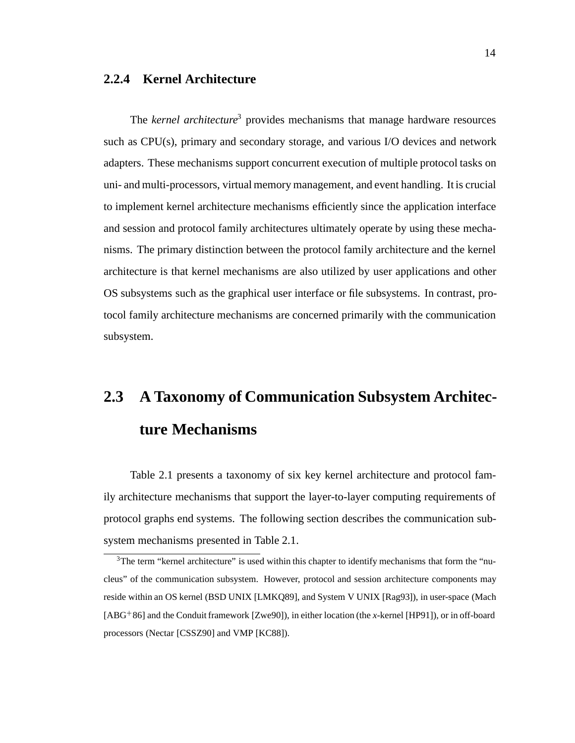### **2.2.4 Kernel Architecture**

The *kernel architecture*<sup>3</sup> provides mechanisms that manage hardware resources such as CPU(s), primary and secondary storage, and various I/O devices and network adapters. These mechanisms support concurrent execution of multiple protocol tasks on uni- and multi-processors, virtual memory management, and event handling. It is crucial to implement kernel architecture mechanisms efficiently since the application interface and session and protocol family architectures ultimately operate by using these mechanisms. The primary distinction between the protocol family architecture and the kernel architecture is that kernel mechanisms are also utilized by user applications and other OS subsystems such as the graphical user interface or file subsystems. In contrast, protocol family architecture mechanisms are concerned primarily with the communication subsystem.

# **2.3 A Taxonomy of Communication Subsystem Architecture Mechanisms**

Table 2.1 presents a taxonomy of six key kernel architecture and protocol family architecture mechanisms that support the layer-to-layer computing requirements of protocol graphs end systems. The following section describes the communication subsystem mechanisms presented in Table 2.1.

<sup>&</sup>lt;sup>3</sup>The term "kernel architecture" is used within this chapter to identify mechanisms that form the "nucleus" of the communication subsystem. However, protocol and session architecture components may reside within an OS kernel (BSD UNIX [LMKQ89], and System V UNIX [Rag93]), in user-space (Mach [ABG<sup>+</sup> 86] and the Conduit framework [Zwe90]), in either location (the *x*-kernel [HP91]), or in off-board processors (Nectar [CSSZ90] and VMP [KC88]).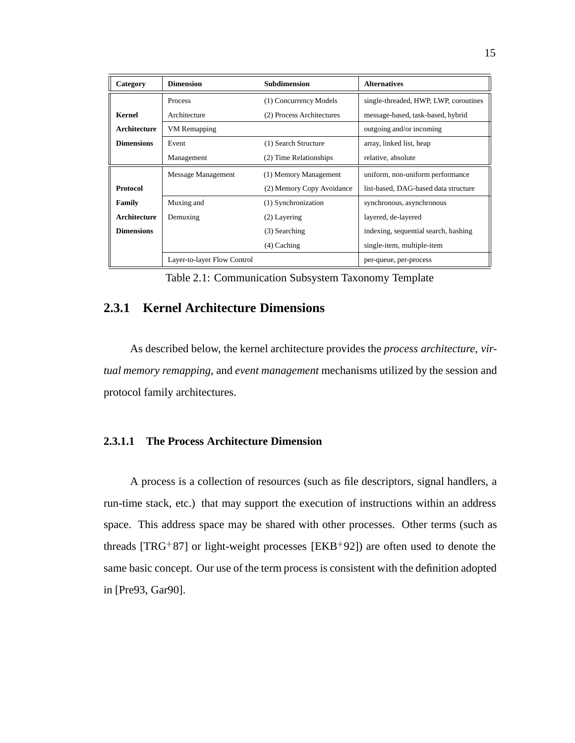| Category          | <b>Dimension</b>            | <b>Subdimension</b>       | <b>Alternatives</b>                   |
|-------------------|-----------------------------|---------------------------|---------------------------------------|
|                   | Process                     | (1) Concurrency Models    | single-threaded, HWP, LWP, coroutines |
| <b>Kernel</b>     | Architecture                | (2) Process Architectures | message-based, task-based, hybrid     |
| Architecture      | <b>VM</b> Remapping         |                           | outgoing and/or incoming              |
| <b>Dimensions</b> | Event                       | (1) Search Structure      | array, linked list, heap              |
|                   | Management                  | (2) Time Relationships    | relative, absolute                    |
|                   | Message Management          | (1) Memory Management     | uniform, non-uniform performance      |
| <b>Protocol</b>   |                             | (2) Memory Copy Avoidance | list-based, DAG-based data structure  |
| <b>Family</b>     | Muxing and                  | (1) Synchronization       | synchronous, asynchronous             |
| Architecture      | Demuxing                    | $(2)$ Layering            | layered, de-layered                   |
| <b>Dimensions</b> |                             | (3) Searching             | indexing, sequential search, hashing  |
|                   |                             | $(4)$ Caching             | single-item, multiple-item            |
|                   | Layer-to-layer Flow Control |                           | per-queue, per-process                |

Table 2.1: Communication Subsystem Taxonomy Template

### **2.3.1 Kernel Architecture Dimensions**

As described below, the kernel architecture provides the *process architecture*, *virtual memory remapping*, and *event management* mechanisms utilized by the session and protocol family architectures.

### **2.3.1.1 The Process Architecture Dimension**

A process is a collection of resources (such as file descriptors, signal handlers, a run-time stack, etc.) that may support the execution of instructions within an address space. This address space may be shared with other processes. Other terms (such as threads [TRG<sup>+</sup> 87] or light-weight processes [EKB<sup>+</sup> 92]) are often used to denote the same basic concept. Our use of the term process is consistent with the definition adopted in [Pre93, Gar90].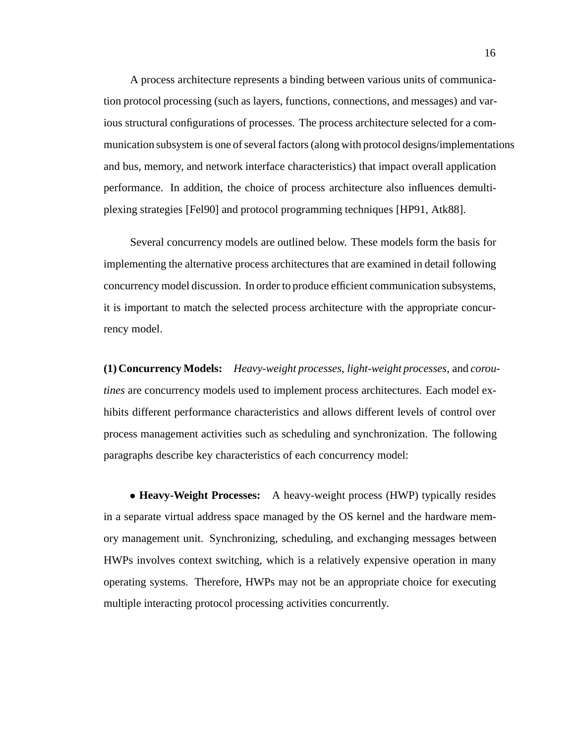A process architecture represents a binding between various units of communication protocol processing (such as layers, functions, connections, and messages) and various structural configurations of processes. The process architecture selected for a communication subsystem is one of several factors (along with protocol designs/implementations and bus, memory, and network interface characteristics) that impact overall application performance. In addition, the choice of process architecture also influences demultiplexing strategies [Fel90] and protocol programming techniques [HP91, Atk88].

Several concurrency models are outlined below. These models form the basis for implementing the alternative process architectures that are examined in detail following concurrency model discussion. In order to produce efficient communication subsystems, it is important to match the selected process architecture with the appropriate concurrency model.

**(1) Concurrency Models:** *Heavy-weight processes*, *light-weight processes*, and *coroutines* are concurrency models used to implement process architectures. Each model exhibits different performance characteristics and allows different levels of control over process management activities such as scheduling and synchronization. The following paragraphs describe key characteristics of each concurrency model:

 **Heavy-Weight Processes:** A heavy-weight process (HWP) typically resides in a separate virtual address space managed by the OS kernel and the hardware memory management unit. Synchronizing, scheduling, and exchanging messages between HWPs involves context switching, which is a relatively expensive operation in many operating systems. Therefore, HWPs may not be an appropriate choice for executing multiple interacting protocol processing activities concurrently.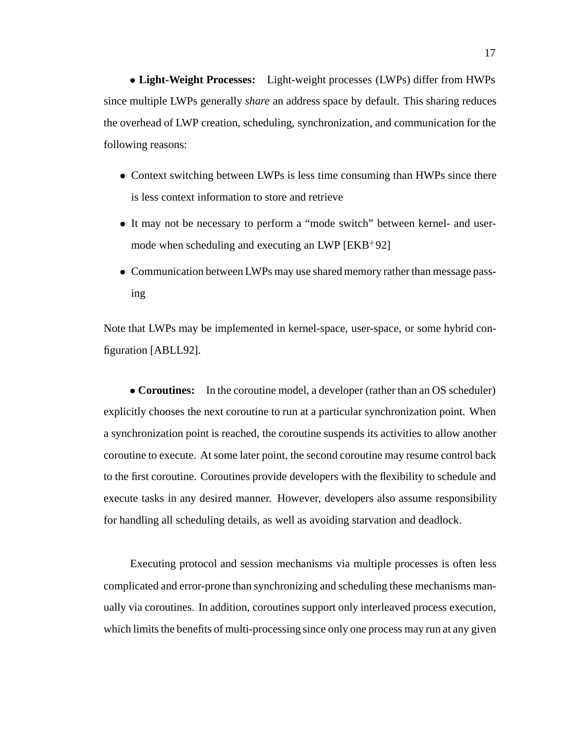**Light-Weight Processes:** Light-weight processes (LWPs) differ from HWPs since multiple LWPs generally *share* an address space by default. This sharing reduces the overhead of LWP creation, scheduling, synchronization, and communication for the following reasons:

- Context switching between LWPs is less time consuming than HWPs since there is less context information to store and retrieve
- It may not be necessary to perform a "mode switch" between kernel- and usermode when scheduling and executing an LWP [EKB<sup>+</sup> 92]
- Communication between LWPs may use shared memory rather than message passing

Note that LWPs may be implemented in kernel-space, user-space, or some hybrid configuration [ABLL92].

• **Coroutines:** In the coroutine model, a developer (rather than an OS scheduler) explicitly chooses the next coroutine to run at a particular synchronization point. When a synchronization point is reached, the coroutine suspends its activities to allow another coroutine to execute. At some later point, the second coroutine may resume control back to the first coroutine. Coroutines provide developers with the flexibility to schedule and execute tasks in any desired manner. However, developers also assume responsibility for handling all scheduling details, as well as avoiding starvation and deadlock.

Executing protocol and session mechanisms via multiple processes is often less complicated and error-prone than synchronizing and scheduling these mechanisms manually via coroutines. In addition, coroutines support only interleaved process execution, which limits the benefits of multi-processing since only one process may run at any given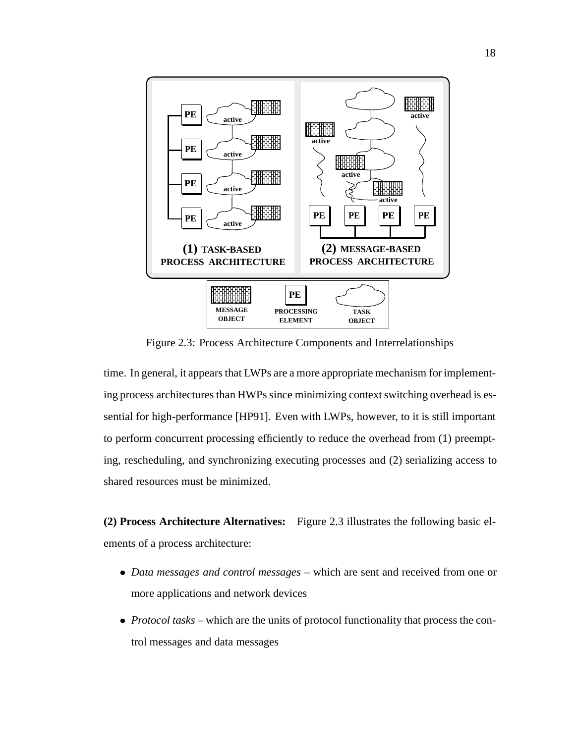

Figure 2.3: Process Architecture Components and Interrelationships

time. In general, it appears that LWPs are a more appropriate mechanism for implementing process architectures than HWPs since minimizing context switching overhead is essential for high-performance [HP91]. Even with LWPs, however, to it is still important to perform concurrent processing efficiently to reduce the overhead from (1) preempting, rescheduling, and synchronizing executing processes and (2) serializing access to shared resources must be minimized.

**(2) Process Architecture Alternatives:** Figure 2.3 illustrates the following basic elements of a process architecture:

- *Data messages and control messages* which are sent and received from one or more applications and network devices
- *Protocol tasks* which are the units of protocol functionality that process the control messages and data messages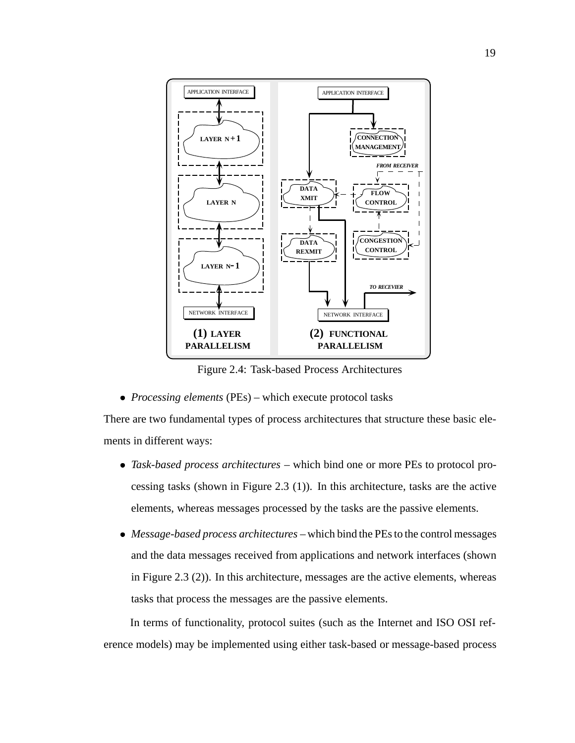

Figure 2.4: Task-based Process Architectures

*Processing elements* (PEs) – which execute protocol tasks

There are two fundamental types of process architectures that structure these basic elements in different ways:

- *Task-based process architectures* which bind one or more PEs to protocol processing tasks (shown in Figure 2.3 (1)). In this architecture, tasks are the active elements, whereas messages processed by the tasks are the passive elements.
- *Message-based process architectures* which bind the PEs to the control messages and the data messages received from applications and network interfaces (shown in Figure 2.3 (2)). In this architecture, messages are the active elements, whereas tasks that process the messages are the passive elements.

In terms of functionality, protocol suites (such as the Internet and ISO OSI reference models) may be implemented using either task-based or message-based process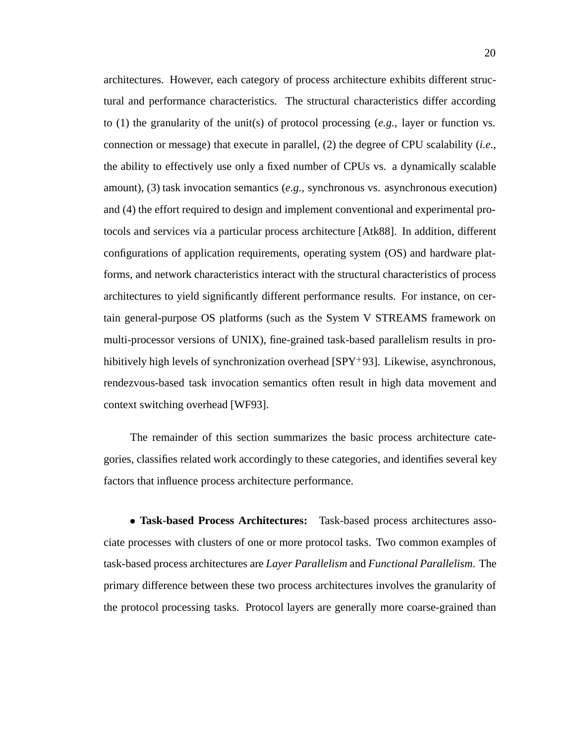architectures. However, each category of process architecture exhibits different structural and performance characteristics. The structural characteristics differ according to (1) the granularity of the unit(s) of protocol processing (*e.g.,* layer or function vs. connection or message) that execute in parallel, (2) the degree of CPU scalability (*i.e.,* the ability to effectively use only a fixed number of CPUs vs. a dynamically scalable amount), (3) task invocation semantics (*e.g.,* synchronous vs. asynchronous execution) and (4) the effort required to design and implement conventional and experimental protocols and services via a particular process architecture [Atk88]. In addition, different configurations of application requirements, operating system (OS) and hardware platforms, and network characteristics interact with the structural characteristics of process architectures to yield significantly different performance results. For instance, on certain general-purpose OS platforms (such as the System V STREAMS framework on multi-processor versions of UNIX), fine-grained task-based parallelism results in prohibitively high levels of synchronization overhead [SPY<sup>+</sup> 93]. Likewise, asynchronous, rendezvous-based task invocation semantics often result in high data movement and context switching overhead [WF93].

The remainder of this section summarizes the basic process architecture categories, classifies related work accordingly to these categories, and identifies several key factors that influence process architecture performance.

 **Task-based Process Architectures:** Task-based process architectures associate processes with clusters of one or more protocol tasks. Two common examples of task-based process architectures are *Layer Parallelism* and *Functional Parallelism*. The primary difference between these two process architectures involves the granularity of the protocol processing tasks. Protocol layers are generally more coarse-grained than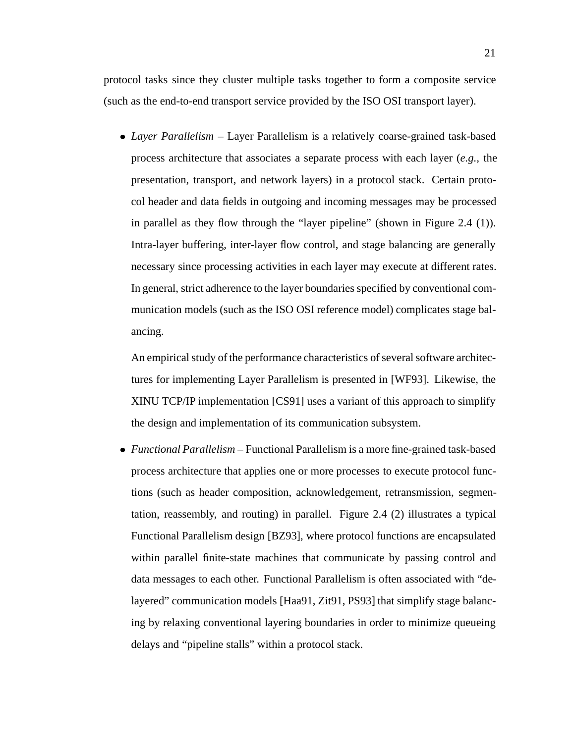protocol tasks since they cluster multiple tasks together to form a composite service (such as the end-to-end transport service provided by the ISO OSI transport layer).

 *Layer Parallelism* – Layer Parallelism is a relatively coarse-grained task-based process architecture that associates a separate process with each layer (*e.g.,* the presentation, transport, and network layers) in a protocol stack. Certain protocol header and data fields in outgoing and incoming messages may be processed in parallel as they flow through the "layer pipeline" (shown in Figure 2.4 (1)). Intra-layer buffering, inter-layer flow control, and stage balancing are generally necessary since processing activities in each layer may execute at different rates. In general, strict adherence to the layer boundaries specified by conventional communication models (such as the ISO OSI reference model) complicates stage balancing.

An empirical study of the performance characteristics of several software architectures for implementing Layer Parallelism is presented in [WF93]. Likewise, the XINU TCP/IP implementation [CS91] uses a variant of this approach to simplify the design and implementation of its communication subsystem.

 *Functional Parallelism* – Functional Parallelism is a more fine-grained task-based process architecture that applies one or more processes to execute protocol functions (such as header composition, acknowledgement, retransmission, segmentation, reassembly, and routing) in parallel. Figure 2.4 (2) illustrates a typical Functional Parallelism design [BZ93], where protocol functions are encapsulated within parallel finite-state machines that communicate by passing control and data messages to each other. Functional Parallelism is often associated with "delayered" communication models [Haa91, Zit91, PS93] that simplify stage balancing by relaxing conventional layering boundaries in order to minimize queueing delays and "pipeline stalls" within a protocol stack.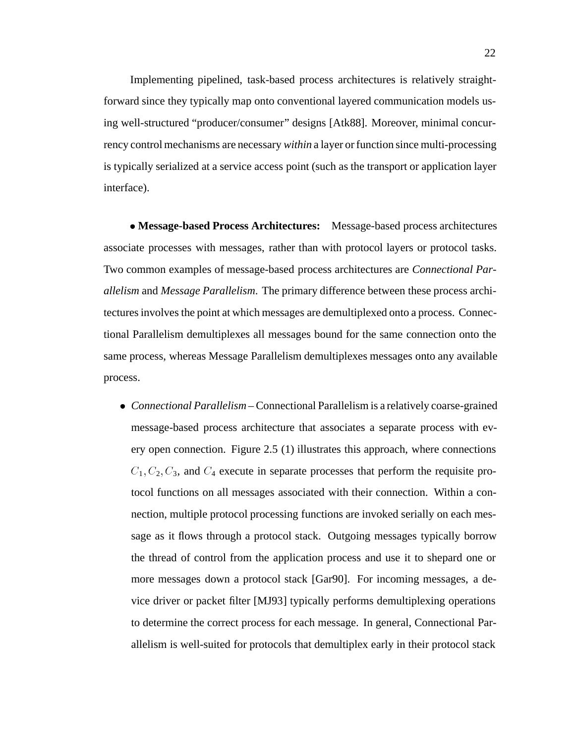Implementing pipelined, task-based process architectures is relatively straightforward since they typically map onto conventional layered communication models using well-structured "producer/consumer" designs [Atk88]. Moreover, minimal concurrency control mechanisms are necessary *within* a layer or function since multi-processing is typically serialized at a service access point (such as the transport or application layer interface).

 **Message-based Process Architectures:** Message-based process architectures associate processes with messages, rather than with protocol layers or protocol tasks. Two common examples of message-based process architectures are *Connectional Parallelism* and *Message Parallelism*. The primary difference between these process architectures involves the point at which messages are demultiplexed onto a process. Connectional Parallelism demultiplexes all messages bound for the same connection onto the same process, whereas Message Parallelism demultiplexes messages onto any available process.

 *Connectional Parallelism* – Connectional Parallelism is a relatively coarse-grained message-based process architecture that associates a separate process with every open connection. Figure 2.5 (1) illustrates this approach, where connections  $C_1, C_2, C_3$ , and  $C_4$  execute in separate processes that perform the requisite protocol functions on all messages associated with their connection. Within a connection, multiple protocol processing functions are invoked serially on each message as it flows through a protocol stack. Outgoing messages typically borrow the thread of control from the application process and use it to shepard one or more messages down a protocol stack [Gar90]. For incoming messages, a device driver or packet filter [MJ93] typically performs demultiplexing operations to determine the correct process for each message. In general, Connectional Parallelism is well-suited for protocols that demultiplex early in their protocol stack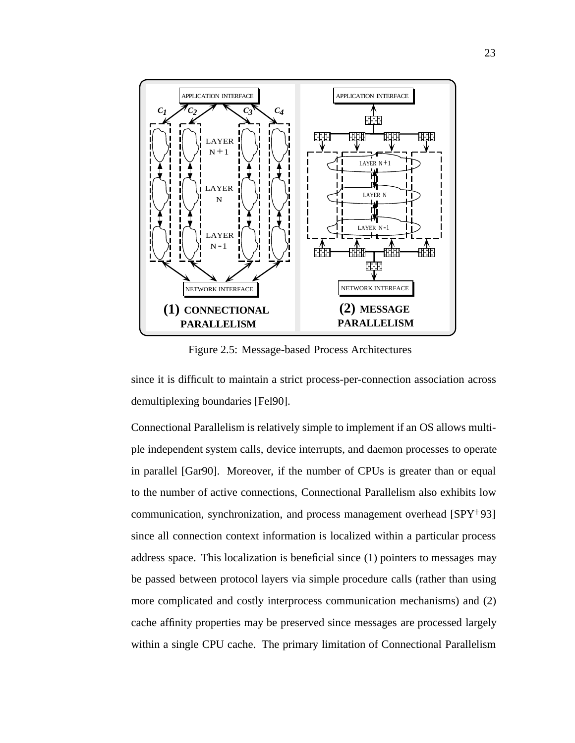

Figure 2.5: Message-based Process Architectures

since it is difficult to maintain a strict process-per-connection association across demultiplexing boundaries [Fel90].

Connectional Parallelism is relatively simple to implement if an OS allows multiple independent system calls, device interrupts, and daemon processes to operate in parallel [Gar90]. Moreover, if the number of CPUs is greater than or equal to the number of active connections, Connectional Parallelism also exhibits low communication, synchronization, and process management overhead [SPY<sup>+</sup> 93] since all connection context information is localized within a particular process address space. This localization is beneficial since (1) pointers to messages may be passed between protocol layers via simple procedure calls (rather than using more complicated and costly interprocess communication mechanisms) and (2) cache affinity properties may be preserved since messages are processed largely within a single CPU cache. The primary limitation of Connectional Parallelism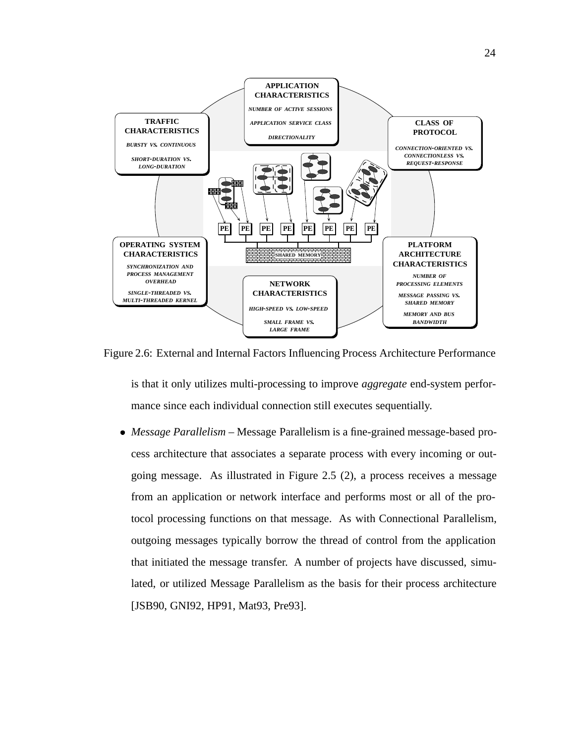

Figure 2.6: External and Internal Factors Influencing Process Architecture Performance

is that it only utilizes multi-processing to improve *aggregate* end-system performance since each individual connection still executes sequentially.

 *Message Parallelism* – Message Parallelism is a fine-grained message-based process architecture that associates a separate process with every incoming or outgoing message. As illustrated in Figure 2.5 (2), a process receives a message from an application or network interface and performs most or all of the protocol processing functions on that message. As with Connectional Parallelism, outgoing messages typically borrow the thread of control from the application that initiated the message transfer. A number of projects have discussed, simulated, or utilized Message Parallelism as the basis for their process architecture [JSB90, GNI92, HP91, Mat93, Pre93].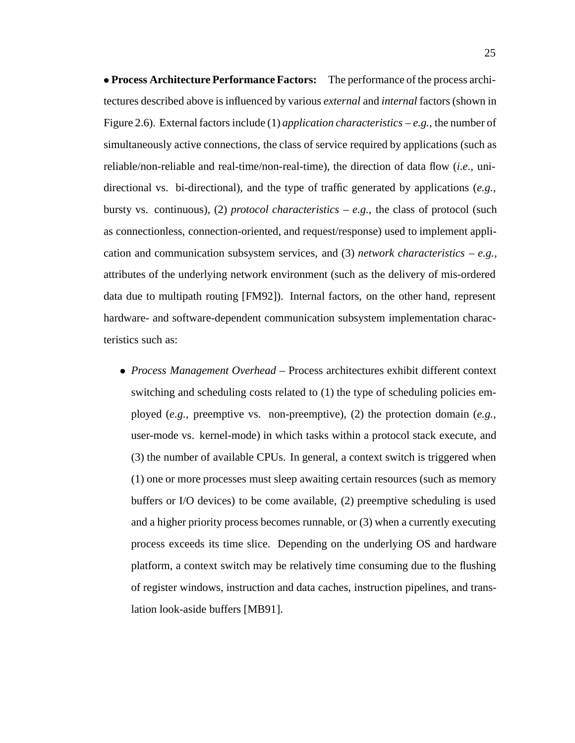**Process Architecture Performance Factors:** The performance of the process architectures described above is influenced by various *external* and *internal* factors (shown in Figure 2.6). External factors include (1) *application characteristics* – *e.g.,* the number of simultaneously active connections, the class of service required by applications (such as reliable/non-reliable and real-time/non-real-time), the direction of data flow (*i.e.,* unidirectional vs. bi-directional), and the type of traffic generated by applications (*e.g.,* bursty vs. continuous), (2) *protocol characteristics* – *e.g.*, the class of protocol (such as connectionless, connection-oriented, and request/response) used to implement application and communication subsystem services, and (3) *network characteristics* – *e.g.,* attributes of the underlying network environment (such as the delivery of mis-ordered data due to multipath routing [FM92]). Internal factors, on the other hand, represent hardware- and software-dependent communication subsystem implementation characteristics such as:

 *Process Management Overhead* – Process architectures exhibit different context switching and scheduling costs related to (1) the type of scheduling policies employed (*e.g.,* preemptive vs. non-preemptive), (2) the protection domain (*e.g.,* user-mode vs. kernel-mode) in which tasks within a protocol stack execute, and (3) the number of available CPUs. In general, a context switch is triggered when (1) one or more processes must sleep awaiting certain resources (such as memory buffers or I/O devices) to be come available, (2) preemptive scheduling is used and a higher priority process becomes runnable, or (3) when a currently executing process exceeds its time slice. Depending on the underlying OS and hardware platform, a context switch may be relatively time consuming due to the flushing of register windows, instruction and data caches, instruction pipelines, and translation look-aside buffers [MB91].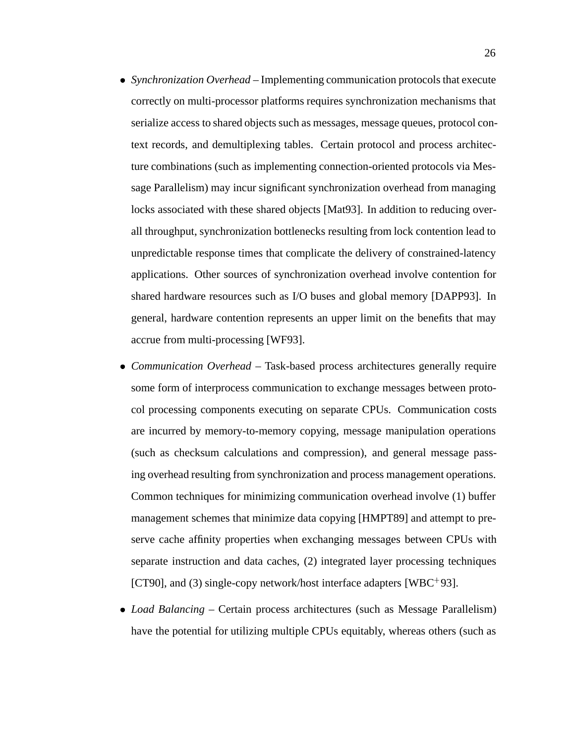- *Synchronization Overhead* Implementing communication protocols that execute correctly on multi-processor platforms requires synchronization mechanisms that serialize access to shared objects such as messages, message queues, protocol context records, and demultiplexing tables. Certain protocol and process architecture combinations (such as implementing connection-oriented protocols via Message Parallelism) may incur significant synchronization overhead from managing locks associated with these shared objects [Mat93]. In addition to reducing overall throughput, synchronization bottlenecks resulting from lock contention lead to unpredictable response times that complicate the delivery of constrained-latency applications. Other sources of synchronization overhead involve contention for shared hardware resources such as I/O buses and global memory [DAPP93]. In general, hardware contention represents an upper limit on the benefits that may accrue from multi-processing [WF93].
- *Communication Overhead* Task-based process architectures generally require some form of interprocess communication to exchange messages between protocol processing components executing on separate CPUs. Communication costs are incurred by memory-to-memory copying, message manipulation operations (such as checksum calculations and compression), and general message passing overhead resulting from synchronization and process management operations. Common techniques for minimizing communication overhead involve (1) buffer management schemes that minimize data copying [HMPT89] and attempt to preserve cache affinity properties when exchanging messages between CPUs with separate instruction and data caches, (2) integrated layer processing techniques [CT90], and (3) single-copy network/host interface adapters [WBC<sup>+</sup> 93].
- *Load Balancing* Certain process architectures (such as Message Parallelism) have the potential for utilizing multiple CPUs equitably, whereas others (such as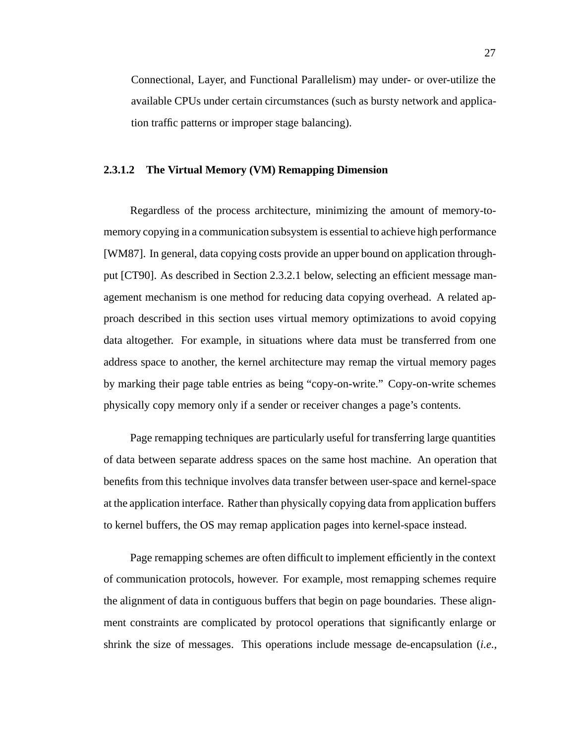Connectional, Layer, and Functional Parallelism) may under- or over-utilize the available CPUs under certain circumstances (such as bursty network and application traffic patterns or improper stage balancing).

## **2.3.1.2 The Virtual Memory (VM) Remapping Dimension**

Regardless of the process architecture, minimizing the amount of memory-tomemory copying in a communication subsystem is essential to achieve high performance [WM87]. In general, data copying costs provide an upper bound on application throughput [CT90]. As described in Section 2.3.2.1 below, selecting an efficient message management mechanism is one method for reducing data copying overhead. A related approach described in this section uses virtual memory optimizations to avoid copying data altogether. For example, in situations where data must be transferred from one address space to another, the kernel architecture may remap the virtual memory pages by marking their page table entries as being "copy-on-write." Copy-on-write schemes physically copy memory only if a sender or receiver changes a page's contents.

Page remapping techniques are particularly useful for transferring large quantities of data between separate address spaces on the same host machine. An operation that benefits from this technique involves data transfer between user-space and kernel-space at the application interface. Rather than physically copying data from application buffers to kernel buffers, the OS may remap application pages into kernel-space instead.

Page remapping schemes are often difficult to implement efficiently in the context of communication protocols, however. For example, most remapping schemes require the alignment of data in contiguous buffers that begin on page boundaries. These alignment constraints are complicated by protocol operations that significantly enlarge or shrink the size of messages. This operations include message de-encapsulation (*i.e.,*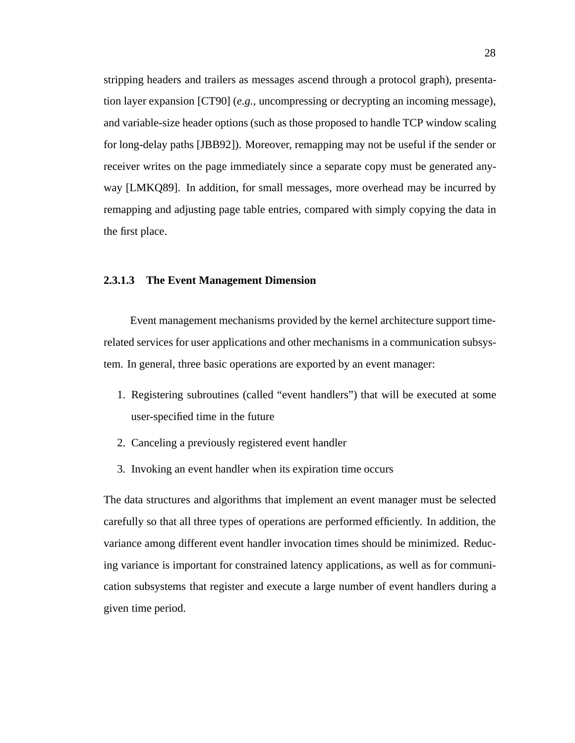stripping headers and trailers as messages ascend through a protocol graph), presentation layer expansion [CT90] (*e.g.,* uncompressing or decrypting an incoming message), and variable-size header options (such as those proposed to handle TCP window scaling for long-delay paths [JBB92]). Moreover, remapping may not be useful if the sender or receiver writes on the page immediately since a separate copy must be generated anyway [LMKQ89]. In addition, for small messages, more overhead may be incurred by remapping and adjusting page table entries, compared with simply copying the data in the first place.

## **2.3.1.3 The Event Management Dimension**

Event management mechanisms provided by the kernel architecture support timerelated services for user applications and other mechanisms in a communication subsystem. In general, three basic operations are exported by an event manager:

- 1. Registering subroutines (called "event handlers") that will be executed at some user-specified time in the future
- 2. Canceling a previously registered event handler
- 3. Invoking an event handler when its expiration time occurs

The data structures and algorithms that implement an event manager must be selected carefully so that all three types of operations are performed efficiently. In addition, the variance among different event handler invocation times should be minimized. Reducing variance is important for constrained latency applications, as well as for communication subsystems that register and execute a large number of event handlers during a given time period.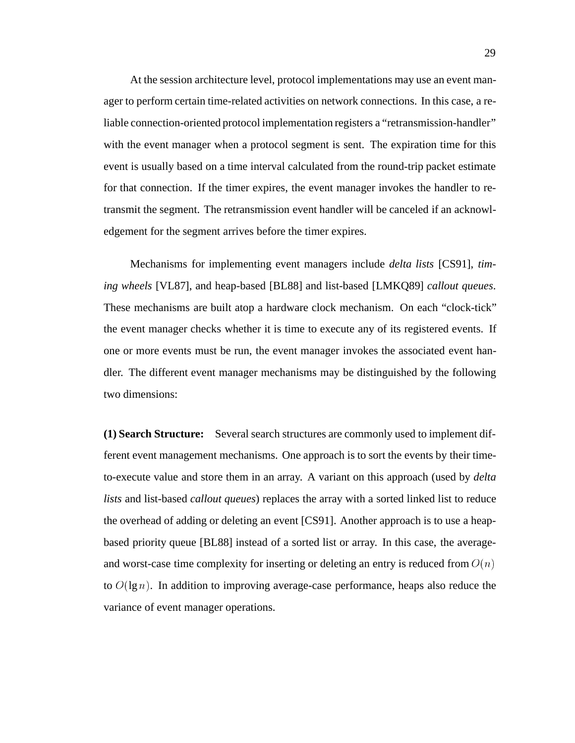At the session architecture level, protocol implementations may use an event manager to perform certain time-related activities on network connections. In this case, a reliable connection-oriented protocol implementation registers a "retransmission-handler" with the event manager when a protocol segment is sent. The expiration time for this event is usually based on a time interval calculated from the round-trip packet estimate for that connection. If the timer expires, the event manager invokes the handler to retransmit the segment. The retransmission event handler will be canceled if an acknowledgement for the segment arrives before the timer expires.

Mechanisms for implementing event managers include *delta lists* [CS91], *timing wheels* [VL87], and heap-based [BL88] and list-based [LMKQ89] *callout queues*. These mechanisms are built atop a hardware clock mechanism. On each "clock-tick" the event manager checks whether it is time to execute any of its registered events. If one or more events must be run, the event manager invokes the associated event handler. The different event manager mechanisms may be distinguished by the following two dimensions:

**(1) Search Structure:** Several search structures are commonly used to implement different event management mechanisms. One approach is to sort the events by their timeto-execute value and store them in an array. A variant on this approach (used by *delta lists* and list-based *callout queues*) replaces the array with a sorted linked list to reduce the overhead of adding or deleting an event [CS91]. Another approach is to use a heapbased priority queue [BL88] instead of a sorted list or array. In this case, the averageand worst-case time complexity for inserting or deleting an entry is reduced from  $O(n)$ to  $O(\lg n)$ . In addition to improving average-case performance, heaps also reduce the variance of event manager operations.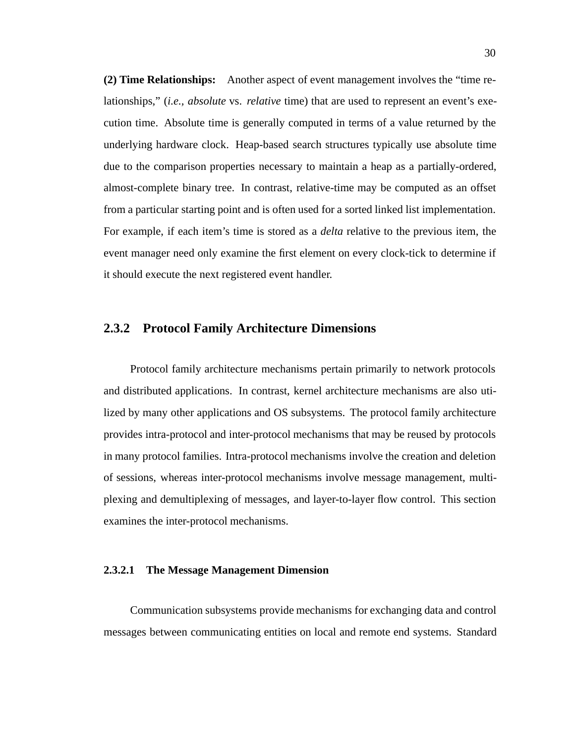**(2) Time Relationships:** Another aspect of event management involves the "time relationships," (*i.e., absolute* vs. *relative* time) that are used to represent an event's execution time. Absolute time is generally computed in terms of a value returned by the underlying hardware clock. Heap-based search structures typically use absolute time due to the comparison properties necessary to maintain a heap as a partially-ordered, almost-complete binary tree. In contrast, relative-time may be computed as an offset from a particular starting point and is often used for a sorted linked list implementation. For example, if each item's time is stored as a *delta* relative to the previous item, the event manager need only examine the first element on every clock-tick to determine if it should execute the next registered event handler.

## **2.3.2 Protocol Family Architecture Dimensions**

Protocol family architecture mechanisms pertain primarily to network protocols and distributed applications. In contrast, kernel architecture mechanisms are also utilized by many other applications and OS subsystems. The protocol family architecture provides intra-protocol and inter-protocol mechanisms that may be reused by protocols in many protocol families. Intra-protocol mechanisms involve the creation and deletion of sessions, whereas inter-protocol mechanisms involve message management, multiplexing and demultiplexing of messages, and layer-to-layer flow control. This section examines the inter-protocol mechanisms.

## **2.3.2.1 The Message Management Dimension**

Communication subsystems provide mechanisms for exchanging data and control messages between communicating entities on local and remote end systems. Standard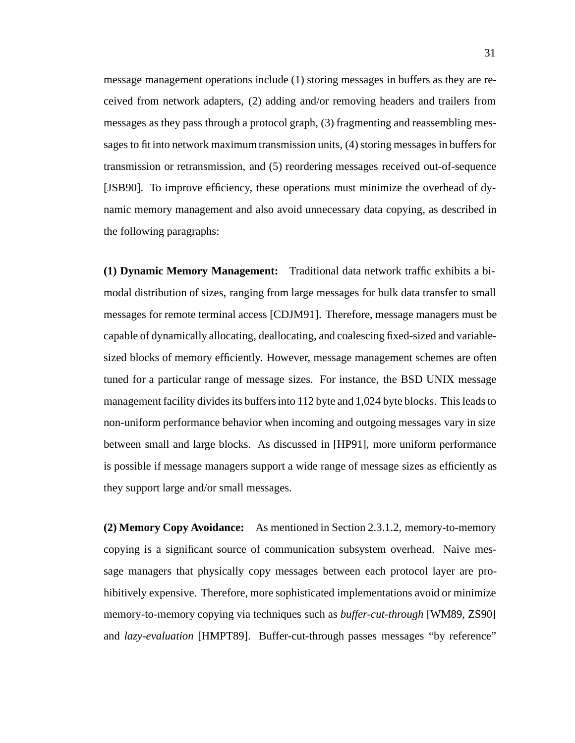message management operations include (1) storing messages in buffers as they are received from network adapters, (2) adding and/or removing headers and trailers from messages as they pass through a protocol graph, (3) fragmenting and reassembling messages to fit into network maximum transmission units, (4) storing messages in buffers for transmission or retransmission, and (5) reordering messages received out-of-sequence [JSB90]. To improve efficiency, these operations must minimize the overhead of dynamic memory management and also avoid unnecessary data copying, as described in the following paragraphs:

**(1) Dynamic Memory Management:** Traditional data network traffic exhibits a bimodal distribution of sizes, ranging from large messages for bulk data transfer to small messages for remote terminal access [CDJM91]. Therefore, message managers must be capable of dynamically allocating, deallocating, and coalescing fixed-sized and variablesized blocks of memory efficiently. However, message management schemes are often tuned for a particular range of message sizes. For instance, the BSD UNIX message management facility divides its buffers into 112 byte and 1,024 byte blocks. This leads to non-uniform performance behavior when incoming and outgoing messages vary in size between small and large blocks. As discussed in [HP91], more uniform performance is possible if message managers support a wide range of message sizes as efficiently as they support large and/or small messages.

**(2) Memory Copy Avoidance:** As mentioned in Section 2.3.1.2, memory-to-memory copying is a significant source of communication subsystem overhead. Naive message managers that physically copy messages between each protocol layer are prohibitively expensive. Therefore, more sophisticated implementations avoid or minimize memory-to-memory copying via techniques such as *buffer-cut-through* [WM89, ZS90] and *lazy-evaluation* [HMPT89]. Buffer-cut-through passes messages "by reference"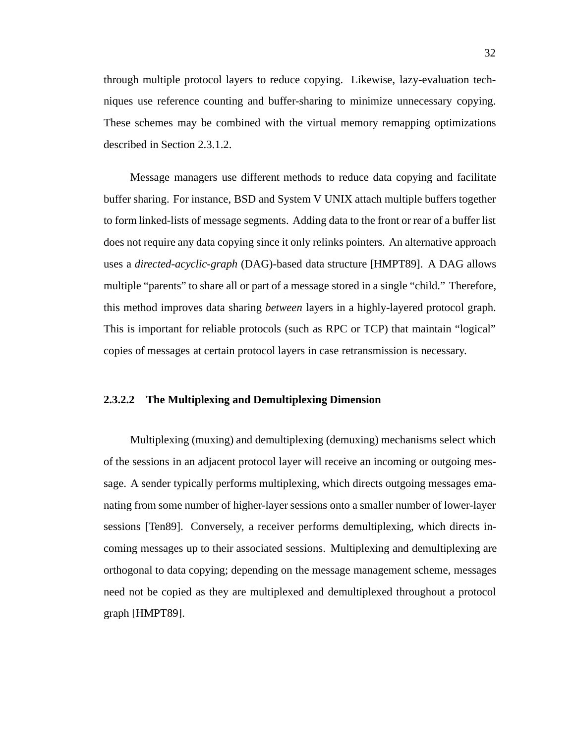through multiple protocol layers to reduce copying. Likewise, lazy-evaluation techniques use reference counting and buffer-sharing to minimize unnecessary copying. These schemes may be combined with the virtual memory remapping optimizations described in Section 2.3.1.2.

Message managers use different methods to reduce data copying and facilitate buffer sharing. For instance, BSD and System V UNIX attach multiple buffers together to form linked-lists of message segments. Adding data to the front or rear of a buffer list does not require any data copying since it only relinks pointers. An alternative approach uses a *directed-acyclic-graph* (DAG)-based data structure [HMPT89]. A DAG allows multiple "parents" to share all or part of a message stored in a single "child." Therefore, this method improves data sharing *between* layers in a highly-layered protocol graph. This is important for reliable protocols (such as RPC or TCP) that maintain "logical" copies of messages at certain protocol layers in case retransmission is necessary.

## **2.3.2.2 The Multiplexing and Demultiplexing Dimension**

Multiplexing (muxing) and demultiplexing (demuxing) mechanisms select which of the sessions in an adjacent protocol layer will receive an incoming or outgoing message. A sender typically performs multiplexing, which directs outgoing messages emanating from some number of higher-layer sessions onto a smaller number of lower-layer sessions [Ten89]. Conversely, a receiver performs demultiplexing, which directs incoming messages up to their associated sessions. Multiplexing and demultiplexing are orthogonal to data copying; depending on the message management scheme, messages need not be copied as they are multiplexed and demultiplexed throughout a protocol graph [HMPT89].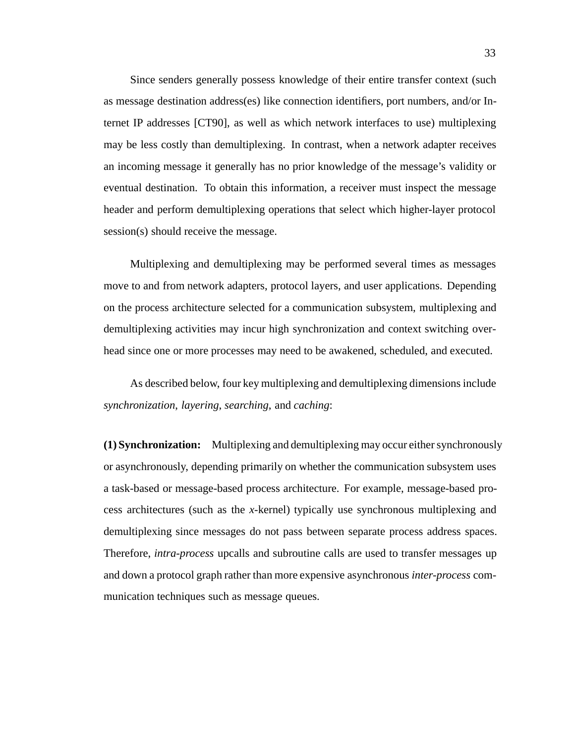Since senders generally possess knowledge of their entire transfer context (such as message destination address(es) like connection identifiers, port numbers, and/or Internet IP addresses [CT90], as well as which network interfaces to use) multiplexing may be less costly than demultiplexing. In contrast, when a network adapter receives an incoming message it generally has no prior knowledge of the message's validity or eventual destination. To obtain this information, a receiver must inspect the message header and perform demultiplexing operations that select which higher-layer protocol session(s) should receive the message.

Multiplexing and demultiplexing may be performed several times as messages move to and from network adapters, protocol layers, and user applications. Depending on the process architecture selected for a communication subsystem, multiplexing and demultiplexing activities may incur high synchronization and context switching overhead since one or more processes may need to be awakened, scheduled, and executed.

As described below, four key multiplexing and demultiplexing dimensions include *synchronization*, *layering*, *searching*, and *caching*:

**(1) Synchronization:** Multiplexing and demultiplexing may occur either synchronously or asynchronously, depending primarily on whether the communication subsystem uses a task-based or message-based process architecture. For example, message-based process architectures (such as the *x*-kernel) typically use synchronous multiplexing and demultiplexing since messages do not pass between separate process address spaces. Therefore, *intra-process* upcalls and subroutine calls are used to transfer messages up and down a protocol graph rather than more expensive asynchronous *inter-process* communication techniques such as message queues.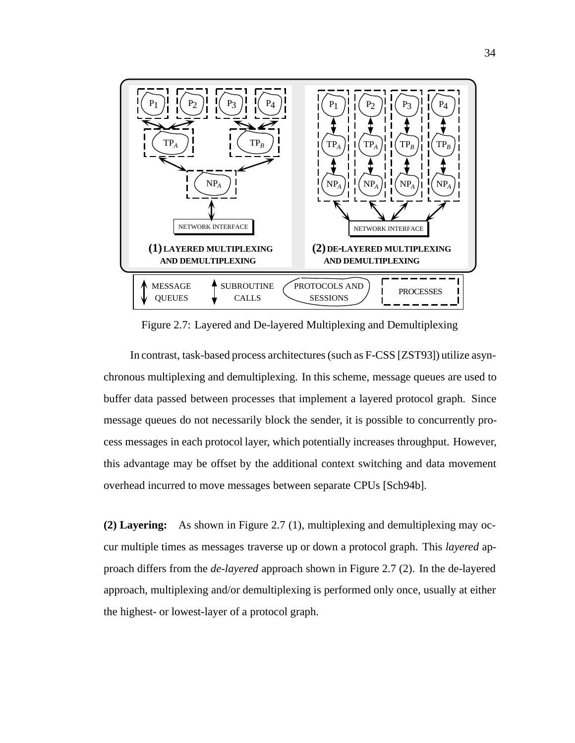

Figure 2.7: Layered and De-layered Multiplexing and Demultiplexing

In contrast, task-based process architectures (such as F-CSS [ZST93]) utilize asynchronous multiplexing and demultiplexing. In this scheme, message queues are used to buffer data passed between processes that implement a layered protocol graph. Since message queues do not necessarily block the sender, it is possible to concurrently process messages in each protocol layer, which potentially increases throughput. However, this advantage may be offset by the additional context switching and data movement overhead incurred to move messages between separate CPUs [Sch94b].

**(2) Layering:** As shown in Figure 2.7 (1), multiplexing and demultiplexing may occur multiple times as messages traverse up or down a protocol graph. This *layered* approach differs from the *de-layered* approach shown in Figure 2.7 (2). In the de-layered approach, multiplexing and/or demultiplexing is performed only once, usually at either the highest- or lowest-layer of a protocol graph.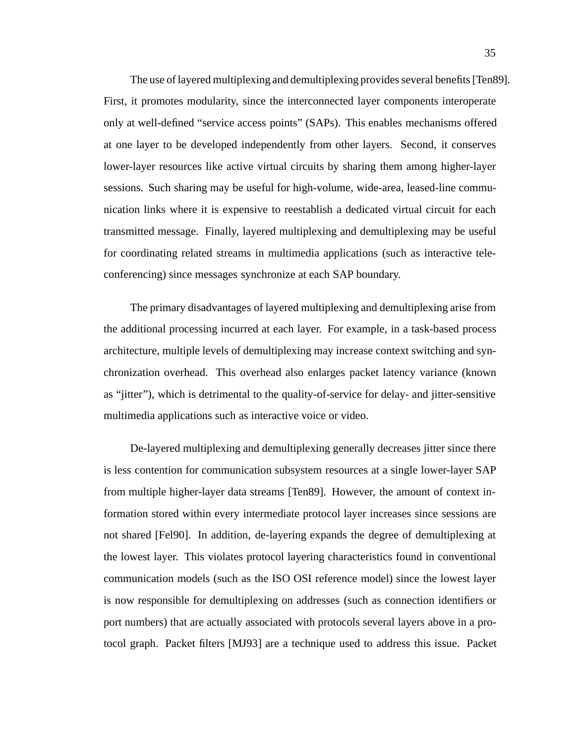The use of layered multiplexing and demultiplexing provides several benefits [Ten89]. First, it promotes modularity, since the interconnected layer components interoperate only at well-defined "service access points" (SAPs). This enables mechanisms offered at one layer to be developed independently from other layers. Second, it conserves lower-layer resources like active virtual circuits by sharing them among higher-layer sessions. Such sharing may be useful for high-volume, wide-area, leased-line communication links where it is expensive to reestablish a dedicated virtual circuit for each transmitted message. Finally, layered multiplexing and demultiplexing may be useful for coordinating related streams in multimedia applications (such as interactive teleconferencing) since messages synchronize at each SAP boundary.

The primary disadvantages of layered multiplexing and demultiplexing arise from the additional processing incurred at each layer. For example, in a task-based process architecture, multiple levels of demultiplexing may increase context switching and synchronization overhead. This overhead also enlarges packet latency variance (known as "jitter"), which is detrimental to the quality-of-service for delay- and jitter-sensitive multimedia applications such as interactive voice or video.

De-layered multiplexing and demultiplexing generally decreases jitter since there is less contention for communication subsystem resources at a single lower-layer SAP from multiple higher-layer data streams [Ten89]. However, the amount of context information stored within every intermediate protocol layer increases since sessions are not shared [Fel90]. In addition, de-layering expands the degree of demultiplexing at the lowest layer. This violates protocol layering characteristics found in conventional communication models (such as the ISO OSI reference model) since the lowest layer is now responsible for demultiplexing on addresses (such as connection identifiers or port numbers) that are actually associated with protocols several layers above in a protocol graph. Packet filters [MJ93] are a technique used to address this issue. Packet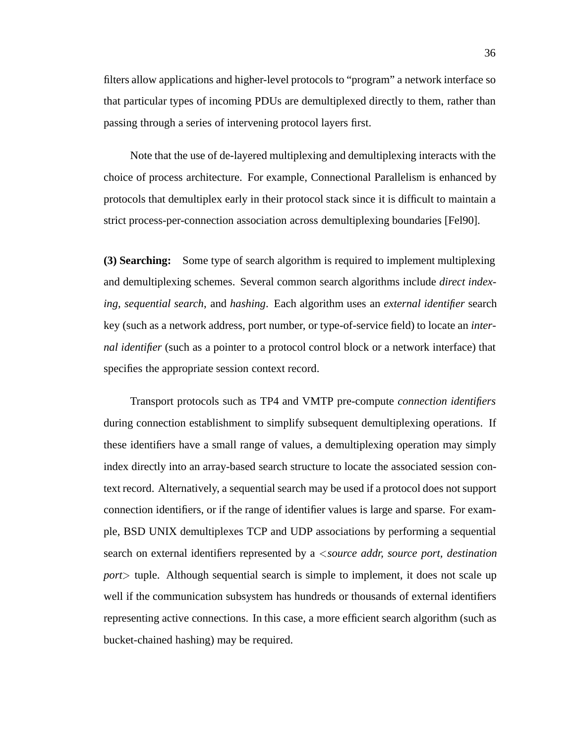filters allow applications and higher-level protocols to "program" a network interface so that particular types of incoming PDUs are demultiplexed directly to them, rather than passing through a series of intervening protocol layers first.

Note that the use of de-layered multiplexing and demultiplexing interacts with the choice of process architecture. For example, Connectional Parallelism is enhanced by protocols that demultiplex early in their protocol stack since it is difficult to maintain a strict process-per-connection association across demultiplexing boundaries [Fel90].

**(3) Searching:** Some type of search algorithm is required to implement multiplexing and demultiplexing schemes. Several common search algorithms include *direct indexing*, *sequential search*, and *hashing*. Each algorithm uses an *external identifier* search key (such as a network address, port number, or type-of-service field) to locate an *internal identifier* (such as a pointer to a protocol control block or a network interface) that specifies the appropriate session context record.

Transport protocols such as TP4 and VMTP pre-compute *connection identifiers* during connection establishment to simplify subsequent demultiplexing operations. If these identifiers have a small range of values, a demultiplexing operation may simply index directly into an array-based search structure to locate the associated session context record. Alternatively, a sequential search may be used if a protocol does not support connection identifiers, or if the range of identifier values is large and sparse. For example, BSD UNIX demultiplexes TCP and UDP associations by performing a sequential search on external identifiers represented by a <sup>&</sup>lt;*source addr, source port, destination port*<sup>&</sup>gt; tuple. Although sequential search is simple to implement, it does not scale up well if the communication subsystem has hundreds or thousands of external identifiers representing active connections. In this case, a more efficient search algorithm (such as bucket-chained hashing) may be required.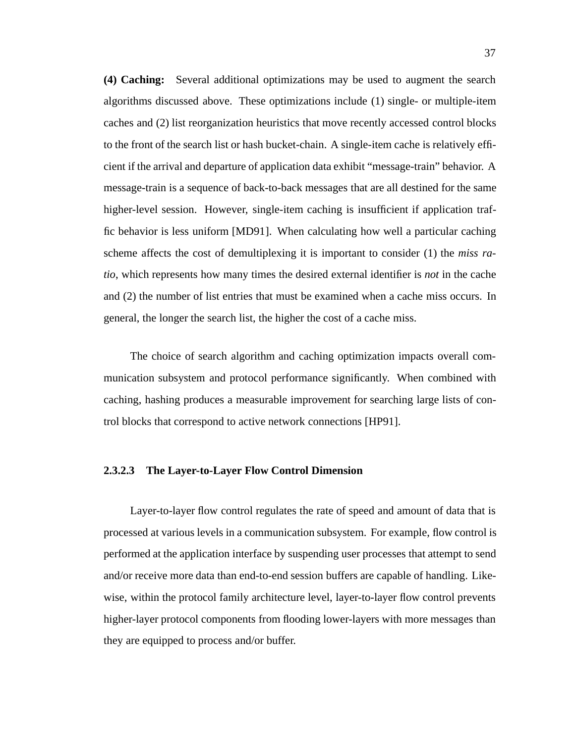**(4) Caching:** Several additional optimizations may be used to augment the search algorithms discussed above. These optimizations include (1) single- or multiple-item caches and (2) list reorganization heuristics that move recently accessed control blocks to the front of the search list or hash bucket-chain. A single-item cache is relatively efficient if the arrival and departure of application data exhibit "message-train" behavior. A message-train is a sequence of back-to-back messages that are all destined for the same higher-level session. However, single-item caching is insufficient if application traffic behavior is less uniform [MD91]. When calculating how well a particular caching scheme affects the cost of demultiplexing it is important to consider (1) the *miss ratio*, which represents how many times the desired external identifier is *not* in the cache and (2) the number of list entries that must be examined when a cache miss occurs. In general, the longer the search list, the higher the cost of a cache miss.

The choice of search algorithm and caching optimization impacts overall communication subsystem and protocol performance significantly. When combined with caching, hashing produces a measurable improvement for searching large lists of control blocks that correspond to active network connections [HP91].

## **2.3.2.3 The Layer-to-Layer Flow Control Dimension**

Layer-to-layer flow control regulates the rate of speed and amount of data that is processed at various levels in a communication subsystem. For example, flow control is performed at the application interface by suspending user processes that attempt to send and/or receive more data than end-to-end session buffers are capable of handling. Likewise, within the protocol family architecture level, layer-to-layer flow control prevents higher-layer protocol components from flooding lower-layers with more messages than they are equipped to process and/or buffer.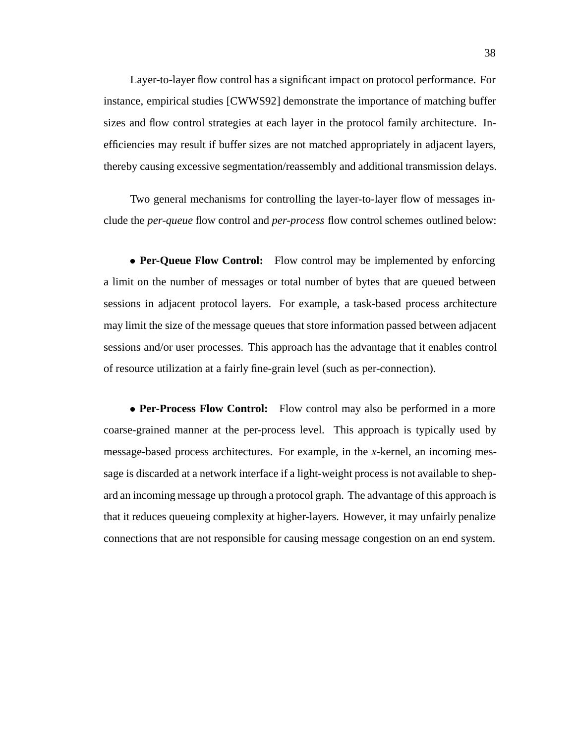Layer-to-layer flow control has a significant impact on protocol performance. For instance, empirical studies [CWWS92] demonstrate the importance of matching buffer sizes and flow control strategies at each layer in the protocol family architecture. Inefficiencies may result if buffer sizes are not matched appropriately in adjacent layers, thereby causing excessive segmentation/reassembly and additional transmission delays.

Two general mechanisms for controlling the layer-to-layer flow of messages include the *per-queue* flow control and *per-process* flow control schemes outlined below:

• **Per-Queue Flow Control:** Flow control may be implemented by enforcing a limit on the number of messages or total number of bytes that are queued between sessions in adjacent protocol layers. For example, a task-based process architecture may limit the size of the message queues that store information passed between adjacent sessions and/or user processes. This approach has the advantage that it enables control of resource utilization at a fairly fine-grain level (such as per-connection).

• **Per-Process Flow Control:** Flow control may also be performed in a more coarse-grained manner at the per-process level. This approach is typically used by message-based process architectures. For example, in the *x*-kernel, an incoming message is discarded at a network interface if a light-weight process is not available to shepard an incoming message up through a protocol graph. The advantage of this approach is that it reduces queueing complexity at higher-layers. However, it may unfairly penalize connections that are not responsible for causing message congestion on an end system.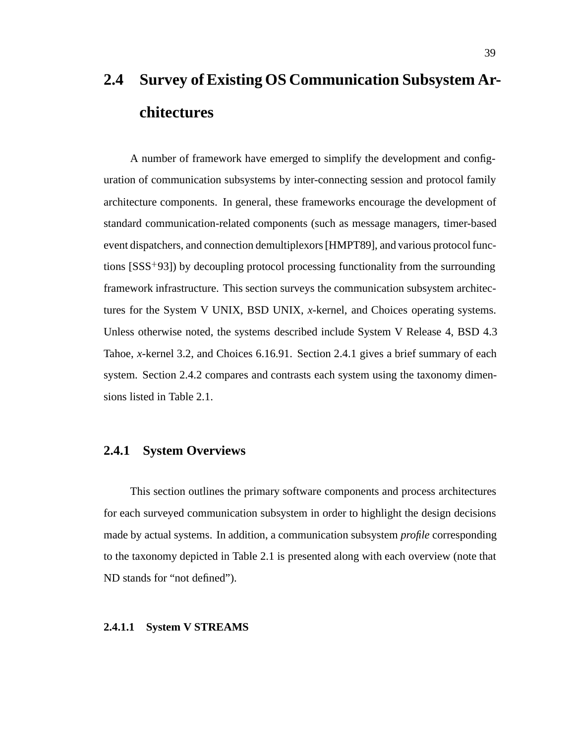# **2.4 Survey of Existing OS Communication Subsystem Architectures**

A number of framework have emerged to simplify the development and configuration of communication subsystems by inter-connecting session and protocol family architecture components. In general, these frameworks encourage the development of standard communication-related components (such as message managers, timer-based event dispatchers, and connection demultiplexors [HMPT89], and various protocol functions [SSS<sup>+</sup> 93]) by decoupling protocol processing functionality from the surrounding framework infrastructure. This section surveys the communication subsystem architectures for the System V UNIX, BSD UNIX, *x*-kernel, and Choices operating systems. Unless otherwise noted, the systems described include System V Release 4, BSD 4.3 Tahoe, *x*-kernel 3.2, and Choices 6.16.91. Section 2.4.1 gives a brief summary of each system. Section 2.4.2 compares and contrasts each system using the taxonomy dimensions listed in Table 2.1.

# **2.4.1 System Overviews**

This section outlines the primary software components and process architectures for each surveyed communication subsystem in order to highlight the design decisions made by actual systems. In addition, a communication subsystem *profile* corresponding to the taxonomy depicted in Table 2.1 is presented along with each overview (note that ND stands for "not defined").

#### **2.4.1.1 System V STREAMS**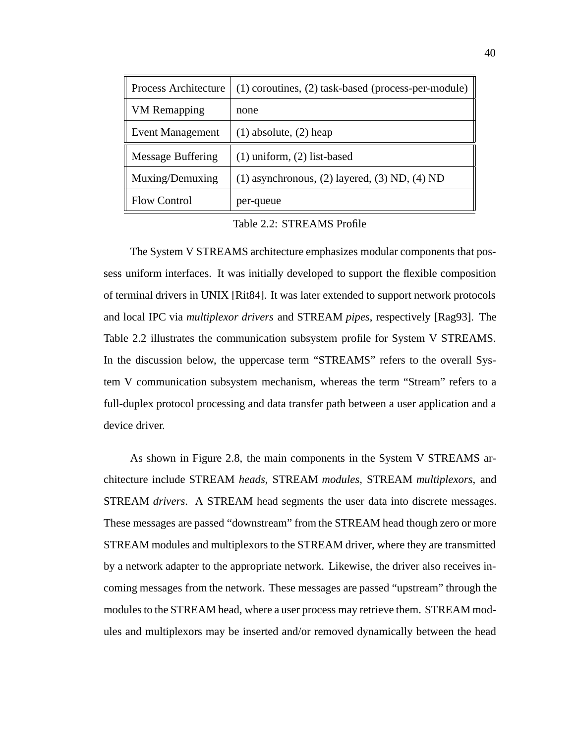| Process Architecture     | (1) coroutines, (2) task-based (process-per-module)   |
|--------------------------|-------------------------------------------------------|
| <b>VM</b> Remapping      | none                                                  |
| <b>Event Management</b>  | $(1)$ absolute, $(2)$ heap                            |
| <b>Message Buffering</b> | $(1)$ uniform, $(2)$ list-based                       |
| Muxing/Demuxing          | $(1)$ asynchronous, $(2)$ layered, $(3)$ ND, $(4)$ ND |
| <b>Flow Control</b>      | per-queue                                             |

Table 2.2: STREAMS Profile

The System V STREAMS architecture emphasizes modular components that possess uniform interfaces. It was initially developed to support the flexible composition of terminal drivers in UNIX [Rit84]. It was later extended to support network protocols and local IPC via *multiplexor drivers* and STREAM *pipes*, respectively [Rag93]. The Table 2.2 illustrates the communication subsystem profile for System V STREAMS. In the discussion below, the uppercase term "STREAMS" refers to the overall System V communication subsystem mechanism, whereas the term "Stream" refers to a full-duplex protocol processing and data transfer path between a user application and a device driver.

As shown in Figure 2.8, the main components in the System V STREAMS architecture include STREAM *heads*, STREAM *modules*, STREAM *multiplexors*, and STREAM *drivers*. A STREAM head segments the user data into discrete messages. These messages are passed "downstream" from the STREAM head though zero or more STREAM modules and multiplexors to the STREAM driver, where they are transmitted by a network adapter to the appropriate network. Likewise, the driver also receives incoming messages from the network. These messages are passed "upstream" through the modules to the STREAM head, where a user process may retrieve them. STREAM modules and multiplexors may be inserted and/or removed dynamically between the head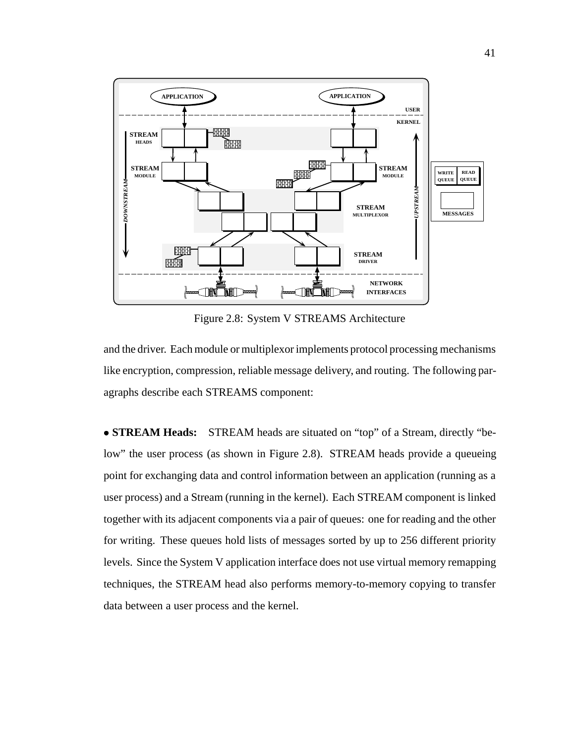

Figure 2.8: System V STREAMS Architecture

and the driver. Each module or multiplexor implements protocol processing mechanisms like encryption, compression, reliable message delivery, and routing. The following paragraphs describe each STREAMS component:

 **STREAM Heads:** STREAM heads are situated on "top" of a Stream, directly "below" the user process (as shown in Figure 2.8). STREAM heads provide a queueing point for exchanging data and control information between an application (running as a user process) and a Stream (running in the kernel). Each STREAM component is linked together with its adjacent components via a pair of queues: one for reading and the other for writing. These queues hold lists of messages sorted by up to 256 different priority levels. Since the System V application interface does not use virtual memory remapping techniques, the STREAM head also performs memory-to-memory copying to transfer data between a user process and the kernel.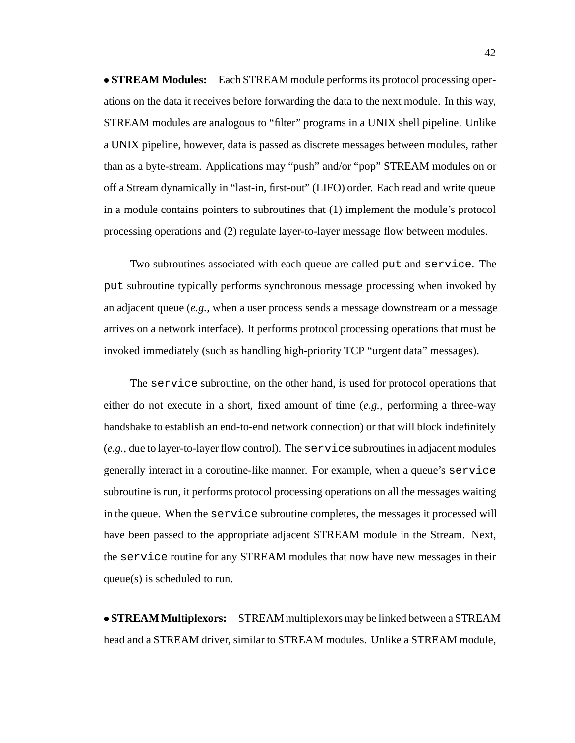**STREAM Modules:** Each STREAM module performs its protocol processing operations on the data it receives before forwarding the data to the next module. In this way, STREAM modules are analogous to "filter" programs in a UNIX shell pipeline. Unlike a UNIX pipeline, however, data is passed as discrete messages between modules, rather than as a byte-stream. Applications may "push" and/or "pop" STREAM modules on or off a Stream dynamically in "last-in, first-out" (LIFO) order. Each read and write queue in a module contains pointers to subroutines that (1) implement the module's protocol processing operations and (2) regulate layer-to-layer message flow between modules.

Two subroutines associated with each queue are called put and service. The put subroutine typically performs synchronous message processing when invoked by an adjacent queue (*e.g.,* when a user process sends a message downstream or a message arrives on a network interface). It performs protocol processing operations that must be invoked immediately (such as handling high-priority TCP "urgent data" messages).

The service subroutine, on the other hand, is used for protocol operations that either do not execute in a short, fixed amount of time (*e.g.,* performing a three-way handshake to establish an end-to-end network connection) or that will block indefinitely (*e.g.,* due to layer-to-layer flow control). The service subroutines in adjacent modules generally interact in a coroutine-like manner. For example, when a queue's service subroutine is run, it performs protocol processing operations on all the messages waiting in the queue. When the service subroutine completes, the messages it processed will have been passed to the appropriate adjacent STREAM module in the Stream. Next, the service routine for any STREAM modules that now have new messages in their queue(s) is scheduled to run.

 **STREAM Multiplexors:** STREAM multiplexors may be linked between a STREAM head and a STREAM driver, similar to STREAM modules. Unlike a STREAM module,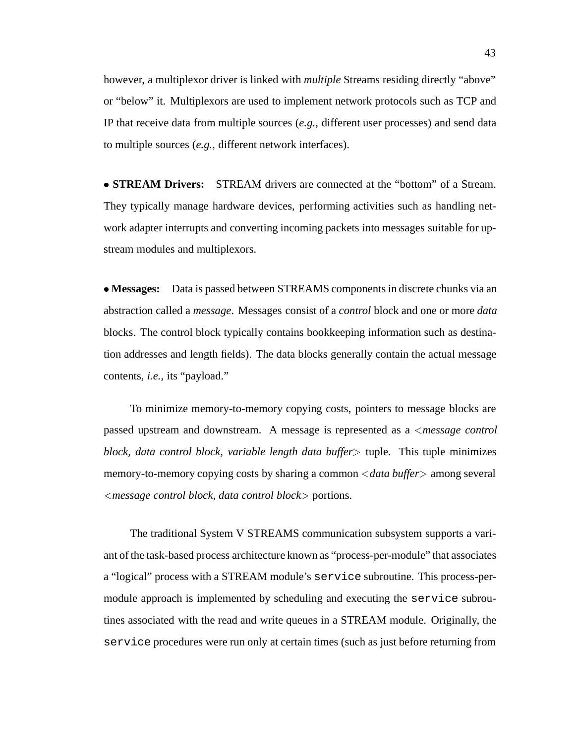however, a multiplexor driver is linked with *multiple* Streams residing directly "above" or "below" it. Multiplexors are used to implement network protocols such as TCP and IP that receive data from multiple sources (*e.g.,* different user processes) and send data to multiple sources (*e.g.,* different network interfaces).

 **STREAM Drivers:** STREAM drivers are connected at the "bottom" of a Stream. They typically manage hardware devices, performing activities such as handling network adapter interrupts and converting incoming packets into messages suitable for upstream modules and multiplexors.

 **Messages:** Data is passed between STREAMS components in discrete chunks via an abstraction called a *message*. Messages consist of a *control* block and one or more *data* blocks. The control block typically contains bookkeeping information such as destination addresses and length fields). The data blocks generally contain the actual message contents, *i.e.,* its "payload."

To minimize memory-to-memory copying costs, pointers to message blocks are passed upstream and downstream. A message is represented as a <sup>&</sup>lt;*message control block, data control block, variable length data buffer*<sup>&</sup>gt; tuple. This tuple minimizes memory-to-memory copying costs by sharing a common <sup>&</sup>lt;*data buffer*<sup>&</sup>gt; among several <sup>&</sup>lt;*message control block, data control block*<sup>&</sup>gt; portions.

The traditional System V STREAMS communication subsystem supports a variant of the task-based process architecture known as "process-per-module" that associates a "logical" process with a STREAM module's service subroutine. This process-permodule approach is implemented by scheduling and executing the service subroutines associated with the read and write queues in a STREAM module. Originally, the service procedures were run only at certain times (such as just before returning from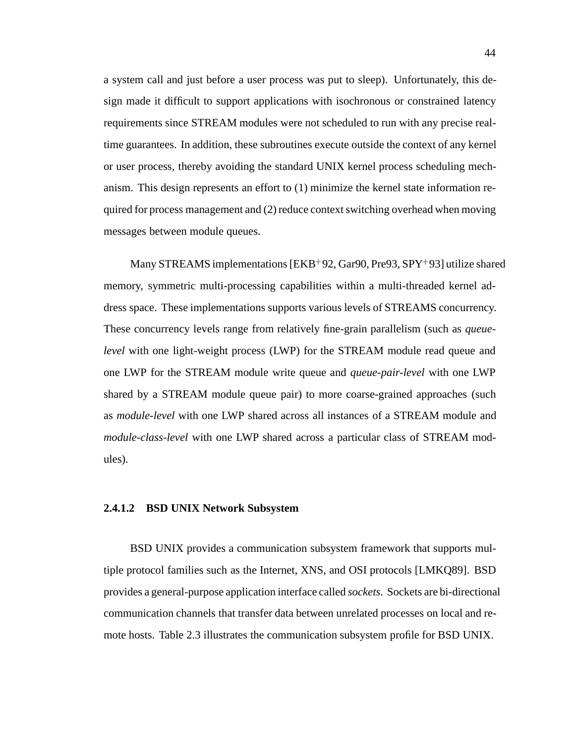a system call and just before a user process was put to sleep). Unfortunately, this design made it difficult to support applications with isochronous or constrained latency requirements since STREAM modules were not scheduled to run with any precise realtime guarantees. In addition, these subroutines execute outside the context of any kernel or user process, thereby avoiding the standard UNIX kernel process scheduling mechanism. This design represents an effort to (1) minimize the kernel state information required for process management and (2) reduce context switching overhead when moving messages between module queues.

Many STREAMS implementations [EKB<sup>+</sup> 92, Gar90, Pre93, SPY<sup>+</sup> 93] utilize shared memory, symmetric multi-processing capabilities within a multi-threaded kernel address space. These implementations supports various levels of STREAMS concurrency. These concurrency levels range from relatively fine-grain parallelism (such as *queuelevel* with one light-weight process (LWP) for the STREAM module read queue and one LWP for the STREAM module write queue and *queue-pair-level* with one LWP shared by a STREAM module queue pair) to more coarse-grained approaches (such as *module-level* with one LWP shared across all instances of a STREAM module and *module-class-level* with one LWP shared across a particular class of STREAM modules).

### **2.4.1.2 BSD UNIX Network Subsystem**

BSD UNIX provides a communication subsystem framework that supports multiple protocol families such as the Internet, XNS, and OSI protocols [LMKQ89]. BSD provides a general-purpose application interface called *sockets*. Sockets are bi-directional communication channels that transfer data between unrelated processes on local and remote hosts. Table 2.3 illustrates the communication subsystem profile for BSD UNIX.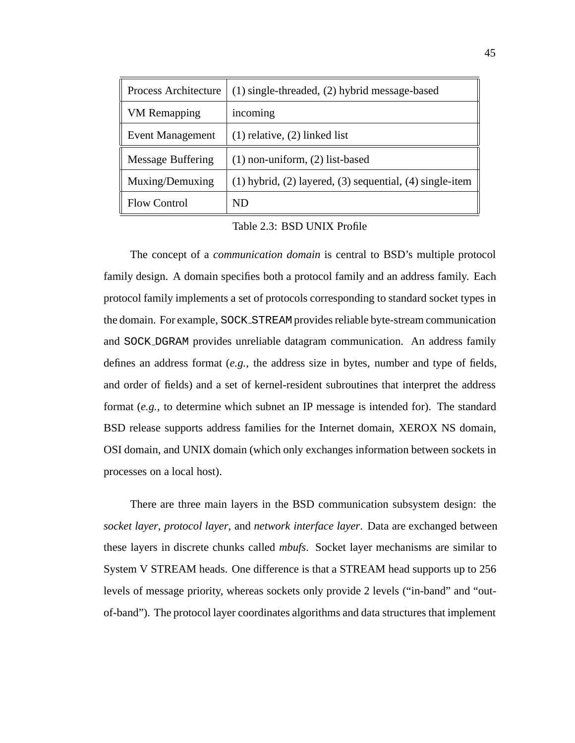| <b>Process Architecture</b> | (1) single-threaded, (2) hybrid message-based                    |
|-----------------------------|------------------------------------------------------------------|
| <b>VM</b> Remapping         | incoming                                                         |
| <b>Event Management</b>     | $(1)$ relative, $(2)$ linked list                                |
| <b>Message Buffering</b>    | $(1)$ non-uniform, $(2)$ list-based                              |
| Muxing/Demuxing             | $(1)$ hybrid, $(2)$ layered, $(3)$ sequential, $(4)$ single-item |
| <b>Flow Control</b>         | ND                                                               |

Table 2.3: BSD UNIX Profile

The concept of a *communication domain* is central to BSD's multiple protocol family design. A domain specifies both a protocol family and an address family. Each protocol family implements a set of protocols corresponding to standard socket types in the domain. For example, SOCK STREAM provides reliable byte-stream communication and SOCK DGRAM provides unreliable datagram communication. An address family defines an address format (*e.g.,* the address size in bytes, number and type of fields, and order of fields) and a set of kernel-resident subroutines that interpret the address format (*e.g.,* to determine which subnet an IP message is intended for). The standard BSD release supports address families for the Internet domain, XEROX NS domain, OSI domain, and UNIX domain (which only exchanges information between sockets in processes on a local host).

There are three main layers in the BSD communication subsystem design: the *socket layer*, *protocol layer*, and *network interface layer*. Data are exchanged between these layers in discrete chunks called *mbufs*. Socket layer mechanisms are similar to System V STREAM heads. One difference is that a STREAM head supports up to 256 levels of message priority, whereas sockets only provide 2 levels ("in-band" and "outof-band"). The protocol layer coordinates algorithms and data structures that implement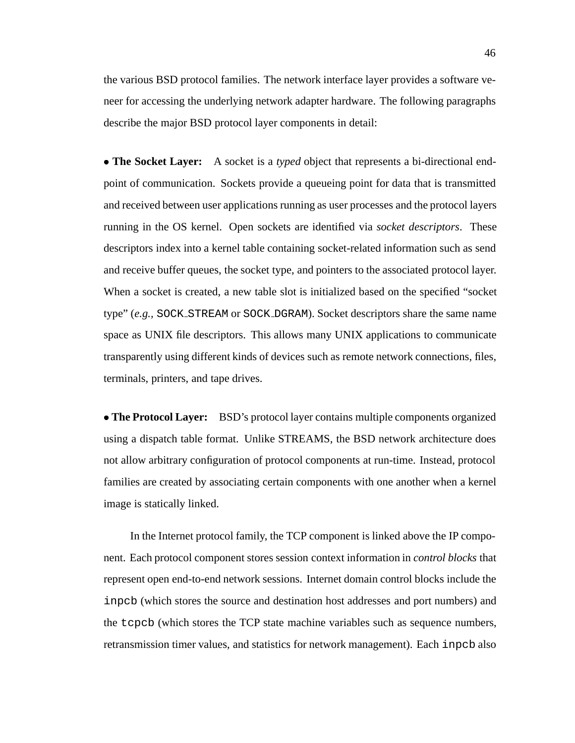the various BSD protocol families. The network interface layer provides a software veneer for accessing the underlying network adapter hardware. The following paragraphs describe the major BSD protocol layer components in detail:

 **The Socket Layer:** A socket is a *typed* object that represents a bi-directional endpoint of communication. Sockets provide a queueing point for data that is transmitted and received between user applications running as user processes and the protocol layers running in the OS kernel. Open sockets are identified via *socket descriptors*. These descriptors index into a kernel table containing socket-related information such as send and receive buffer queues, the socket type, and pointers to the associated protocol layer. When a socket is created, a new table slot is initialized based on the specified "socket type" (*e.g.,* SOCK STREAM or SOCK DGRAM). Socket descriptors share the same name space as UNIX file descriptors. This allows many UNIX applications to communicate transparently using different kinds of devices such as remote network connections, files, terminals, printers, and tape drives.

 **The Protocol Layer:** BSD's protocol layer contains multiple components organized using a dispatch table format. Unlike STREAMS, the BSD network architecture does not allow arbitrary configuration of protocol components at run-time. Instead, protocol families are created by associating certain components with one another when a kernel image is statically linked.

In the Internet protocol family, the TCP component is linked above the IP component. Each protocol component stores session context information in *control blocks* that represent open end-to-end network sessions. Internet domain control blocks include the inpcb (which stores the source and destination host addresses and port numbers) and the tcpcb (which stores the TCP state machine variables such as sequence numbers, retransmission timer values, and statistics for network management). Each inpcb also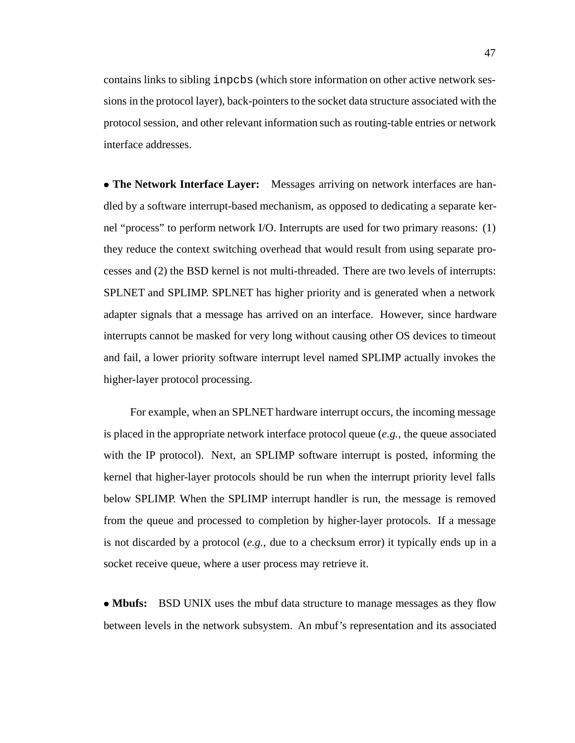contains links to sibling inpcbs (which store information on other active network sessions in the protocol layer), back-pointers to the socket data structure associated with the protocol session, and other relevant information such as routing-table entries or network interface addresses.

 **The Network Interface Layer:** Messages arriving on network interfaces are handled by a software interrupt-based mechanism, as opposed to dedicating a separate kernel "process" to perform network I/O. Interrupts are used for two primary reasons: (1) they reduce the context switching overhead that would result from using separate processes and (2) the BSD kernel is not multi-threaded. There are two levels of interrupts: SPLNET and SPLIMP. SPLNET has higher priority and is generated when a network adapter signals that a message has arrived on an interface. However, since hardware interrupts cannot be masked for very long without causing other OS devices to timeout and fail, a lower priority software interrupt level named SPLIMP actually invokes the higher-layer protocol processing.

For example, when an SPLNET hardware interrupt occurs, the incoming message is placed in the appropriate network interface protocol queue (*e.g.,* the queue associated with the IP protocol). Next, an SPLIMP software interrupt is posted, informing the kernel that higher-layer protocols should be run when the interrupt priority level falls below SPLIMP. When the SPLIMP interrupt handler is run, the message is removed from the queue and processed to completion by higher-layer protocols. If a message is not discarded by a protocol (*e.g.,* due to a checksum error) it typically ends up in a socket receive queue, where a user process may retrieve it.

• **Mbufs:** BSD UNIX uses the mbuf data structure to manage messages as they flow between levels in the network subsystem. An mbuf's representation and its associated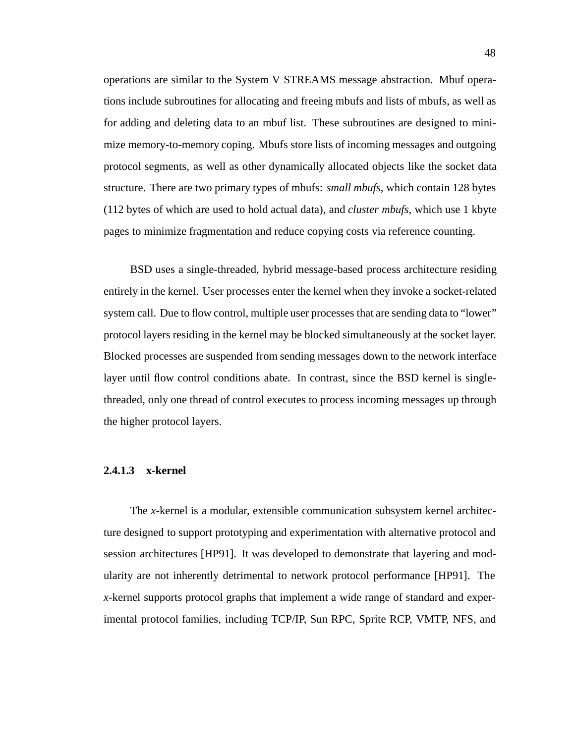operations are similar to the System V STREAMS message abstraction. Mbuf operations include subroutines for allocating and freeing mbufs and lists of mbufs, as well as for adding and deleting data to an mbuf list. These subroutines are designed to minimize memory-to-memory coping. Mbufs store lists of incoming messages and outgoing protocol segments, as well as other dynamically allocated objects like the socket data structure. There are two primary types of mbufs: *small mbufs*, which contain 128 bytes (112 bytes of which are used to hold actual data), and *cluster mbufs*, which use 1 kbyte pages to minimize fragmentation and reduce copying costs via reference counting.

BSD uses a single-threaded, hybrid message-based process architecture residing entirely in the kernel. User processes enter the kernel when they invoke a socket-related system call. Due to flow control, multiple user processes that are sending data to "lower" protocol layers residing in the kernel may be blocked simultaneously at the socket layer. Blocked processes are suspended from sending messages down to the network interface layer until flow control conditions abate. In contrast, since the BSD kernel is singlethreaded, only one thread of control executes to process incoming messages up through the higher protocol layers.

## **2.4.1.3 x-kernel**

The *x*-kernel is a modular, extensible communication subsystem kernel architecture designed to support prototyping and experimentation with alternative protocol and session architectures [HP91]. It was developed to demonstrate that layering and modularity are not inherently detrimental to network protocol performance [HP91]. The *x*-kernel supports protocol graphs that implement a wide range of standard and experimental protocol families, including TCP/IP, Sun RPC, Sprite RCP, VMTP, NFS, and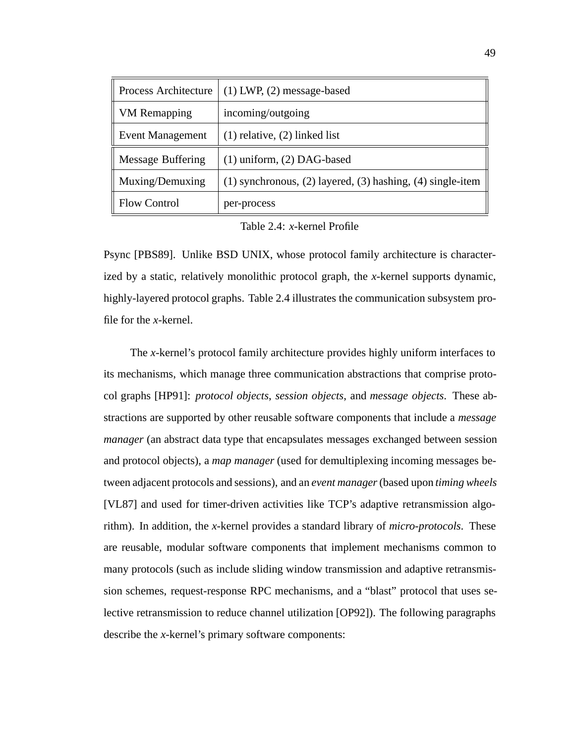| Process Architecture     | $(1)$ LWP, $(2)$ message-based                                     |
|--------------------------|--------------------------------------------------------------------|
| <b>VM</b> Remapping      | incoming/outgoing                                                  |
| <b>Event Management</b>  | $(1)$ relative, $(2)$ linked list                                  |
| <b>Message Buffering</b> | $(1)$ uniform, $(2)$ DAG-based                                     |
| Muxing/Demuxing          | $(1)$ synchronous, $(2)$ layered, $(3)$ hashing, $(4)$ single-item |
| <b>Flow Control</b>      | per-process                                                        |

Table 2.4: *x*-kernel Profile

Psync [PBS89]. Unlike BSD UNIX, whose protocol family architecture is characterized by a static, relatively monolithic protocol graph, the *x*-kernel supports dynamic, highly-layered protocol graphs. Table 2.4 illustrates the communication subsystem profile for the *x*-kernel.

The *x*-kernel's protocol family architecture provides highly uniform interfaces to its mechanisms, which manage three communication abstractions that comprise protocol graphs [HP91]: *protocol objects*, *session objects*, and *message objects*. These abstractions are supported by other reusable software components that include a *message manager* (an abstract data type that encapsulates messages exchanged between session and protocol objects), a *map manager* (used for demultiplexing incoming messages between adjacent protocols and sessions), and an *event manager*(based upon *timing wheels* [VL87] and used for timer-driven activities like TCP's adaptive retransmission algorithm). In addition, the *x*-kernel provides a standard library of *micro-protocols*. These are reusable, modular software components that implement mechanisms common to many protocols (such as include sliding window transmission and adaptive retransmission schemes, request-response RPC mechanisms, and a "blast" protocol that uses selective retransmission to reduce channel utilization [OP92]). The following paragraphs describe the *x*-kernel's primary software components: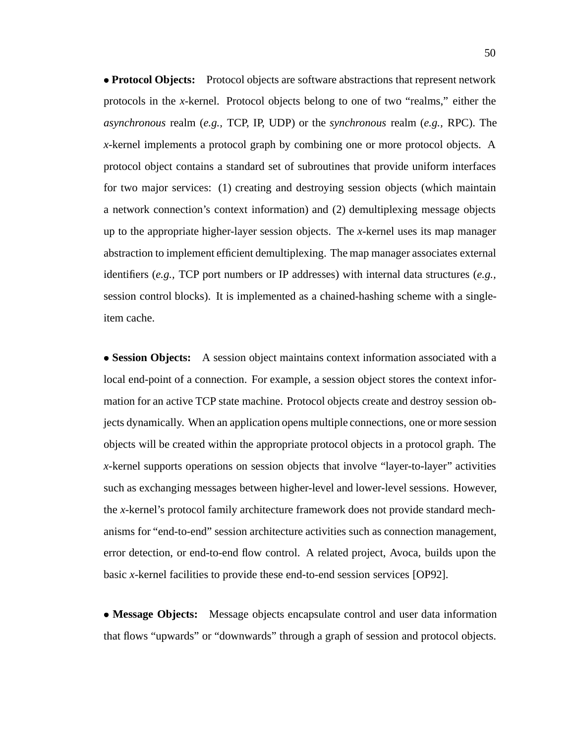**Protocol Objects:** Protocol objects are software abstractions that represent network protocols in the *x*-kernel. Protocol objects belong to one of two "realms," either the *asynchronous* realm (*e.g.,* TCP, IP, UDP) or the *synchronous* realm (*e.g.,* RPC). The *x*-kernel implements a protocol graph by combining one or more protocol objects. A protocol object contains a standard set of subroutines that provide uniform interfaces for two major services: (1) creating and destroying session objects (which maintain a network connection's context information) and (2) demultiplexing message objects up to the appropriate higher-layer session objects. The *x*-kernel uses its map manager abstraction to implement efficient demultiplexing. The map manager associates external identifiers (*e.g.,* TCP port numbers or IP addresses) with internal data structures (*e.g.,* session control blocks). It is implemented as a chained-hashing scheme with a singleitem cache.

 **Session Objects:** A session object maintains context information associated with a local end-point of a connection. For example, a session object stores the context information for an active TCP state machine. Protocol objects create and destroy session objects dynamically. When an application opens multiple connections, one or more session objects will be created within the appropriate protocol objects in a protocol graph. The *x*-kernel supports operations on session objects that involve "layer-to-layer" activities such as exchanging messages between higher-level and lower-level sessions. However, the *x*-kernel's protocol family architecture framework does not provide standard mechanisms for "end-to-end" session architecture activities such as connection management, error detection, or end-to-end flow control. A related project, Avoca, builds upon the basic *x*-kernel facilities to provide these end-to-end session services [OP92].

 **Message Objects:** Message objects encapsulate control and user data information that flows "upwards" or "downwards" through a graph of session and protocol objects.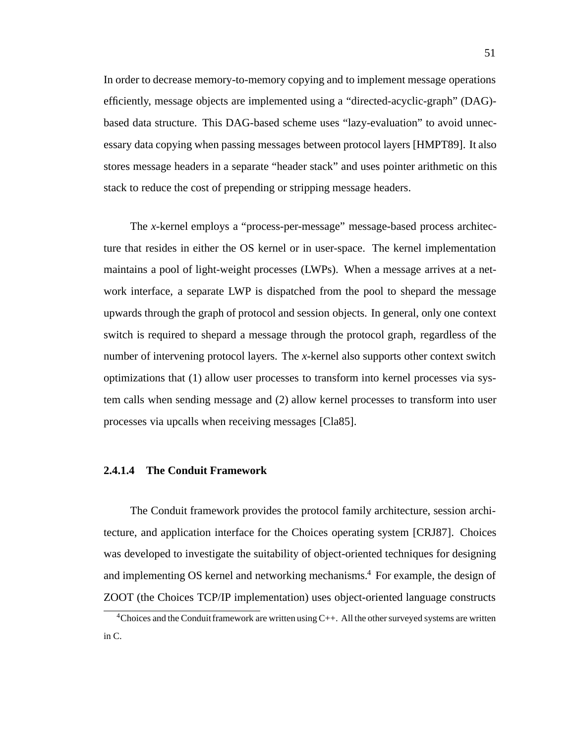In order to decrease memory-to-memory copying and to implement message operations efficiently, message objects are implemented using a "directed-acyclic-graph" (DAG) based data structure. This DAG-based scheme uses "lazy-evaluation" to avoid unnecessary data copying when passing messages between protocol layers [HMPT89]. It also stores message headers in a separate "header stack" and uses pointer arithmetic on this stack to reduce the cost of prepending or stripping message headers.

The *x*-kernel employs a "process-per-message" message-based process architecture that resides in either the OS kernel or in user-space. The kernel implementation maintains a pool of light-weight processes (LWPs). When a message arrives at a network interface, a separate LWP is dispatched from the pool to shepard the message upwards through the graph of protocol and session objects. In general, only one context switch is required to shepard a message through the protocol graph, regardless of the number of intervening protocol layers. The *x*-kernel also supports other context switch optimizations that (1) allow user processes to transform into kernel processes via system calls when sending message and (2) allow kernel processes to transform into user processes via upcalls when receiving messages [Cla85].

## **2.4.1.4 The Conduit Framework**

The Conduit framework provides the protocol family architecture, session architecture, and application interface for the Choices operating system [CRJ87]. Choices was developed to investigate the suitability of object-oriented techniques for designing and implementing OS kernel and networking mechanisms.<sup>4</sup> For example, the design of ZOOT (the Choices TCP/IP implementation) uses object-oriented language constructs

<sup>4</sup>Choices and the Conduitframework are written using C++. All the other surveyed systems are written in C.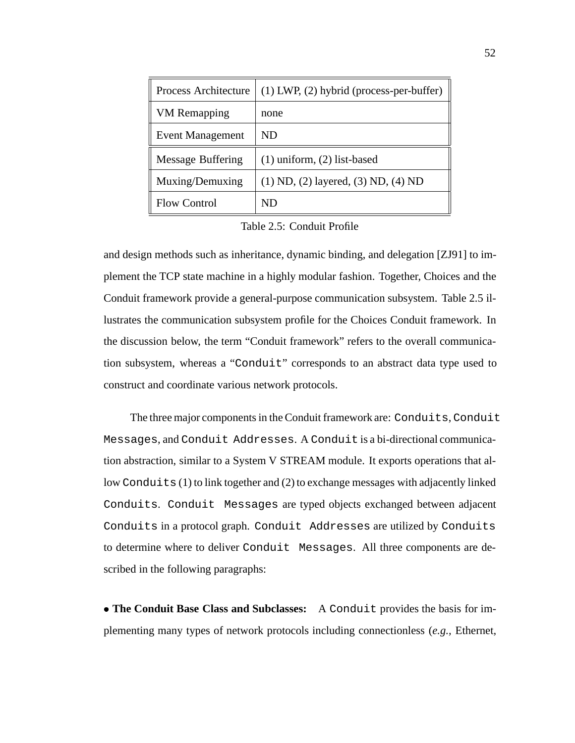| Process Architecture     | $(1)$ LWP, $(2)$ hybrid (process-per-buffer) |
|--------------------------|----------------------------------------------|
| <b>VM</b> Remapping      | none                                         |
| <b>Event Management</b>  | ND                                           |
| <b>Message Buffering</b> | $(1)$ uniform, $(2)$ list-based              |
| Muxing/Demuxing          | $(1)$ ND, $(2)$ layered, $(3)$ ND, $(4)$ ND  |
| <b>Flow Control</b>      | ND                                           |

Table 2.5: Conduit Profile

and design methods such as inheritance, dynamic binding, and delegation [ZJ91] to implement the TCP state machine in a highly modular fashion. Together, Choices and the Conduit framework provide a general-purpose communication subsystem. Table 2.5 illustrates the communication subsystem profile for the Choices Conduit framework. In the discussion below, the term "Conduit framework" refers to the overall communication subsystem, whereas a "Conduit" corresponds to an abstract data type used to construct and coordinate various network protocols.

The three major components in the Conduit framework are: Conduits, Conduit Messages, and Conduit Addresses. A Conduit is a bi-directional communication abstraction, similar to a System V STREAM module. It exports operations that allow Conduits (1) to link together and (2) to exchange messages with adjacently linked Conduits. Conduit Messages are typed objects exchanged between adjacent Conduits in a protocol graph. Conduit Addresses are utilized by Conduits to determine where to deliver Conduit Messages. All three components are described in the following paragraphs:

 **The Conduit Base Class and Subclasses:** A Conduit provides the basis for implementing many types of network protocols including connectionless (*e.g.,* Ethernet,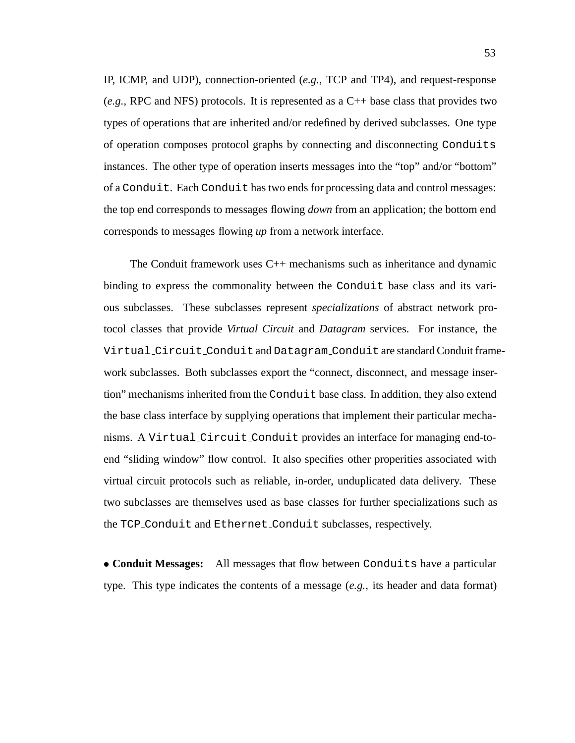IP, ICMP, and UDP), connection-oriented (*e.g.,* TCP and TP4), and request-response (*e.g.,* RPC and NFS) protocols. It is represented as a C++ base class that provides two types of operations that are inherited and/or redefined by derived subclasses. One type of operation composes protocol graphs by connecting and disconnecting Conduits instances. The other type of operation inserts messages into the "top" and/or "bottom" of a Conduit. Each Conduit has two ends for processing data and control messages: the top end corresponds to messages flowing *down* from an application; the bottom end corresponds to messages flowing *up* from a network interface.

The Conduit framework uses C++ mechanisms such as inheritance and dynamic binding to express the commonality between the Conduit base class and its various subclasses. These subclasses represent *specializations* of abstract network protocol classes that provide *Virtual Circuit* and *Datagram* services. For instance, the Virtual Circuit Conduit and Datagram Conduit are standard Conduit framework subclasses. Both subclasses export the "connect, disconnect, and message insertion" mechanisms inherited from the Conduit base class. In addition, they also extend the base class interface by supplying operations that implement their particular mechanisms. A Virtual Circuit Conduit provides an interface for managing end-toend "sliding window" flow control. It also specifies other properities associated with virtual circuit protocols such as reliable, in-order, unduplicated data delivery. These two subclasses are themselves used as base classes for further specializations such as the TCP Conduit and Ethernet Conduit subclasses, respectively.

 **Conduit Messages:** All messages that flow between Conduits have a particular type. This type indicates the contents of a message (*e.g.,* its header and data format)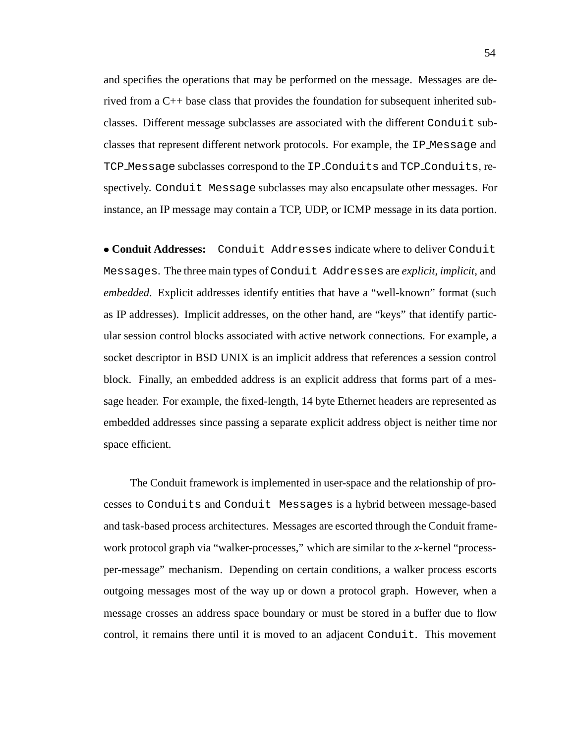and specifies the operations that may be performed on the message. Messages are derived from a C++ base class that provides the foundation for subsequent inherited subclasses. Different message subclasses are associated with the different Conduit subclasses that represent different network protocols. For example, the IP Message and TCP Message subclasses correspond to the IP Conduits and TCP Conduits, respectively. Conduit Message subclasses may also encapsulate other messages. For instance, an IP message may contain a TCP, UDP, or ICMP message in its data portion.

 **Conduit Addresses:** Conduit Addresses indicate where to deliver Conduit Messages. The three main types of Conduit Addresses are *explicit*, *implicit*, and *embedded*. Explicit addresses identify entities that have a "well-known" format (such as IP addresses). Implicit addresses, on the other hand, are "keys" that identify particular session control blocks associated with active network connections. For example, a socket descriptor in BSD UNIX is an implicit address that references a session control block. Finally, an embedded address is an explicit address that forms part of a message header. For example, the fixed-length, 14 byte Ethernet headers are represented as embedded addresses since passing a separate explicit address object is neither time nor space efficient.

The Conduit framework is implemented in user-space and the relationship of processes to Conduits and Conduit Messages is a hybrid between message-based and task-based process architectures. Messages are escorted through the Conduit framework protocol graph via "walker-processes," which are similar to the *x*-kernel "processper-message" mechanism. Depending on certain conditions, a walker process escorts outgoing messages most of the way up or down a protocol graph. However, when a message crosses an address space boundary or must be stored in a buffer due to flow control, it remains there until it is moved to an adjacent Conduit. This movement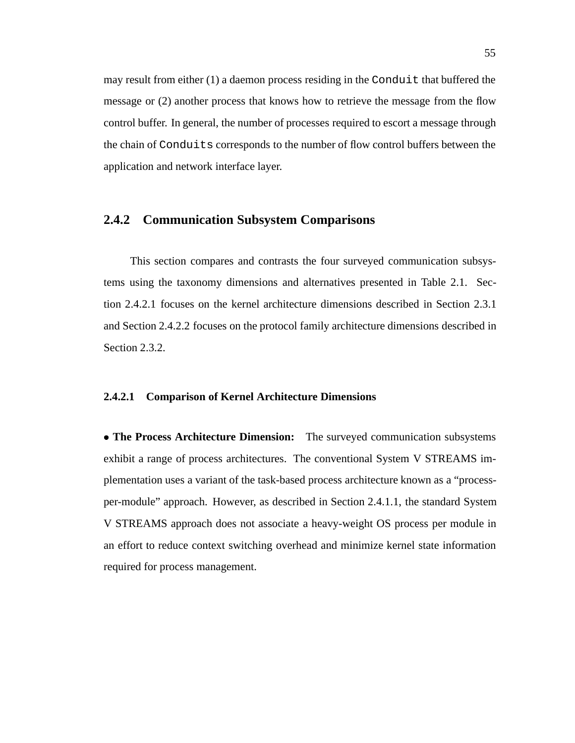may result from either (1) a daemon process residing in the Conduit that buffered the message or (2) another process that knows how to retrieve the message from the flow control buffer. In general, the number of processes required to escort a message through the chain of Conduits corresponds to the number of flow control buffers between the application and network interface layer.

#### **2.4.2 Communication Subsystem Comparisons**

This section compares and contrasts the four surveyed communication subsystems using the taxonomy dimensions and alternatives presented in Table 2.1. Section 2.4.2.1 focuses on the kernel architecture dimensions described in Section 2.3.1 and Section 2.4.2.2 focuses on the protocol family architecture dimensions described in Section 2.3.2.

#### **2.4.2.1 Comparison of Kernel Architecture Dimensions**

 **The Process Architecture Dimension:** The surveyed communication subsystems exhibit a range of process architectures. The conventional System V STREAMS implementation uses a variant of the task-based process architecture known as a "processper-module" approach. However, as described in Section 2.4.1.1, the standard System V STREAMS approach does not associate a heavy-weight OS process per module in an effort to reduce context switching overhead and minimize kernel state information required for process management.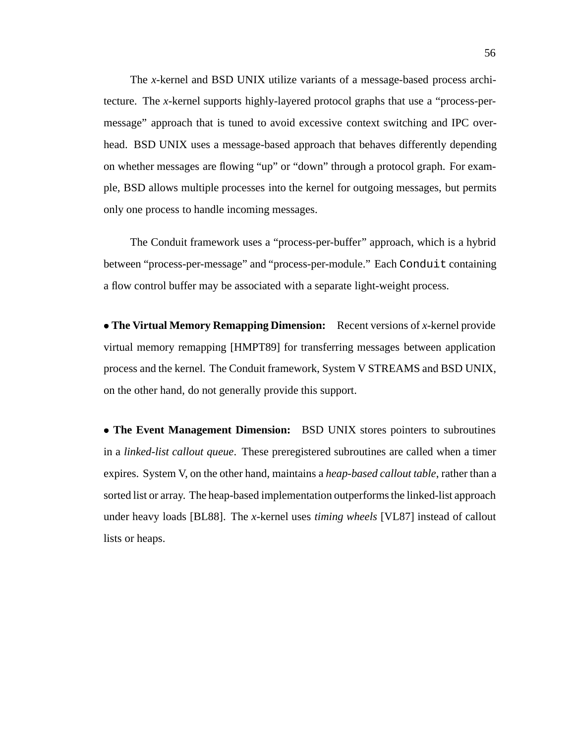The *x*-kernel and BSD UNIX utilize variants of a message-based process architecture. The *x*-kernel supports highly-layered protocol graphs that use a "process-permessage" approach that is tuned to avoid excessive context switching and IPC overhead. BSD UNIX uses a message-based approach that behaves differently depending on whether messages are flowing "up" or "down" through a protocol graph. For example, BSD allows multiple processes into the kernel for outgoing messages, but permits only one process to handle incoming messages.

The Conduit framework uses a "process-per-buffer" approach, which is a hybrid between "process-per-message" and "process-per-module." Each Conduit containing a flow control buffer may be associated with a separate light-weight process.

 **The Virtual Memory Remapping Dimension:** Recent versions of *x*-kernel provide virtual memory remapping [HMPT89] for transferring messages between application process and the kernel. The Conduit framework, System V STREAMS and BSD UNIX, on the other hand, do not generally provide this support.

 **The Event Management Dimension:** BSD UNIX stores pointers to subroutines in a *linked-list callout queue*. These preregistered subroutines are called when a timer expires. System V, on the other hand, maintains a *heap-based callout table*, rather than a sorted list or array. The heap-based implementation outperforms the linked-list approach under heavy loads [BL88]. The *x*-kernel uses *timing wheels* [VL87] instead of callout lists or heaps.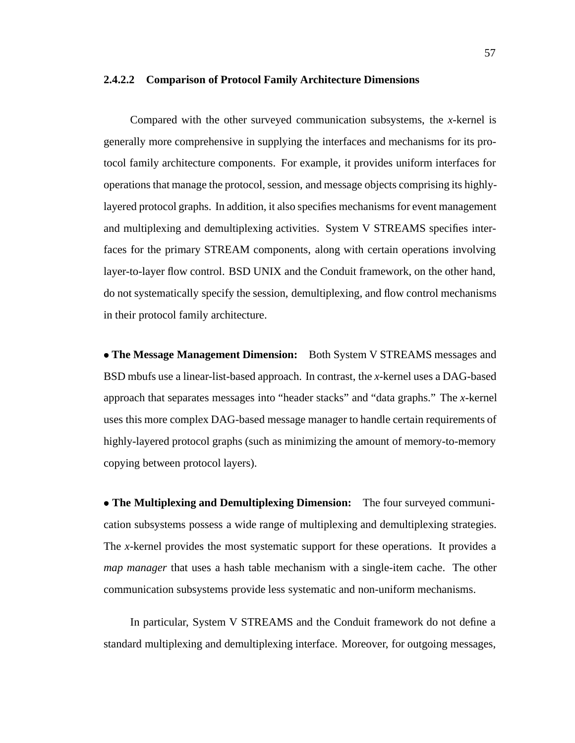#### **2.4.2.2 Comparison of Protocol Family Architecture Dimensions**

Compared with the other surveyed communication subsystems, the *x*-kernel is generally more comprehensive in supplying the interfaces and mechanisms for its protocol family architecture components. For example, it provides uniform interfaces for operations that manage the protocol, session, and message objects comprising its highlylayered protocol graphs. In addition, it also specifies mechanisms for event management and multiplexing and demultiplexing activities. System V STREAMS specifies interfaces for the primary STREAM components, along with certain operations involving layer-to-layer flow control. BSD UNIX and the Conduit framework, on the other hand, do not systematically specify the session, demultiplexing, and flow control mechanisms in their protocol family architecture.

 **The Message Management Dimension:** Both System V STREAMS messages and BSD mbufs use a linear-list-based approach. In contrast, the *x*-kernel uses a DAG-based approach that separates messages into "header stacks" and "data graphs." The *x*-kernel uses this more complex DAG-based message manager to handle certain requirements of highly-layered protocol graphs (such as minimizing the amount of memory-to-memory copying between protocol layers).

 **The Multiplexing and Demultiplexing Dimension:** The four surveyed communication subsystems possess a wide range of multiplexing and demultiplexing strategies. The *x*-kernel provides the most systematic support for these operations. It provides a *map manager* that uses a hash table mechanism with a single-item cache. The other communication subsystems provide less systematic and non-uniform mechanisms.

In particular, System V STREAMS and the Conduit framework do not define a standard multiplexing and demultiplexing interface. Moreover, for outgoing messages,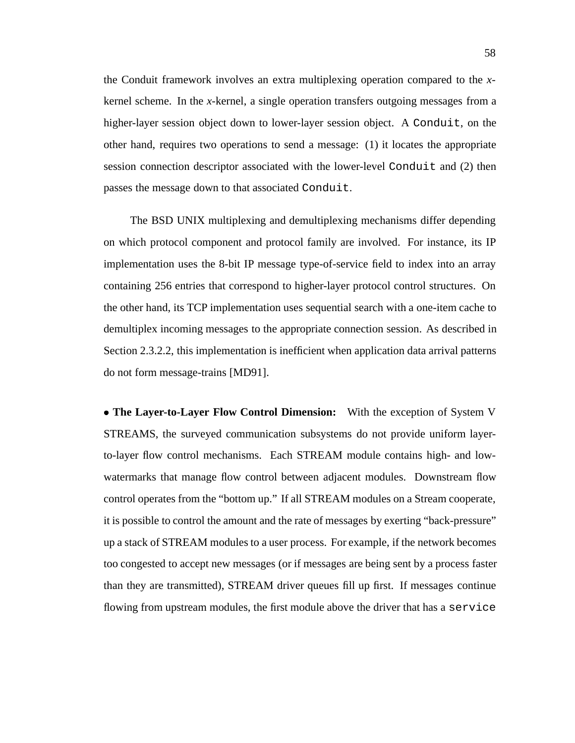the Conduit framework involves an extra multiplexing operation compared to the *x*kernel scheme. In the *x*-kernel, a single operation transfers outgoing messages from a higher-layer session object down to lower-layer session object. A Conduit, on the other hand, requires two operations to send a message: (1) it locates the appropriate session connection descriptor associated with the lower-level Conduit and (2) then passes the message down to that associated Conduit.

The BSD UNIX multiplexing and demultiplexing mechanisms differ depending on which protocol component and protocol family are involved. For instance, its IP implementation uses the 8-bit IP message type-of-service field to index into an array containing 256 entries that correspond to higher-layer protocol control structures. On the other hand, its TCP implementation uses sequential search with a one-item cache to demultiplex incoming messages to the appropriate connection session. As described in Section 2.3.2.2, this implementation is inefficient when application data arrival patterns do not form message-trains [MD91].

 **The Layer-to-Layer Flow Control Dimension:** With the exception of System V STREAMS, the surveyed communication subsystems do not provide uniform layerto-layer flow control mechanisms. Each STREAM module contains high- and lowwatermarks that manage flow control between adjacent modules. Downstream flow control operates from the "bottom up." If all STREAM modules on a Stream cooperate, it is possible to control the amount and the rate of messages by exerting "back-pressure" up a stack of STREAM modules to a user process. For example, if the network becomes too congested to accept new messages (or if messages are being sent by a process faster than they are transmitted), STREAM driver queues fill up first. If messages continue flowing from upstream modules, the first module above the driver that has a service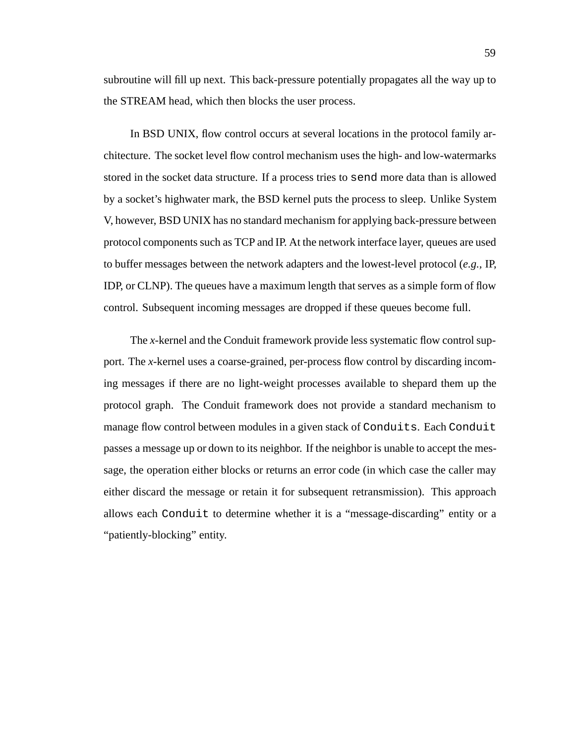subroutine will fill up next. This back-pressure potentially propagates all the way up to the STREAM head, which then blocks the user process.

In BSD UNIX, flow control occurs at several locations in the protocol family architecture. The socket level flow control mechanism uses the high- and low-watermarks stored in the socket data structure. If a process tries to send more data than is allowed by a socket's highwater mark, the BSD kernel puts the process to sleep. Unlike System V, however, BSD UNIX has no standard mechanism for applying back-pressure between protocol components such as TCP and IP. At the network interface layer, queues are used to buffer messages between the network adapters and the lowest-level protocol (*e.g.,* IP, IDP, or CLNP). The queues have a maximum length that serves as a simple form of flow control. Subsequent incoming messages are dropped if these queues become full.

The *x*-kernel and the Conduit framework provide less systematic flow control support. The *x*-kernel uses a coarse-grained, per-process flow control by discarding incoming messages if there are no light-weight processes available to shepard them up the protocol graph. The Conduit framework does not provide a standard mechanism to manage flow control between modules in a given stack of Conduits. Each Conduit passes a message up or down to its neighbor. If the neighbor is unable to accept the message, the operation either blocks or returns an error code (in which case the caller may either discard the message or retain it for subsequent retransmission). This approach allows each Conduit to determine whether it is a "message-discarding" entity or a "patiently-blocking" entity.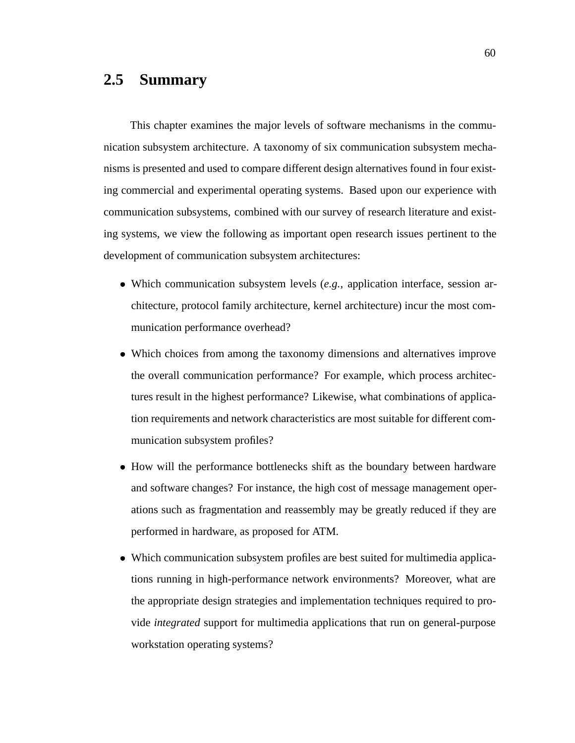### **2.5 Summary**

This chapter examines the major levels of software mechanisms in the communication subsystem architecture. A taxonomy of six communication subsystem mechanisms is presented and used to compare different design alternatives found in four existing commercial and experimental operating systems. Based upon our experience with communication subsystems, combined with our survey of research literature and existing systems, we view the following as important open research issues pertinent to the development of communication subsystem architectures:

- Which communication subsystem levels (*e.g.,* application interface, session architecture, protocol family architecture, kernel architecture) incur the most communication performance overhead?
- Which choices from among the taxonomy dimensions and alternatives improve the overall communication performance? For example, which process architectures result in the highest performance? Likewise, what combinations of application requirements and network characteristics are most suitable for different communication subsystem profiles?
- How will the performance bottlenecks shift as the boundary between hardware and software changes? For instance, the high cost of message management operations such as fragmentation and reassembly may be greatly reduced if they are performed in hardware, as proposed for ATM.
- Which communication subsystem profiles are best suited for multimedia applications running in high-performance network environments? Moreover, what are the appropriate design strategies and implementation techniques required to provide *integrated* support for multimedia applications that run on general-purpose workstation operating systems?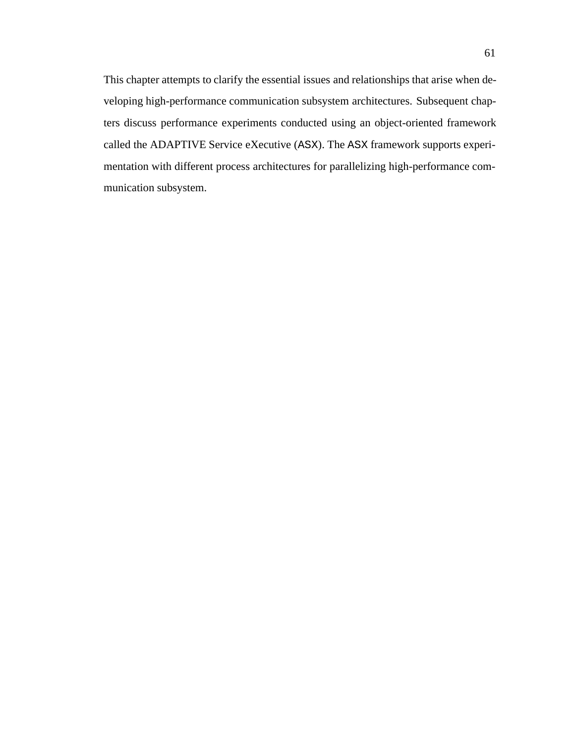This chapter attempts to clarify the essential issues and relationships that arise when developing high-performance communication subsystem architectures. Subsequent chapters discuss performance experiments conducted using an object-oriented framework called the ADAPTIVE Service eXecutive (ASX). The ASX framework supports experimentation with different process architectures for parallelizing high-performance communication subsystem.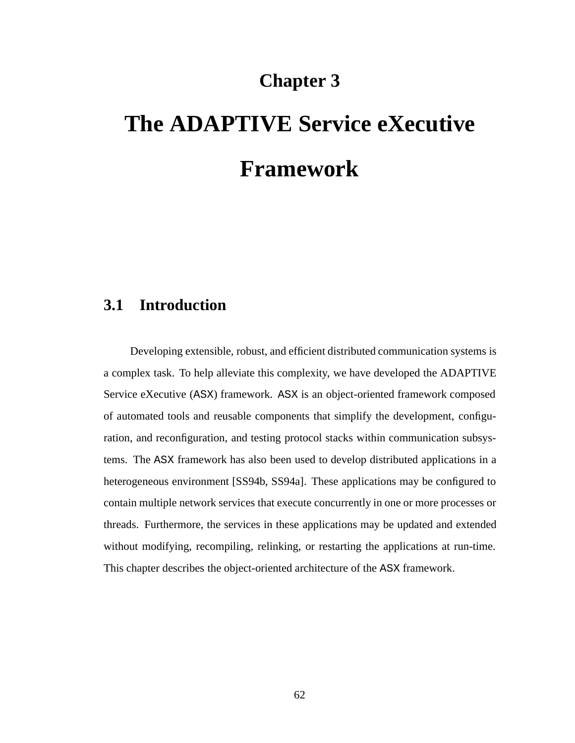## **Chapter 3**

# **The ADAPTIVE Service eXecutive Framework**

## **3.1 Introduction**

Developing extensible, robust, and efficient distributed communication systems is a complex task. To help alleviate this complexity, we have developed the ADAPTIVE Service eXecutive (ASX) framework. ASX is an object-oriented framework composed of automated tools and reusable components that simplify the development, configuration, and reconfiguration, and testing protocol stacks within communication subsystems. The ASX framework has also been used to develop distributed applications in a heterogeneous environment [SS94b, SS94a]. These applications may be configured to contain multiple network services that execute concurrently in one or more processes or threads. Furthermore, the services in these applications may be updated and extended without modifying, recompiling, relinking, or restarting the applications at run-time. This chapter describes the object-oriented architecture of the ASX framework.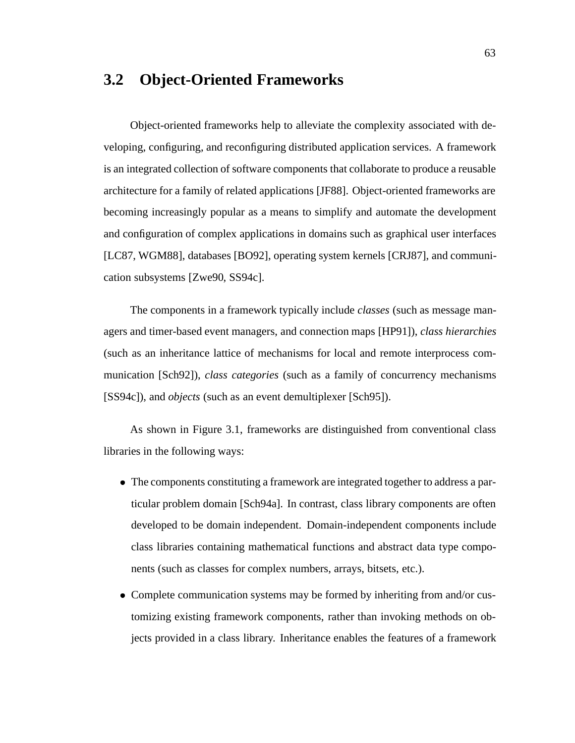## **3.2 Object-Oriented Frameworks**

Object-oriented frameworks help to alleviate the complexity associated with developing, configuring, and reconfiguring distributed application services. A framework is an integrated collection of software components that collaborate to produce a reusable architecture for a family of related applications [JF88]. Object-oriented frameworks are becoming increasingly popular as a means to simplify and automate the development and configuration of complex applications in domains such as graphical user interfaces [LC87, WGM88], databases [BO92], operating system kernels [CRJ87], and communication subsystems [Zwe90, SS94c].

The components in a framework typically include *classes* (such as message managers and timer-based event managers, and connection maps [HP91]), *class hierarchies* (such as an inheritance lattice of mechanisms for local and remote interprocess communication [Sch92]), *class categories* (such as a family of concurrency mechanisms [SS94c]), and *objects* (such as an event demultiplexer [Sch95]).

As shown in Figure 3.1, frameworks are distinguished from conventional class libraries in the following ways:

- The components constituting a framework are integrated together to address a particular problem domain [Sch94a]. In contrast, class library components are often developed to be domain independent. Domain-independent components include class libraries containing mathematical functions and abstract data type components (such as classes for complex numbers, arrays, bitsets, etc.).
- Complete communication systems may be formed by inheriting from and/or customizing existing framework components, rather than invoking methods on objects provided in a class library. Inheritance enables the features of a framework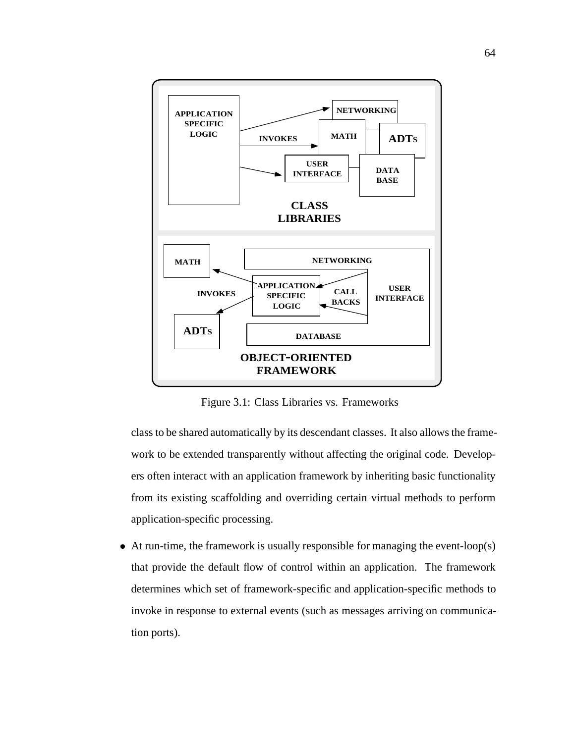

Figure 3.1: Class Libraries vs. Frameworks

class to be shared automatically by its descendant classes. It also allows the framework to be extended transparently without affecting the original code. Developers often interact with an application framework by inheriting basic functionality from its existing scaffolding and overriding certain virtual methods to perform application-specific processing.

• At run-time, the framework is usually responsible for managing the event-loop(s) that provide the default flow of control within an application. The framework determines which set of framework-specific and application-specific methods to invoke in response to external events (such as messages arriving on communication ports).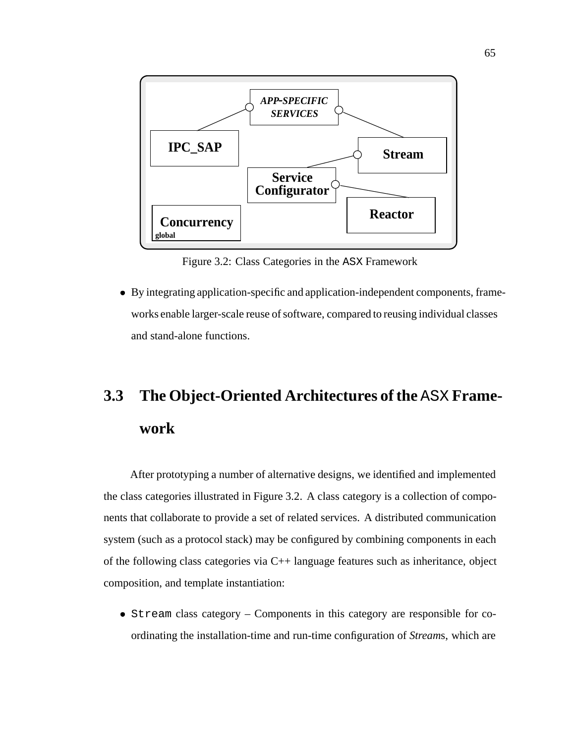

Figure 3.2: Class Categories in the ASX Framework

 By integrating application-specific and application-independent components, frameworks enable larger-scale reuse of software, compared to reusing individual classes and stand-alone functions.

## **3.3 The Object-Oriented Architectures of the** ASX **Framework**

After prototyping a number of alternative designs, we identified and implemented the class categories illustrated in Figure 3.2. A class category is a collection of components that collaborate to provide a set of related services. A distributed communication system (such as a protocol stack) may be configured by combining components in each of the following class categories via C++ language features such as inheritance, object composition, and template instantiation:

 Stream class category – Components in this category are responsible for coordinating the installation-time and run-time configuration of *Stream*s, which are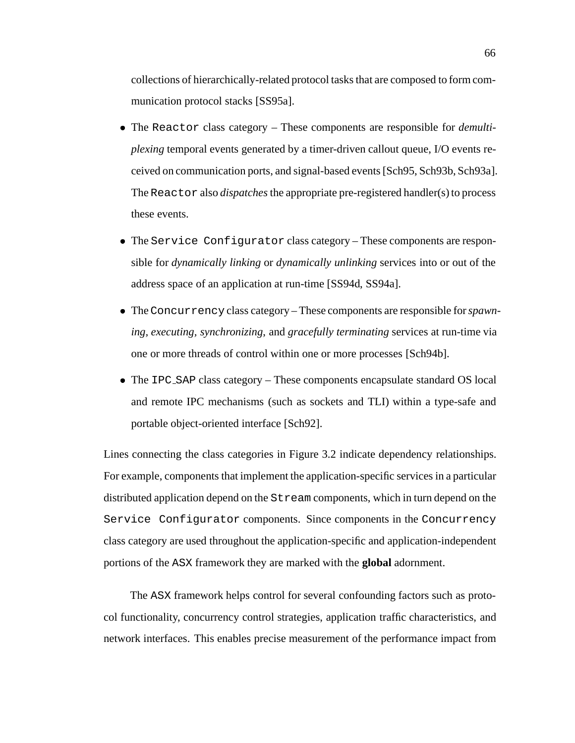collections of hierarchically-related protocol tasks that are composed to form communication protocol stacks [SS95a].

- The Reactor class category These components are responsible for *demultiplexing* temporal events generated by a timer-driven callout queue, I/O events received on communication ports, and signal-based events [Sch95, Sch93b, Sch93a]. The Reactor also *dispatches* the appropriate pre-registered handler(s) to process these events.
- The Service Configurator class category These components are responsible for *dynamically linking* or *dynamically unlinking* services into or out of the address space of an application at run-time [SS94d, SS94a].
- TheConcurrency class category These components are responsible for*spawning, executing, synchronizing*, and *gracefully terminating* services at run-time via one or more threads of control within one or more processes [Sch94b].
- The IPC\_SAP class category These components encapsulate standard OS local and remote IPC mechanisms (such as sockets and TLI) within a type-safe and portable object-oriented interface [Sch92].

Lines connecting the class categories in Figure 3.2 indicate dependency relationships. For example, components that implement the application-specific services in a particular distributed application depend on the Stream components, which in turn depend on the Service Configurator components. Since components in the Concurrency class category are used throughout the application-specific and application-independent portions of the ASX framework they are marked with the **global** adornment.

The ASX framework helps control for several confounding factors such as protocol functionality, concurrency control strategies, application traffic characteristics, and network interfaces. This enables precise measurement of the performance impact from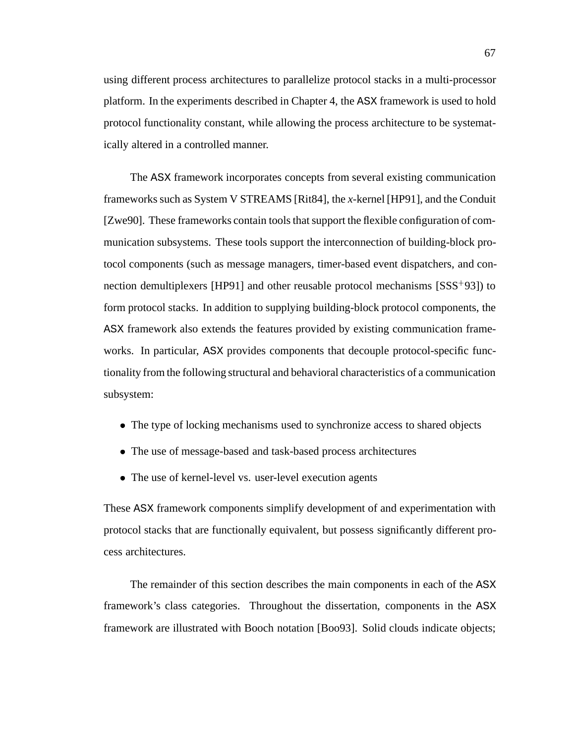using different process architectures to parallelize protocol stacks in a multi-processor platform. In the experiments described in Chapter 4, the ASX framework is used to hold protocol functionality constant, while allowing the process architecture to be systematically altered in a controlled manner.

The ASX framework incorporates concepts from several existing communication frameworks such as System V STREAMS [Rit84], the *x*-kernel [HP91], and the Conduit [Zwe90]. These frameworks contain tools that support the flexible configuration of communication subsystems. These tools support the interconnection of building-block protocol components (such as message managers, timer-based event dispatchers, and connection demultiplexers [HP91] and other reusable protocol mechanisms [SSS<sup>+</sup>93]) to form protocol stacks. In addition to supplying building-block protocol components, the ASX framework also extends the features provided by existing communication frameworks. In particular, ASX provides components that decouple protocol-specific functionality from the following structural and behavioral characteristics of a communication subsystem:

- The type of locking mechanisms used to synchronize access to shared objects
- The use of message-based and task-based process architectures
- The use of kernel-level vs. user-level execution agents

These ASX framework components simplify development of and experimentation with protocol stacks that are functionally equivalent, but possess significantly different process architectures.

The remainder of this section describes the main components in each of the ASX framework's class categories. Throughout the dissertation, components in the ASX framework are illustrated with Booch notation [Boo93]. Solid clouds indicate objects;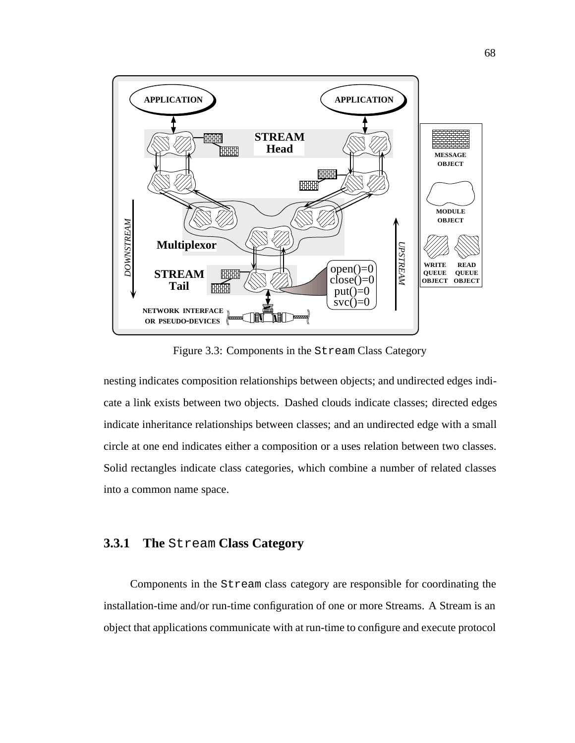

Figure 3.3: Components in the Stream Class Category

nesting indicates composition relationships between objects; and undirected edges indicate a link exists between two objects. Dashed clouds indicate classes; directed edges indicate inheritance relationships between classes; and an undirected edge with a small circle at one end indicates either a composition or a uses relation between two classes. Solid rectangles indicate class categories, which combine a number of related classes into a common name space.

#### **3.3.1 The** Stream **Class Category**

Components in the Stream class category are responsible for coordinating the installation-time and/or run-time configuration of one or more Streams. A Stream is an object that applications communicate with at run-time to configure and execute protocol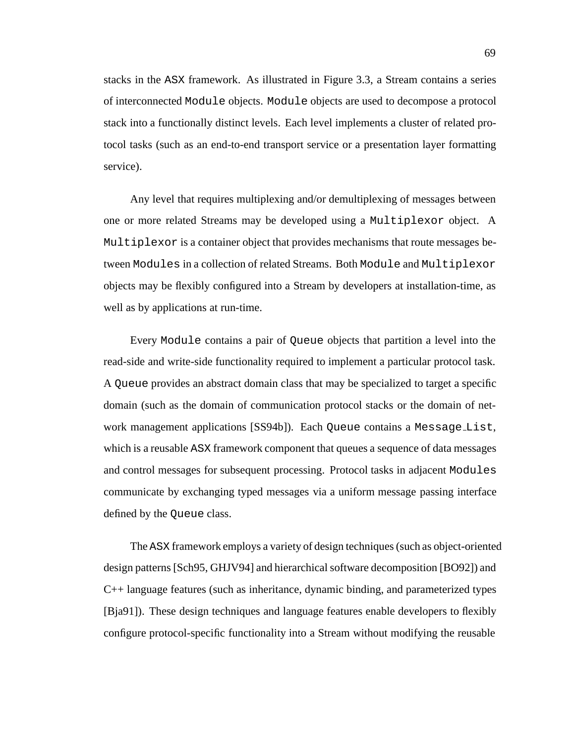stacks in the ASX framework. As illustrated in Figure 3.3, a Stream contains a series of interconnected Module objects. Module objects are used to decompose a protocol stack into a functionally distinct levels. Each level implements a cluster of related protocol tasks (such as an end-to-end transport service or a presentation layer formatting service).

Any level that requires multiplexing and/or demultiplexing of messages between one or more related Streams may be developed using a Multiplexor object. A Multiplexor is a container object that provides mechanisms that route messages between Modules in a collection of related Streams. Both Module and Multiplexor objects may be flexibly configured into a Stream by developers at installation-time, as well as by applications at run-time.

Every Module contains a pair of Queue objects that partition a level into the read-side and write-side functionality required to implement a particular protocol task. A Queue provides an abstract domain class that may be specialized to target a specific domain (such as the domain of communication protocol stacks or the domain of network management applications [SS94b]). Each Queue contains a Message List, which is a reusable ASX framework component that queues a sequence of data messages and control messages for subsequent processing. Protocol tasks in adjacent Modules communicate by exchanging typed messages via a uniform message passing interface defined by the Queue class.

The ASX framework employs a variety of design techniques (such as object-oriented design patterns [Sch95, GHJV94] and hierarchical software decomposition [BO92]) and C++ language features (such as inheritance, dynamic binding, and parameterized types [Bja91]). These design techniques and language features enable developers to flexibly configure protocol-specific functionality into a Stream without modifying the reusable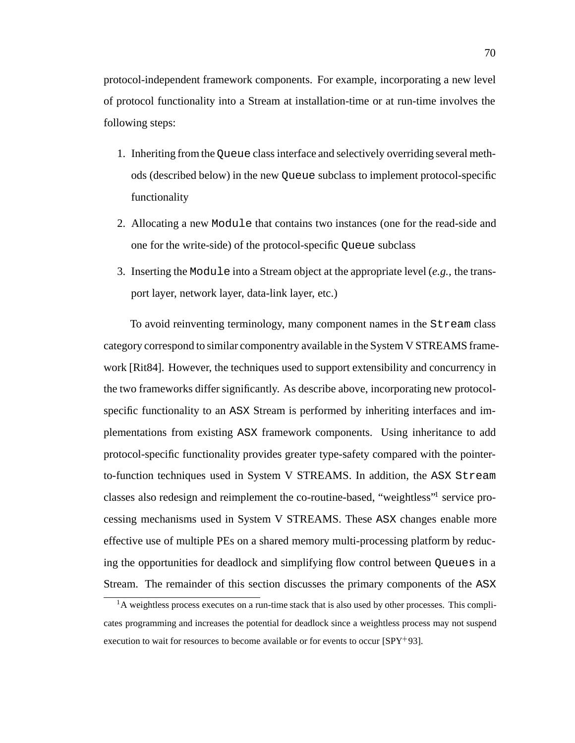protocol-independent framework components. For example, incorporating a new level of protocol functionality into a Stream at installation-time or at run-time involves the following steps:

- 1. Inheriting from the Queue class interface and selectively overriding several methods (described below) in the new Queue subclass to implement protocol-specific functionality
- 2. Allocating a new Module that contains two instances (one for the read-side and one for the write-side) of the protocol-specific Queue subclass
- 3. Inserting the Module into a Stream object at the appropriate level (*e.g.,* the transport layer, network layer, data-link layer, etc.)

To avoid reinventing terminology, many component names in the Stream class category correspond to similar componentry available in the System V STREAMS framework [Rit84]. However, the techniques used to support extensibility and concurrency in the two frameworks differ significantly. As describe above, incorporating new protocolspecific functionality to an ASX Stream is performed by inheriting interfaces and implementations from existing ASX framework components. Using inheritance to add protocol-specific functionality provides greater type-safety compared with the pointerto-function techniques used in System V STREAMS. In addition, the ASX Stream classes also redesign and reimplement the co-routine-based, "weightless"1 service processing mechanisms used in System V STREAMS. These ASX changes enable more effective use of multiple PEs on a shared memory multi-processing platform by reducing the opportunities for deadlock and simplifying flow control between Queues in a Stream. The remainder of this section discusses the primary components of the ASX

 $<sup>1</sup>A$  weightless process executes on a run-time stack that is also used by other processes. This compli-</sup> cates programming and increases the potential for deadlock since a weightless process may not suspend execution to wait for resources to become available or for events to occur [SPY<sup>+</sup>93].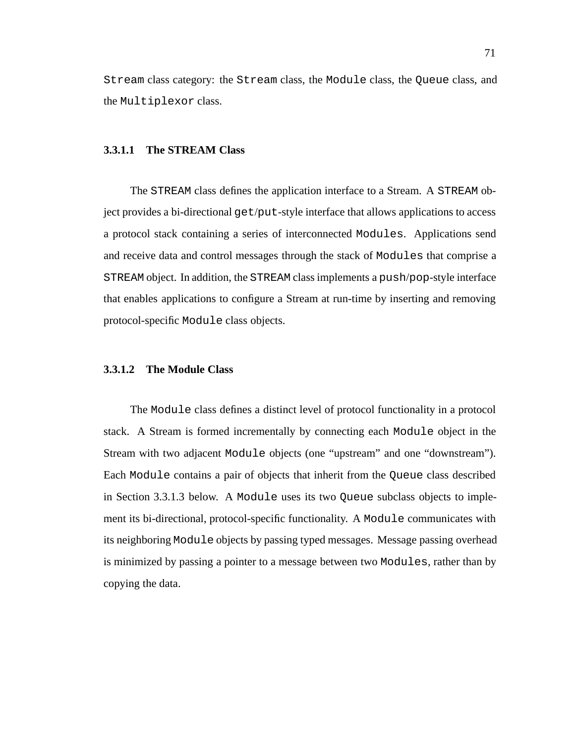Stream class category: the Stream class, the Module class, the Queue class, and the Multiplexor class.

#### **3.3.1.1 The STREAM Class**

The STREAM class defines the application interface to a Stream. A STREAM object provides a bi-directional get/put-style interface that allows applications to access a protocol stack containing a series of interconnected Modules. Applications send and receive data and control messages through the stack of Modules that comprise a STREAM object. In addition, the STREAM class implements a push/pop-style interface that enables applications to configure a Stream at run-time by inserting and removing protocol-specific Module class objects.

#### **3.3.1.2 The Module Class**

The Module class defines a distinct level of protocol functionality in a protocol stack. A Stream is formed incrementally by connecting each Module object in the Stream with two adjacent Module objects (one "upstream" and one "downstream"). Each Module contains a pair of objects that inherit from the Queue class described in Section 3.3.1.3 below. A Module uses its two Queue subclass objects to implement its bi-directional, protocol-specific functionality. A Module communicates with its neighboring Module objects by passing typed messages. Message passing overhead is minimized by passing a pointer to a message between two Modules, rather than by copying the data.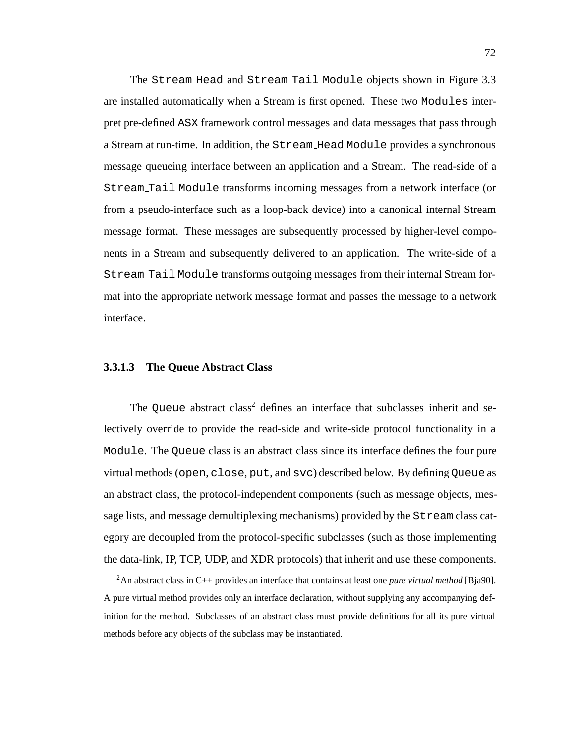The Stream Head and Stream Tail Module objects shown in Figure 3.3 are installed automatically when a Stream is first opened. These two Modules interpret pre-defined ASX framework control messages and data messages that pass through a Stream at run-time. In addition, the Stream Head Module provides a synchronous message queueing interface between an application and a Stream. The read-side of a Stream Tail Module transforms incoming messages from a network interface (or from a pseudo-interface such as a loop-back device) into a canonical internal Stream message format. These messages are subsequently processed by higher-level components in a Stream and subsequently delivered to an application. The write-side of a Stream Tail Module transforms outgoing messages from their internal Stream format into the appropriate network message format and passes the message to a network interface.

#### **3.3.1.3 The Queue Abstract Class**

The Queue abstract class<sup>2</sup> defines an interface that subclasses inherit and selectively override to provide the read-side and write-side protocol functionality in a Module. The Queue class is an abstract class since its interface defines the four pure virtual methods (open, close, put, and svc) described below. By defining Queue as an abstract class, the protocol-independent components (such as message objects, message lists, and message demultiplexing mechanisms) provided by the Stream class category are decoupled from the protocol-specific subclasses (such as those implementing the data-link, IP, TCP, UDP, and XDR protocols) that inherit and use these components.

<sup>2</sup>An abstract class in C++ provides an interface that contains at least one *pure virtual method* [Bja90]. A pure virtual method provides only an interface declaration, without supplying any accompanying definition for the method. Subclasses of an abstract class must provide definitions for all its pure virtual methods before any objects of the subclass may be instantiated.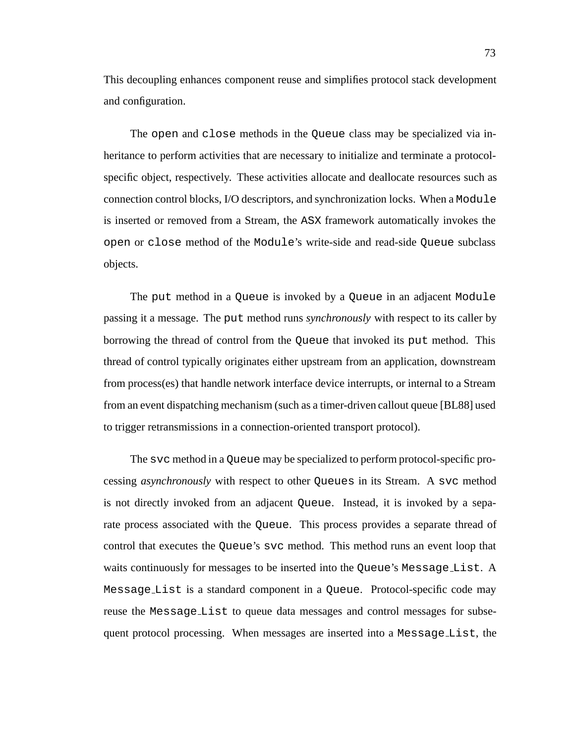This decoupling enhances component reuse and simplifies protocol stack development and configuration.

The open and close methods in the Queue class may be specialized via inheritance to perform activities that are necessary to initialize and terminate a protocolspecific object, respectively. These activities allocate and deallocate resources such as connection control blocks, I/O descriptors, and synchronization locks. When a Module is inserted or removed from a Stream, the ASX framework automatically invokes the open or close method of the Module's write-side and read-side Queue subclass objects.

The put method in a Queue is invoked by a Queue in an adjacent Module passing it a message. The put method runs *synchronously* with respect to its caller by borrowing the thread of control from the Queue that invoked its put method. This thread of control typically originates either upstream from an application, downstream from process(es) that handle network interface device interrupts, or internal to a Stream from an event dispatching mechanism (such as a timer-driven callout queue [BL88] used to trigger retransmissions in a connection-oriented transport protocol).

The svc method in a Queue may be specialized to perform protocol-specific processing *asynchronously* with respect to other Queues in its Stream. A svc method is not directly invoked from an adjacent Queue. Instead, it is invoked by a separate process associated with the Queue. This process provides a separate thread of control that executes the Queue's svc method. This method runs an event loop that waits continuously for messages to be inserted into the Queue's Message List. A Message List is a standard component in a Queue. Protocol-specific code may reuse the Message List to queue data messages and control messages for subsequent protocol processing. When messages are inserted into a Message List, the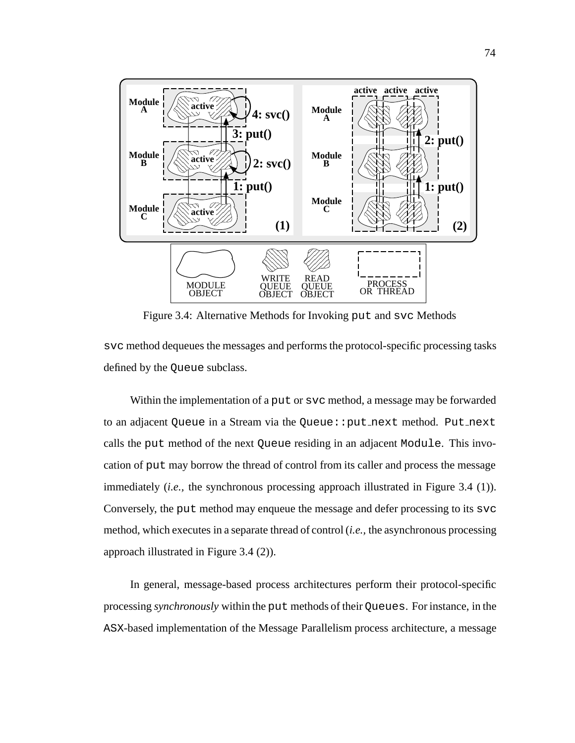

Figure 3.4: Alternative Methods for Invoking put and svc Methods

svc method dequeues the messages and performs the protocol-specific processing tasks defined by the Queue subclass.

Within the implementation of a put or svc method, a message may be forwarded to an adjacent Queue in a Stream via the Queue::put next method. Put next calls the put method of the next Queue residing in an adjacent Module. This invocation of put may borrow the thread of control from its caller and process the message immediately *(i.e., the synchronous processing approach illustrated in Figure 3.4 (1)).* Conversely, the put method may enqueue the message and defer processing to its svc method, which executes in a separate thread of control (*i.e.,* the asynchronous processing approach illustrated in Figure 3.4 (2)).

In general, message-based process architectures perform their protocol-specific processing *synchronously* within the put methods of their Queues. For instance, in the ASX-based implementation of the Message Parallelism process architecture, a message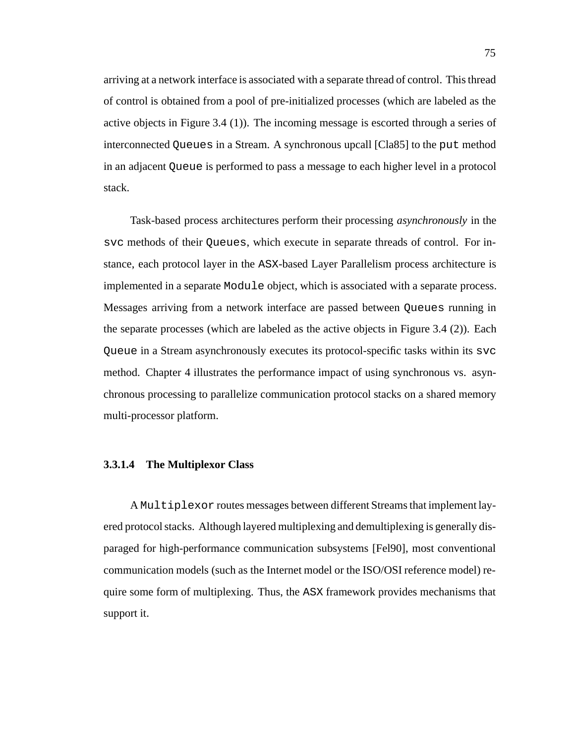arriving at a network interface is associated with a separate thread of control. This thread of control is obtained from a pool of pre-initialized processes (which are labeled as the active objects in Figure 3.4 (1)). The incoming message is escorted through a series of interconnected Queues in a Stream. A synchronous upcall [Cla85] to the put method in an adjacent Queue is performed to pass a message to each higher level in a protocol stack.

Task-based process architectures perform their processing *asynchronously* in the svc methods of their Queues, which execute in separate threads of control. For instance, each protocol layer in the ASX-based Layer Parallelism process architecture is implemented in a separate Module object, which is associated with a separate process. Messages arriving from a network interface are passed between Queues running in the separate processes (which are labeled as the active objects in Figure 3.4 (2)). Each Queue in a Stream asynchronously executes its protocol-specific tasks within its svc method. Chapter 4 illustrates the performance impact of using synchronous vs. asynchronous processing to parallelize communication protocol stacks on a shared memory multi-processor platform.

#### **3.3.1.4 The Multiplexor Class**

A Multiplexor routes messages between different Streams that implement layered protocol stacks. Although layered multiplexing and demultiplexing is generally disparaged for high-performance communication subsystems [Fel90], most conventional communication models (such as the Internet model or the ISO/OSI reference model) require some form of multiplexing. Thus, the ASX framework provides mechanisms that support it.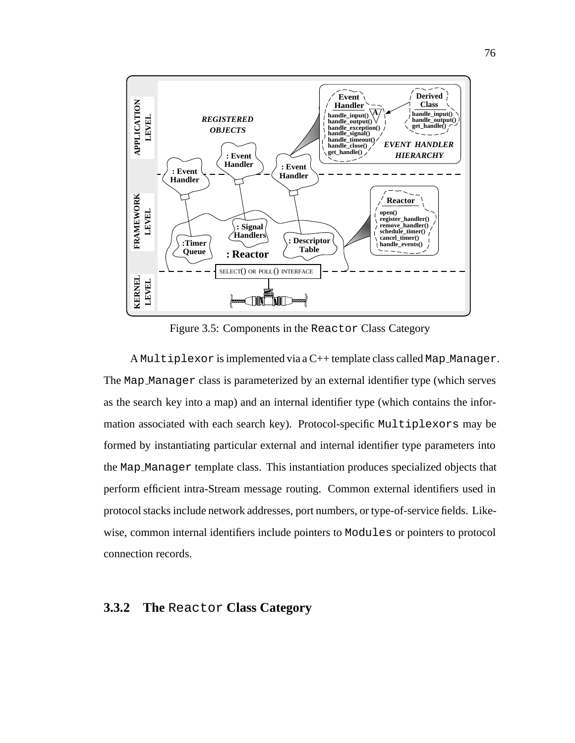

Figure 3.5: Components in the Reactor Class Category

A Multiplexor is implemented via a C++ template class called Map Manager. The Map Manager class is parameterized by an external identifier type (which serves as the search key into a map) and an internal identifier type (which contains the information associated with each search key). Protocol-specific Multiplexors may be formed by instantiating particular external and internal identifier type parameters into the Map Manager template class. This instantiation produces specialized objects that perform efficient intra-Stream message routing. Common external identifiers used in protocol stacks include network addresses, port numbers, or type-of-service fields. Likewise, common internal identifiers include pointers to Modules or pointers to protocol connection records.

#### **3.3.2 The** Reactor **Class Category**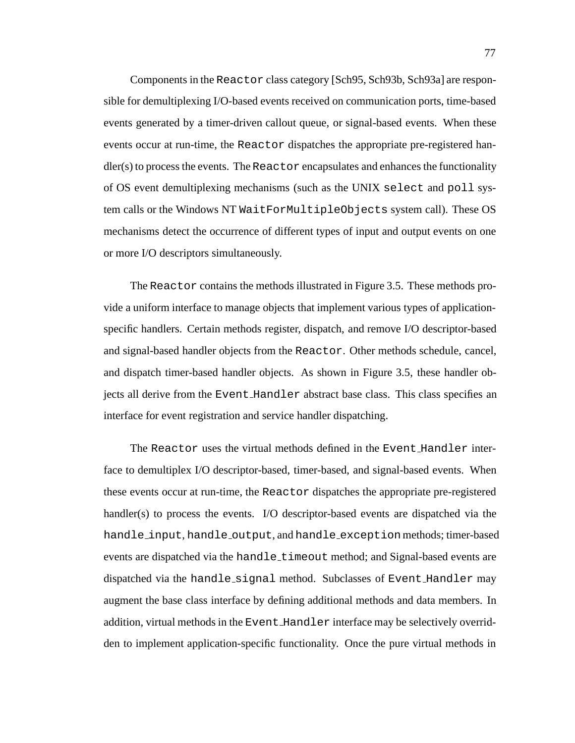Components in the Reactor class category [Sch95, Sch93b, Sch93a] are responsible for demultiplexing I/O-based events received on communication ports, time-based events generated by a timer-driven callout queue, or signal-based events. When these events occur at run-time, the Reactor dispatches the appropriate pre-registered han $d$ ler(s) to process the events. The Reactor encapsulates and enhances the functionality of OS event demultiplexing mechanisms (such as the UNIX select and poll system calls or the Windows NT WaitForMultipleObjects system call). These OS mechanisms detect the occurrence of different types of input and output events on one or more I/O descriptors simultaneously.

The Reactor contains the methods illustrated in Figure 3.5. These methods provide a uniform interface to manage objects that implement various types of applicationspecific handlers. Certain methods register, dispatch, and remove I/O descriptor-based and signal-based handler objects from the Reactor. Other methods schedule, cancel, and dispatch timer-based handler objects. As shown in Figure 3.5, these handler objects all derive from the Event Handler abstract base class. This class specifies an interface for event registration and service handler dispatching.

The Reactor uses the virtual methods defined in the Event Handler interface to demultiplex I/O descriptor-based, timer-based, and signal-based events. When these events occur at run-time, the Reactor dispatches the appropriate pre-registered handler(s) to process the events. I/O descriptor-based events are dispatched via the handle\_input, handle\_output, and handle\_exception methods; timer-based events are dispatched via the handle\_timeout method; and Signal-based events are dispatched via the handle signal method. Subclasses of Event Handler may augment the base class interface by defining additional methods and data members. In addition, virtual methods in the Event Handler interface may be selectively overridden to implement application-specific functionality. Once the pure virtual methods in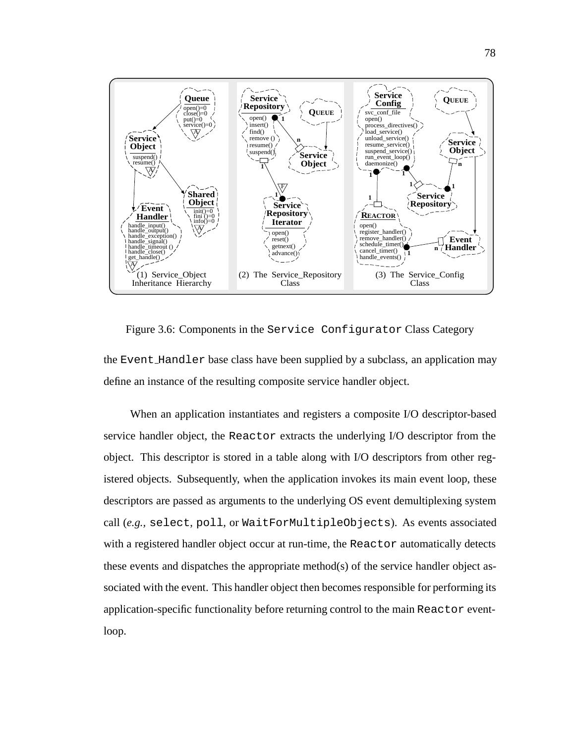

Figure 3.6: Components in the Service Configurator Class Category the Event Handler base class have been supplied by a subclass, an application may define an instance of the resulting composite service handler object.

When an application instantiates and registers a composite I/O descriptor-based service handler object, the Reactor extracts the underlying I/O descriptor from the object. This descriptor is stored in a table along with I/O descriptors from other registered objects. Subsequently, when the application invokes its main event loop, these descriptors are passed as arguments to the underlying OS event demultiplexing system call (*e.g.,* select, poll, or WaitForMultipleObjects). As events associated with a registered handler object occur at run-time, the Reactor automatically detects these events and dispatches the appropriate method(s) of the service handler object associated with the event. This handler object then becomes responsible for performing its application-specific functionality before returning control to the main Reactor eventloop.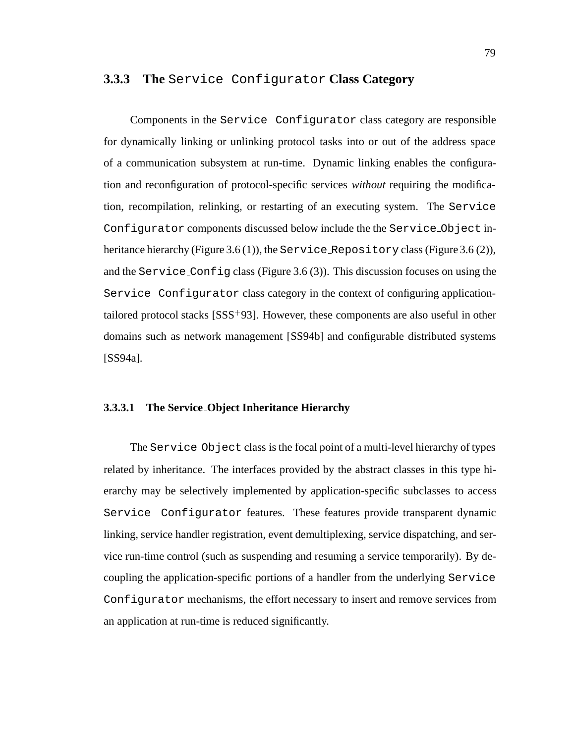#### **3.3.3 The** Service Configurator **Class Category**

Components in the Service Configurator class category are responsible for dynamically linking or unlinking protocol tasks into or out of the address space of a communication subsystem at run-time. Dynamic linking enables the configuration and reconfiguration of protocol-specific services *without* requiring the modification, recompilation, relinking, or restarting of an executing system. The Service Configurator components discussed below include the the Service Object inheritance hierarchy (Figure 3.6 (1)), the Service Repository class (Figure 3.6 (2)), and the Service Config class (Figure 3.6  $(3)$ ). This discussion focuses on using the Service Configurator class category in the context of configuring applicationtailored protocol stacks [SSS<sup>+</sup> 93]. However, these components are also useful in other domains such as network management [SS94b] and configurable distributed systems [SS94a].

#### **3.3.3.1 The Service Object Inheritance Hierarchy**

The Service Object class is the focal point of a multi-level hierarchy of types related by inheritance. The interfaces provided by the abstract classes in this type hierarchy may be selectively implemented by application-specific subclasses to access Service Configurator features. These features provide transparent dynamic linking, service handler registration, event demultiplexing, service dispatching, and service run-time control (such as suspending and resuming a service temporarily). By decoupling the application-specific portions of a handler from the underlying Service Configurator mechanisms, the effort necessary to insert and remove services from an application at run-time is reduced significantly.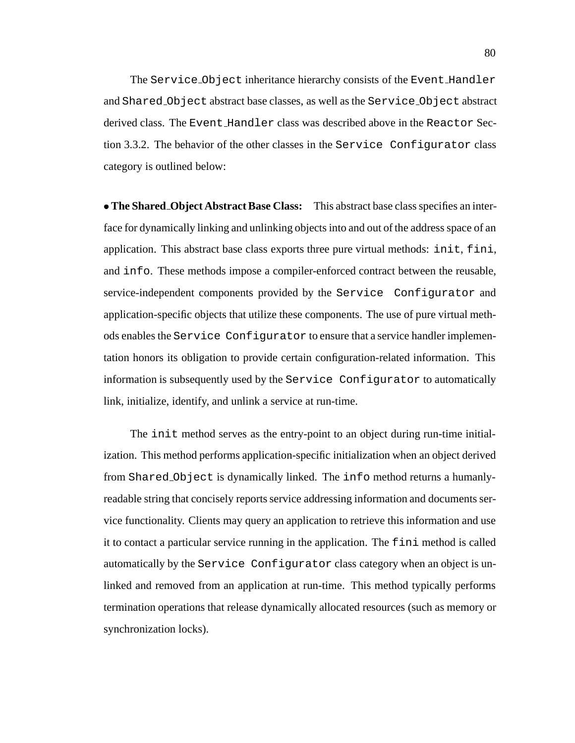The Service Object inheritance hierarchy consists of the Event Handler and Shared Object abstract base classes, as well as the Service Object abstract derived class. The Event Handler class was described above in the Reactor Section 3.3.2. The behavior of the other classes in the Service Configurator class category is outlined below:

 **The Shared Object Abstract Base Class:** This abstract base class specifies an interface for dynamically linking and unlinking objects into and out of the address space of an application. This abstract base class exports three pure virtual methods: init, fini, and info. These methods impose a compiler-enforced contract between the reusable, service-independent components provided by the Service Configurator and application-specific objects that utilize these components. The use of pure virtual methods enables the Service Configurator to ensure that a service handler implementation honors its obligation to provide certain configuration-related information. This information is subsequently used by the Service Configurator to automatically link, initialize, identify, and unlink a service at run-time.

The init method serves as the entry-point to an object during run-time initialization. This method performs application-specific initialization when an object derived from Shared Object is dynamically linked. The info method returns a humanlyreadable string that concisely reports service addressing information and documents service functionality. Clients may query an application to retrieve this information and use it to contact a particular service running in the application. The fini method is called automatically by the Service Configurator class category when an object is unlinked and removed from an application at run-time. This method typically performs termination operations that release dynamically allocated resources (such as memory or synchronization locks).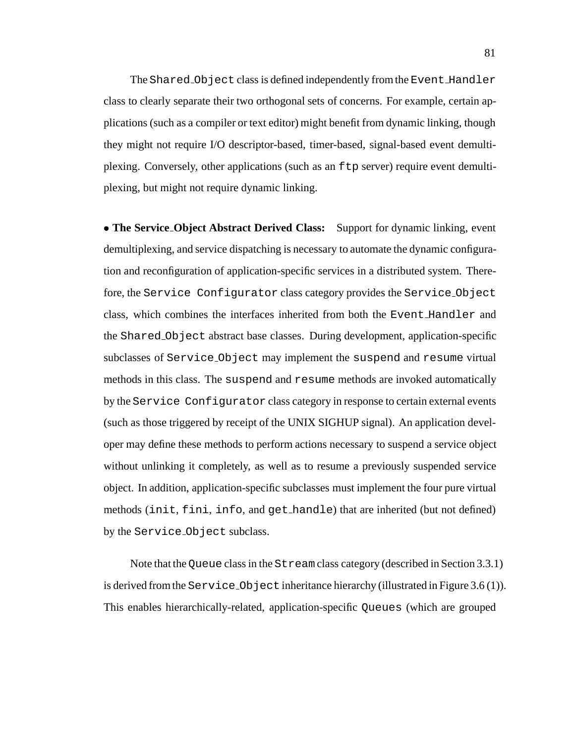The Shared Object class is defined independently from the Event Handler class to clearly separate their two orthogonal sets of concerns. For example, certain applications (such as a compiler or text editor) might benefit from dynamic linking, though they might not require I/O descriptor-based, timer-based, signal-based event demultiplexing. Conversely, other applications (such as an ftp server) require event demultiplexing, but might not require dynamic linking.

 **The Service Object Abstract Derived Class:** Support for dynamic linking, event demultiplexing, and service dispatching is necessary to automate the dynamic configuration and reconfiguration of application-specific services in a distributed system. Therefore, the Service Configurator class category provides the Service Object class, which combines the interfaces inherited from both the Event Handler and the Shared Object abstract base classes. During development, application-specific subclasses of Service Object may implement the suspend and resume virtual methods in this class. The suspend and resume methods are invoked automatically by the Service Configurator class category in response to certain external events (such as those triggered by receipt of the UNIX SIGHUP signal). An application developer may define these methods to perform actions necessary to suspend a service object without unlinking it completely, as well as to resume a previously suspended service object. In addition, application-specific subclasses must implement the four pure virtual methods (init, fini, info, and get handle) that are inherited (but not defined) by the Service Object subclass.

Note that the Queue class in the Stream class category (described in Section 3.3.1) is derived from the Service Object inheritance hierarchy (illustrated in Figure 3.6 (1)). This enables hierarchically-related, application-specific Queues (which are grouped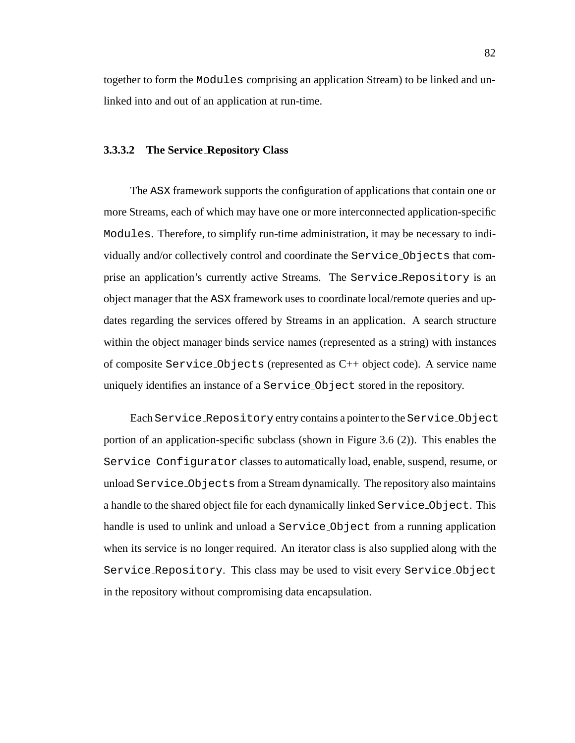together to form the Modules comprising an application Stream) to be linked and unlinked into and out of an application at run-time.

#### **3.3.3.2 The Service Repository Class**

The ASX framework supports the configuration of applications that contain one or more Streams, each of which may have one or more interconnected application-specific Modules. Therefore, to simplify run-time administration, it may be necessary to individually and/or collectively control and coordinate the Service Objects that comprise an application's currently active Streams. The Service Repository is an object manager that the ASX framework uses to coordinate local/remote queries and updates regarding the services offered by Streams in an application. A search structure within the object manager binds service names (represented as a string) with instances of composite Service Objects (represented as C++ object code). A service name uniquely identifies an instance of a Service Object stored in the repository.

Each Service Repository entry contains a pointer to the Service Object portion of an application-specific subclass (shown in Figure 3.6 (2)). This enables the Service Configurator classes to automatically load, enable, suspend, resume, or unload Service Objects from a Stream dynamically. The repository also maintains a handle to the shared object file for each dynamically linked Service Object. This handle is used to unlink and unload a Service-Object from a running application when its service is no longer required. An iterator class is also supplied along with the Service Repository. This class may be used to visit every Service Object in the repository without compromising data encapsulation.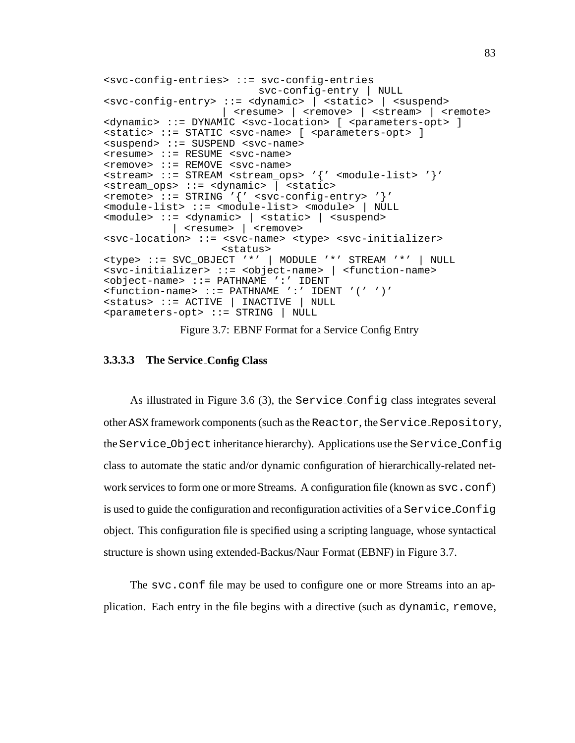```
<svc-config-entries> ::= svc-config-entries
                          svc-config-entry | NULL
<svc-config-entry> ::= <dynamic> | <static> | <suspend>
                    | <sub>resume</sub> | <sub>remove</sub> | <sub>strean</sub> | <sub>remote</sub></sub></sub></sub></sub>
<dynamic> ::= DYNAMIC <svc-location> [ <parameters-opt> ]
<static> ::= STATIC <svc-name> [ <parameters-opt> ]
<suspend> ::= SUSPEND <svc-name>
<resume> ::= RESUME <svc-name>
<remove> ::= REMOVE <svc-name>
<stream> ::= STREAM <stream_ops> '{' <module-list> '}'
<stream_ops> ::= <dynamic> | <static>
<remote> ::= STRING '{' <svc-config-entry> '}'
<module-list> ::= <module-list> <module> | NULL
<module> ::= <dynamic> | <static> | <suspend>
           | <resume> | <remove>
<svc-location> ::= <svc-name> <type> <svc-initializer>
                    <status>
<type> ::= SVC_OBJECT '*' | MODULE '*' STREAM '*' | NULL
<svc-initializer> ::= <object-name> | <function-name>
<object-name> ::= PATHNAME ':' IDENT
<function-name> ::= PATHNAME ':' IDENT '(' ')'
<status> ::= ACTIVE | INACTIVE | NULL
<parameters-opt> ::= STRING | NULL
```
Figure 3.7: EBNF Format for a Service Config Entry

#### **3.3.3.3 The Service Config Class**

As illustrated in Figure 3.6 (3), the Service Config class integrates several other ASX framework components (such as the Reactor, the Service Repository, the Service Object inheritance hierarchy). Applications use the Service Config class to automate the static and/or dynamic configuration of hierarchically-related network services to form one or more Streams. A configuration file (known as  $\text{svc.conf}$ ) is used to guide the configuration and reconfiguration activities of a Service Config object. This configuration file is specified using a scripting language, whose syntactical structure is shown using extended-Backus/Naur Format (EBNF) in Figure 3.7.

The svc.conf file may be used to configure one or more Streams into an application. Each entry in the file begins with a directive (such as dynamic, remove,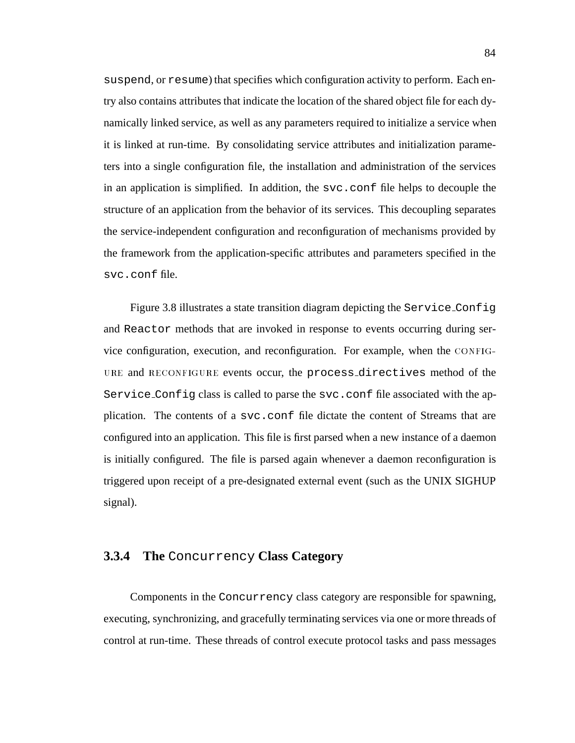suspend, or resume) that specifies which configuration activity to perform. Each entry also contains attributes that indicate the location of the shared object file for each dynamically linked service, as well as any parameters required to initialize a service when it is linked at run-time. By consolidating service attributes and initialization parameters into a single configuration file, the installation and administration of the services in an application is simplified. In addition, the  $\sec$  confinition file helps to decouple the structure of an application from the behavior of its services. This decoupling separates the service-independent configuration and reconfiguration of mechanisms provided by the framework from the application-specific attributes and parameters specified in the svc.conf file.

Figure 3.8 illustrates a state transition diagram depicting the Service Config and Reactor methods that are invoked in response to events occurring during service configuration, execution, and reconfiguration. For example, when the CONFIG-URE and RECONFIGURE events occur, the process\_directives method of the Service Config class is called to parse the svc.conf file associated with the application. The contents of a svc.conf file dictate the content of Streams that are configured into an application. This file is first parsed when a new instance of a daemon is initially configured. The file is parsed again whenever a daemon reconfiguration is triggered upon receipt of a pre-designated external event (such as the UNIX SIGHUP signal).

#### **3.3.4 The** Concurrency **Class Category**

Components in the Concurrency class category are responsible for spawning, executing, synchronizing, and gracefully terminating services via one or more threads of control at run-time. These threads of control execute protocol tasks and pass messages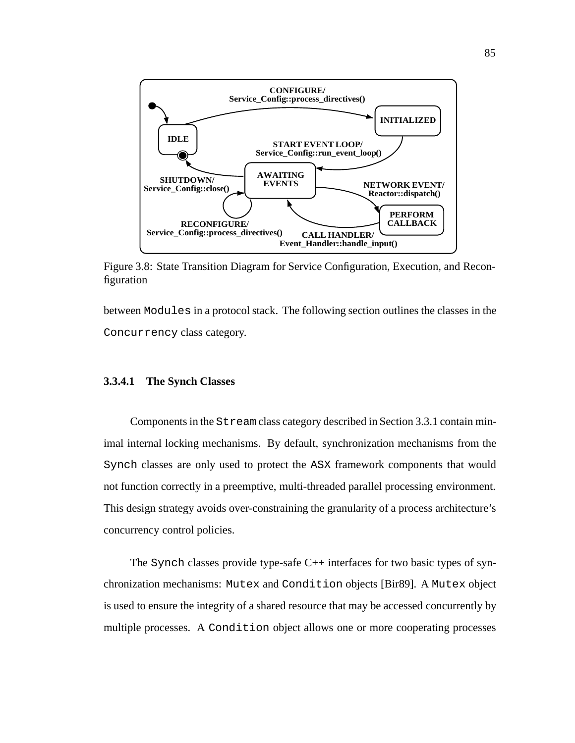

Figure 3.8: State Transition Diagram for Service Configuration, Execution, and Reconfiguration

between Modules in a protocol stack. The following section outlines the classes in the Concurrency class category.

#### **3.3.4.1 The Synch Classes**

Components in the Stream class category described in Section 3.3.1 contain minimal internal locking mechanisms. By default, synchronization mechanisms from the Synch classes are only used to protect the ASX framework components that would not function correctly in a preemptive, multi-threaded parallel processing environment. This design strategy avoids over-constraining the granularity of a process architecture's concurrency control policies.

The Synch classes provide type-safe C++ interfaces for two basic types of synchronization mechanisms: Mutex and Condition objects [Bir89]. A Mutex object is used to ensure the integrity of a shared resource that may be accessed concurrently by multiple processes. A Condition object allows one or more cooperating processes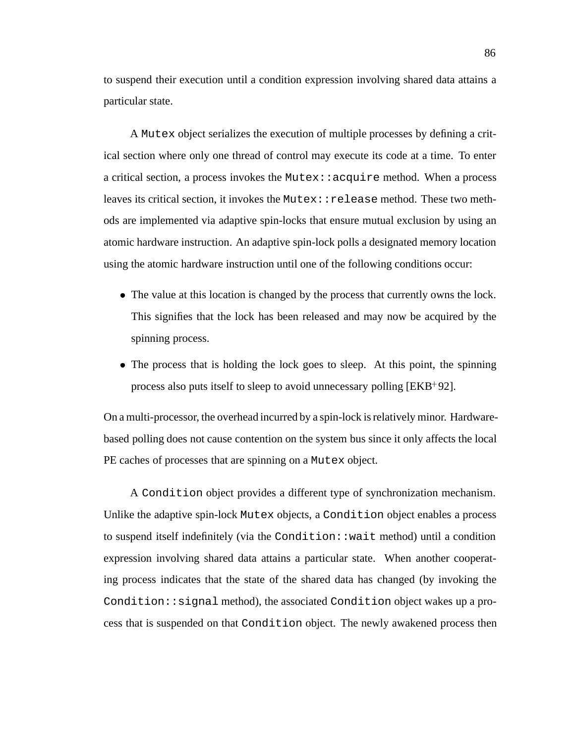to suspend their execution until a condition expression involving shared data attains a particular state.

A Mutex object serializes the execution of multiple processes by defining a critical section where only one thread of control may execute its code at a time. To enter a critical section, a process invokes the Mutex:  $:acquire$  method. When a process leaves its critical section, it invokes the  ${\tt Mutes::relesse}$  method. These two methods are implemented via adaptive spin-locks that ensure mutual exclusion by using an atomic hardware instruction. An adaptive spin-lock polls a designated memory location using the atomic hardware instruction until one of the following conditions occur:

- The value at this location is changed by the process that currently owns the lock. This signifies that the lock has been released and may now be acquired by the spinning process.
- The process that is holding the lock goes to sleep. At this point, the spinning process also puts itself to sleep to avoid unnecessary polling [EKB<sup>+</sup> 92].

On a multi-processor, the overhead incurred by a spin-lock is relatively minor. Hardwarebased polling does not cause contention on the system bus since it only affects the local PE caches of processes that are spinning on a Mutex object.

A Condition object provides a different type of synchronization mechanism. Unlike the adaptive spin-lock Mutex objects, a Condition object enables a process to suspend itself indefinitely (via the Condition::wait method) until a condition expression involving shared data attains a particular state. When another cooperating process indicates that the state of the shared data has changed (by invoking the Condition::signal method), the associated Condition object wakes up a process that is suspended on that Condition object. The newly awakened process then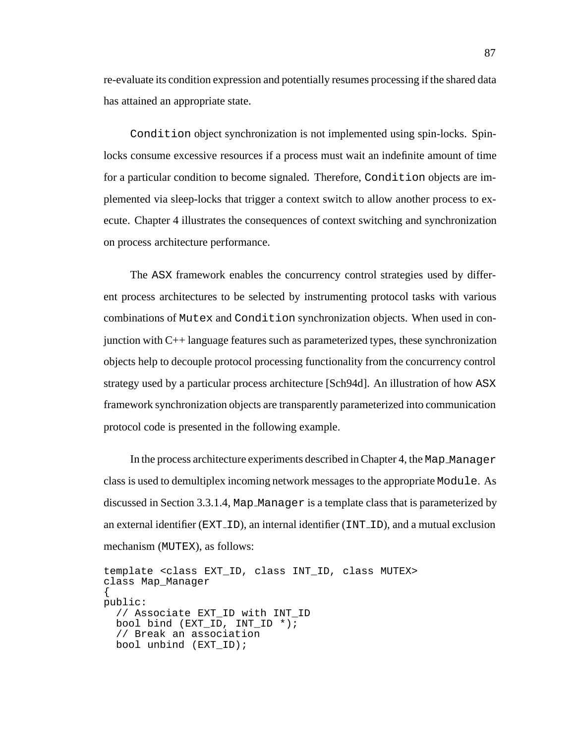re-evaluate its condition expression and potentially resumes processing if the shared data has attained an appropriate state.

Condition object synchronization is not implemented using spin-locks. Spinlocks consume excessive resources if a process must wait an indefinite amount of time for a particular condition to become signaled. Therefore, Condition objects are implemented via sleep-locks that trigger a context switch to allow another process to execute. Chapter 4 illustrates the consequences of context switching and synchronization on process architecture performance.

The ASX framework enables the concurrency control strategies used by different process architectures to be selected by instrumenting protocol tasks with various combinations of Mutex and Condition synchronization objects. When used in conjunction with C++ language features such as parameterized types, these synchronization objects help to decouple protocol processing functionality from the concurrency control strategy used by a particular process architecture [Sch94d]. An illustration of how ASX framework synchronization objects are transparently parameterized into communication protocol code is presented in the following example.

In the process architecture experiments described in Chapter 4, the Map Manager class is used to demultiplex incoming network messages to the appropriate Module. As discussed in Section 3.3.1.4, Map Manager is a template class that is parameterized by an external identifier ( $EXT\_ID$ ), an internal identifier ( $INT\_ID$ ), and a mutual exclusion mechanism (MUTEX), as follows:

```
template <class EXT_ID, class INT_ID, class MUTEX>
class Map_Manager
{
public:
 // Associate EXT_ID with INT_ID
 bool bind (EXT_ID, INT_ID *);
  // Break an association
 bool unbind (EXT_ID);
```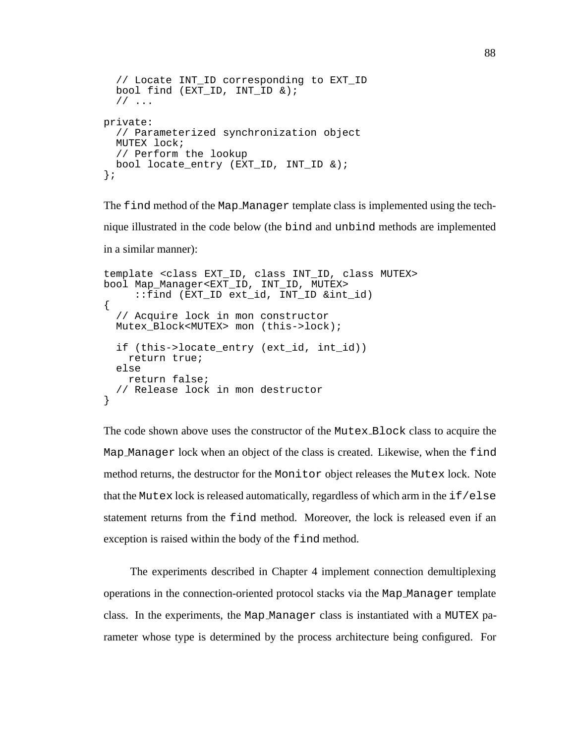```
// Locate INT_ID corresponding to EXT_ID
 bool find (EXT ID, INT ID \&);
  // ...
private:
  // Parameterized synchronization object
 MUTEX lock;
  // Perform the lookup
 bool locate_entry (EXT_ID, INT_ID &);
};
```
The find method of the Map Manager template class is implemented using the technique illustrated in the code below (the bind and unbind methods are implemented in a similar manner):

```
template <class EXT_ID, class INT_ID, class MUTEX>
bool Map_Manager<EXT_ID, INT_ID, MUTEX>
     ::find (EXT_ID ext_id, INT_ID &int_id)
{
  // Acquire lock in mon constructor
 Mutex Block<MUTEX> mon (this->lock);
 if (this->locate_entry (ext_id, int_id))
   return true;
 else
   return false;
  // Release lock in mon destructor
}
```
The code shown above uses the constructor of the Mutex Block class to acquire the Map Manager lock when an object of the class is created. Likewise, when the find method returns, the destructor for the Monitor object releases the Mutex lock. Note that the Mutex lock is released automatically, regardless of which arm in the  $if/else$ statement returns from the find method. Moreover, the lock is released even if an exception is raised within the body of the find method.

The experiments described in Chapter 4 implement connection demultiplexing operations in the connection-oriented protocol stacks via the Map Manager template class. In the experiments, the Map Manager class is instantiated with a MUTEX parameter whose type is determined by the process architecture being configured. For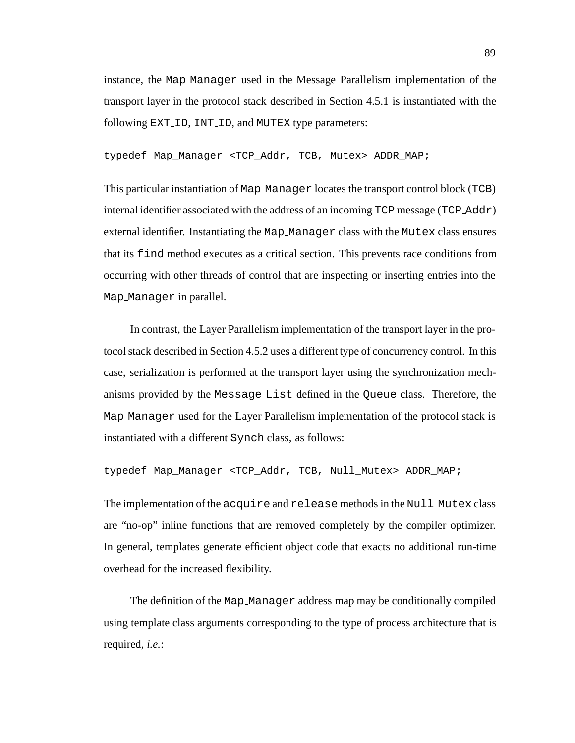instance, the Map Manager used in the Message Parallelism implementation of the transport layer in the protocol stack described in Section 4.5.1 is instantiated with the following EXT\_ID, INT\_ID, and MUTEX type parameters:

typedef Map\_Manager <TCP\_Addr, TCB, Mutex> ADDR\_MAP;

This particular instantiation of Map Manager locates the transport control block (TCB) internal identifier associated with the address of an incoming TCP message (TCP Addr) external identifier. Instantiating the Map Manager class with the Mutex class ensures that its find method executes as a critical section. This prevents race conditions from occurring with other threads of control that are inspecting or inserting entries into the Map Manager in parallel.

In contrast, the Layer Parallelism implementation of the transport layer in the protocol stack described in Section 4.5.2 uses a different type of concurrency control. In this case, serialization is performed at the transport layer using the synchronization mechanisms provided by the Message List defined in the Queue class. Therefore, the Map Manager used for the Layer Parallelism implementation of the protocol stack is instantiated with a different Synch class, as follows:

typedef Map Manager <TCP Addr, TCB, Null Mutex> ADDR MAP;

The implementation of the acquire and release methods in the Null Mutex class are "no-op" inline functions that are removed completely by the compiler optimizer. In general, templates generate efficient object code that exacts no additional run-time overhead for the increased flexibility.

The definition of the Map Manager address map may be conditionally compiled using template class arguments corresponding to the type of process architecture that is required, *i.e.*: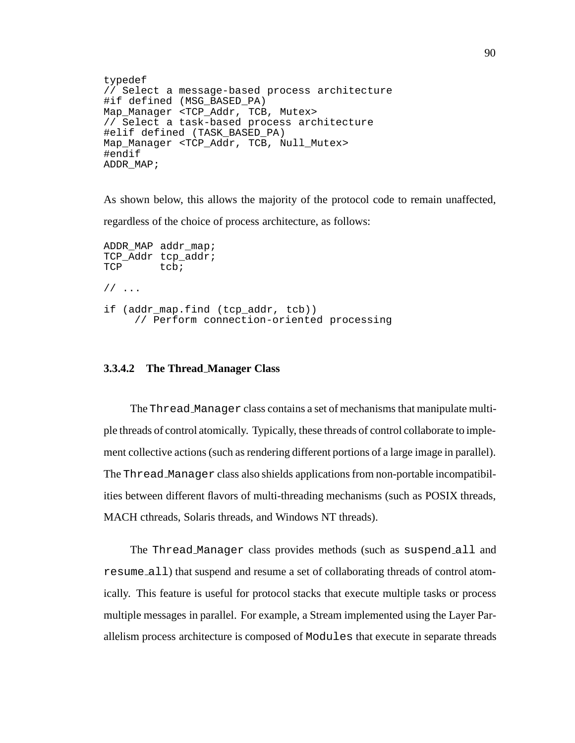```
typedef
// Select a message-based process architecture
#if defined (MSG BASED PA)
Map_Manager <TCP_Addr, TCB, Mutex>
// Select a task-based process architecture
#elif defined (TASK_BASED_PA)
Map Manager <TCP Addr, TCB, Null Mutex>
#endif
ADDR_MAP;
```
As shown below, this allows the majority of the protocol code to remain unaffected,

regardless of the choice of process architecture, as follows:

```
ADDR_MAP addr_map;
TCP_Addr tcp_addr;
TCP tcb;
// ...
if (addr_map.find (tcp_addr, tcb))
     // Perform connection-oriented processing
```
## **3.3.4.2 The Thread Manager Class**

The Thread Manager class contains a set of mechanisms that manipulate multiple threads of control atomically. Typically, these threads of control collaborate to implement collective actions (such as rendering different portions of a large image in parallel). The Thread Manager class also shields applications from non-portable incompatibilities between different flavors of multi-threading mechanisms (such as POSIX threads, MACH cthreads, Solaris threads, and Windows NT threads).

The Thread Manager class provides methods (such as suspend all and resume all) that suspend and resume a set of collaborating threads of control atomically. This feature is useful for protocol stacks that execute multiple tasks or process multiple messages in parallel. For example, a Stream implemented using the Layer Parallelism process architecture is composed of Modules that execute in separate threads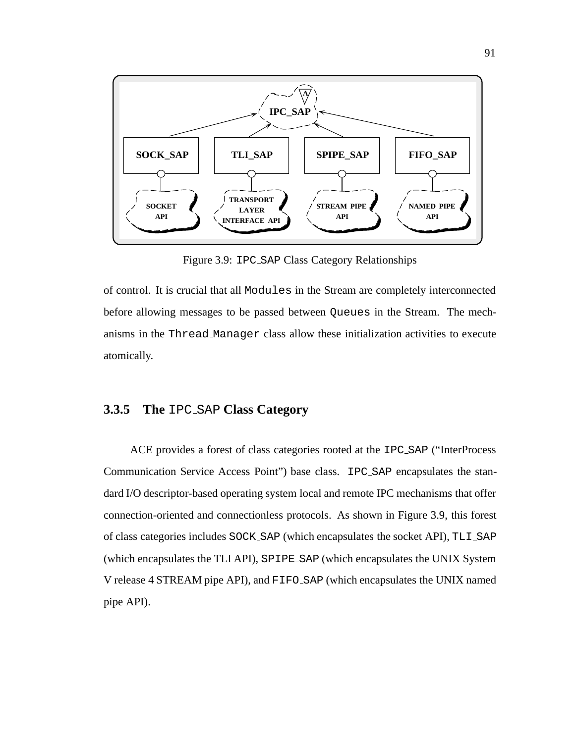

Figure 3.9: IPC SAP Class Category Relationships

of control. It is crucial that all Modules in the Stream are completely interconnected before allowing messages to be passed between Queues in the Stream. The mechanisms in the Thread Manager class allow these initialization activities to execute atomically.

## **3.3.5 The** IPC SAP **Class Category**

ACE provides a forest of class categories rooted at the IPC SAP ("InterProcess Communication Service Access Point") base class. IPC SAP encapsulates the standard I/O descriptor-based operating system local and remote IPC mechanisms that offer connection-oriented and connectionless protocols. As shown in Figure 3.9, this forest of class categories includes SOCK SAP (which encapsulates the socket API), TLI SAP (which encapsulates the TLI API), SPIPE SAP (which encapsulates the UNIX System V release 4 STREAM pipe API), and FIFO SAP (which encapsulates the UNIX named pipe API).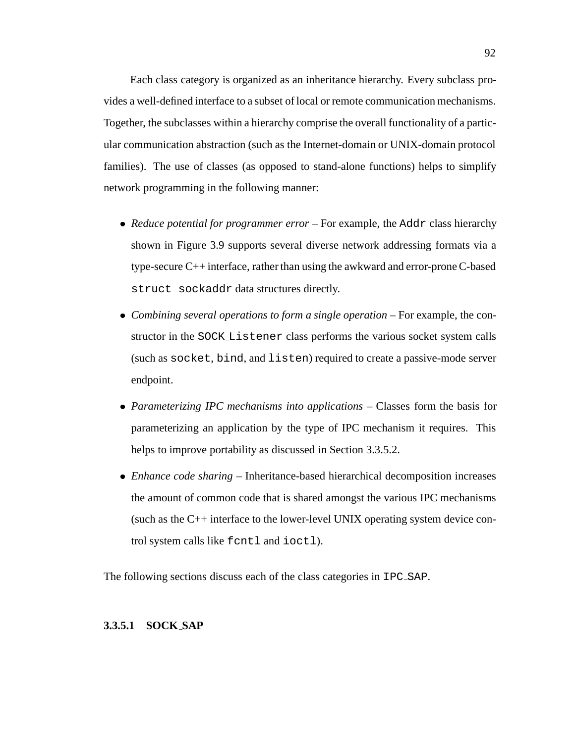Each class category is organized as an inheritance hierarchy. Every subclass provides a well-defined interface to a subset of local or remote communication mechanisms. Together, the subclasses within a hierarchy comprise the overall functionality of a particular communication abstraction (such as the Internet-domain or UNIX-domain protocol families). The use of classes (as opposed to stand-alone functions) helps to simplify network programming in the following manner:

- *Reduce potential for programmer error* For example, the Addr class hierarchy shown in Figure 3.9 supports several diverse network addressing formats via a type-secure C++ interface, rather than using the awkward and error-prone C-based struct sockaddr data structures directly.
- *Combining several operations to form a single operation* For example, the constructor in the SOCK Listener class performs the various socket system calls (such as socket, bind, and listen) required to create a passive-mode server endpoint.
- *Parameterizing IPC mechanisms into applications* Classes form the basis for parameterizing an application by the type of IPC mechanism it requires. This helps to improve portability as discussed in Section 3.3.5.2.
- *Enhance code sharing* Inheritance-based hierarchical decomposition increases the amount of common code that is shared amongst the various IPC mechanisms (such as the C++ interface to the lower-level UNIX operating system device control system calls like fcntl and ioctl).

The following sections discuss each of the class categories in IPC SAP.

## **3.3.5.1 SOCK SAP**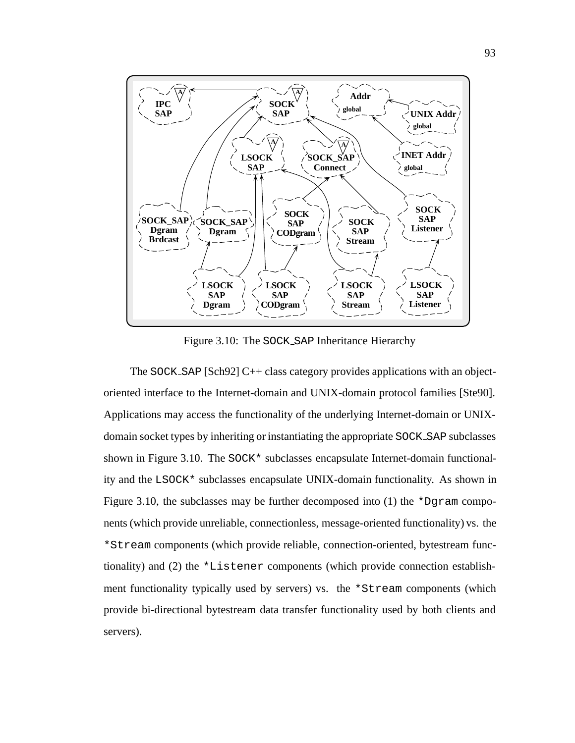

Figure 3.10: The SOCK SAP Inheritance Hierarchy

The SOCK\_SAP [Sch92] C++ class category provides applications with an objectoriented interface to the Internet-domain and UNIX-domain protocol families [Ste90]. Applications may access the functionality of the underlying Internet-domain or UNIXdomain socket types by inheriting or instantiating the appropriate SOCK SAP subclasses shown in Figure 3.10. The SOCK\* subclasses encapsulate Internet-domain functionality and the LSOCK\* subclasses encapsulate UNIX-domain functionality. As shown in Figure 3.10, the subclasses may be further decomposed into  $(1)$  the \*Dgram components (which provide unreliable, connectionless, message-oriented functionality) vs. the \*Stream components (which provide reliable, connection-oriented, bytestream functionality) and (2) the \*Listener components (which provide connection establishment functionality typically used by servers) vs. the \*Stream components (which provide bi-directional bytestream data transfer functionality used by both clients and servers).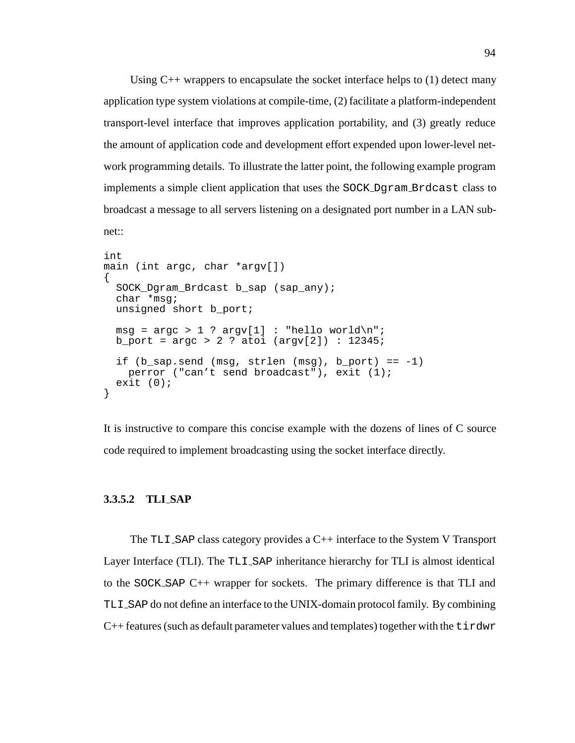Using  $C_{++}$  wrappers to encapsulate the socket interface helps to (1) detect many application type system violations at compile-time, (2) facilitate a platform-independent transport-level interface that improves application portability, and (3) greatly reduce the amount of application code and development effort expended upon lower-level network programming details. To illustrate the latter point, the following example program implements a simple client application that uses the SOCK Dgram Brdcast class to broadcast a message to all servers listening on a designated port number in a LAN subnet::

```
int
main (int argc, char *argv[])
{
  SOCK_Dgram_Brdcast b_sap (sap_any);
  char *msg;
  unsigned short b_port;
  msg = \text{argc} > 1 ? argv[1] : "hello world\nu";
  b_port = \arg c > 2 ? atoi (\arg v[2]) : 12345;
  if (b_sap.send (msg, strlen (msg), b_port) == -1)perror ("can't send broadcast"), exit (1);
  exit (0);
}
```
It is instructive to compare this concise example with the dozens of lines of C source code required to implement broadcasting using the socket interface directly.

### **3.3.5.2 TLI SAP**

The TLI SAP class category provides a C++ interface to the System V Transport Layer Interface (TLI). The TLI SAP inheritance hierarchy for TLI is almost identical to the SOCK SAP C++ wrapper for sockets. The primary difference is that TLI and TLI SAP do not define an interface to the UNIX-domain protocol family. By combining  $C_{++}$  features (such as default parameter values and templates) together with the  $\tt{t}$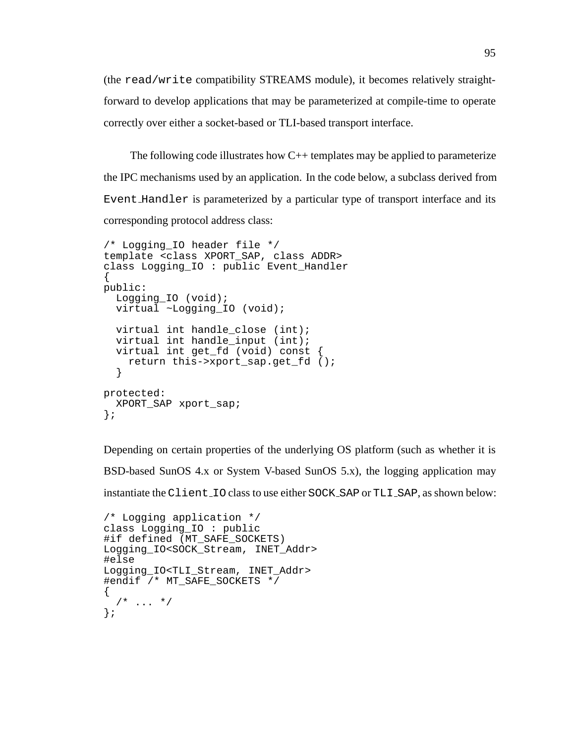(the read/write compatibility STREAMS module), it becomes relatively straightforward to develop applications that may be parameterized at compile-time to operate correctly over either a socket-based or TLI-based transport interface.

The following code illustrates how  $C_{++}$  templates may be applied to parameterize the IPC mechanisms used by an application. In the code below, a subclass derived from Event Handler is parameterized by a particular type of transport interface and its corresponding protocol address class:

```
/* Logging_IO header file */
template <class XPORT_SAP, class ADDR>
class Logging_IO : public Event_Handler
{
public:
 Logging_IO (void);
 virtual ~Logging_IO (void);
 virtual int handle_close (int);
 virtual int handle_input (int);
 virtual int get_fd (void) const {
    return this->xport_sap.get_fd ();
  }
protected:
 XPORT_SAP xport_sap;
};
```
Depending on certain properties of the underlying OS platform (such as whether it is BSD-based SunOS 4.x or System V-based SunOS 5.x), the logging application may instantiate the Client IO class to use either SOCK SAP or TLI SAP, as shown below:

```
/* Logging application */
class Logging_IO : public
#if defined (MT_SAFE_SOCKETS)
Logging_IO<SOCK_Stream, INET_Addr>
#else
Logging_IO<TLI_Stream, INET_Addr>
#endif /* MT_SAFE_SOCKETS */
{
  /* ... */
};
```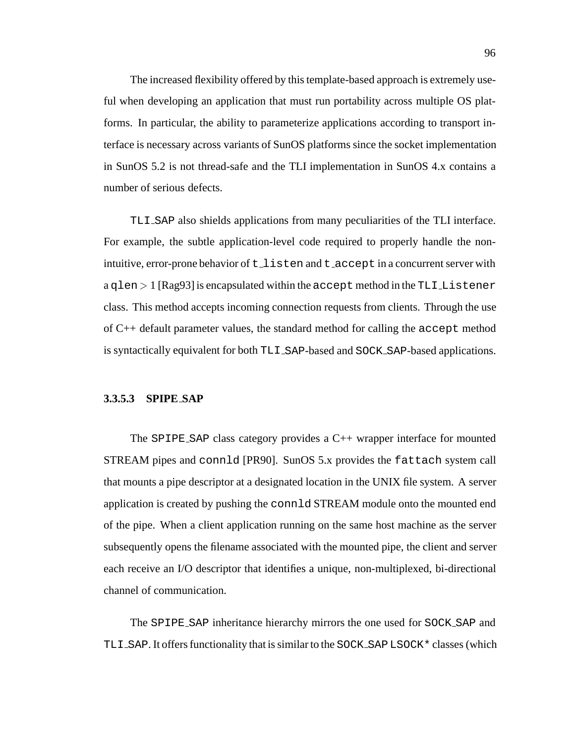The increased flexibility offered by this template-based approach is extremely useful when developing an application that must run portability across multiple OS platforms. In particular, the ability to parameterize applications according to transport interface is necessary across variants of SunOS platforms since the socket implementation in SunOS 5.2 is not thread-safe and the TLI implementation in SunOS 4.x contains a number of serious defects.

TLI SAP also shields applications from many peculiarities of the TLI interface. For example, the subtle application-level code required to properly handle the nonintuitive, error-prone behavior of  $t$  listen and  $t$  accept in a concurrent server with  $a$  qlen  $>1$  [Rag93] is encapsulated within the accept method in the TLI\_Listener class. This method accepts incoming connection requests from clients. Through the use of C++ default parameter values, the standard method for calling the accept method is syntactically equivalent for both TLI SAP-based and SOCK SAP-based applications.

### **3.3.5.3 SPIPE SAP**

The  $SPIPE\_SAP$  class category provides a  $C++$  wrapper interface for mounted STREAM pipes and connld [PR90]. SunOS 5.x provides the fattach system call that mounts a pipe descriptor at a designated location in the UNIX file system. A server application is created by pushing the connld STREAM module onto the mounted end of the pipe. When a client application running on the same host machine as the server subsequently opens the filename associated with the mounted pipe, the client and server each receive an I/O descriptor that identifies a unique, non-multiplexed, bi-directional channel of communication.

The SPIPE SAP inheritance hierarchy mirrors the one used for SOCK SAP and TLI\_SAP. It offers functionality that is similar to the SOCK\_SAP LSOCK \* classes (which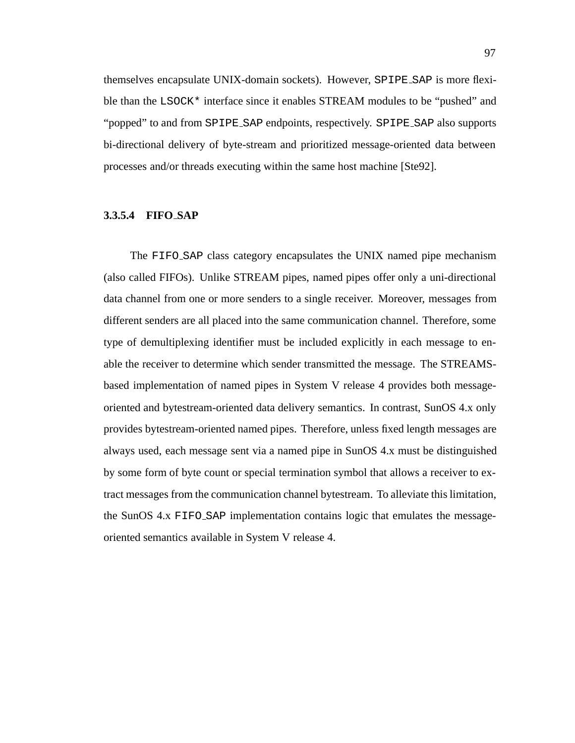themselves encapsulate UNIX-domain sockets). However, SPIPE SAP is more flexible than the LSOCK\* interface since it enables STREAM modules to be "pushed" and "popped" to and from SPIPE SAP endpoints, respectively. SPIPE SAP also supports bi-directional delivery of byte-stream and prioritized message-oriented data between processes and/or threads executing within the same host machine [Ste92].

#### **3.3.5.4 FIFO SAP**

The FIFO SAP class category encapsulates the UNIX named pipe mechanism (also called FIFOs). Unlike STREAM pipes, named pipes offer only a uni-directional data channel from one or more senders to a single receiver. Moreover, messages from different senders are all placed into the same communication channel. Therefore, some type of demultiplexing identifier must be included explicitly in each message to enable the receiver to determine which sender transmitted the message. The STREAMSbased implementation of named pipes in System V release 4 provides both messageoriented and bytestream-oriented data delivery semantics. In contrast, SunOS 4.x only provides bytestream-oriented named pipes. Therefore, unless fixed length messages are always used, each message sent via a named pipe in SunOS 4.x must be distinguished by some form of byte count or special termination symbol that allows a receiver to extract messages from the communication channel bytestream. To alleviate this limitation, the SunOS 4.x FIFO SAP implementation contains logic that emulates the messageoriented semantics available in System V release 4.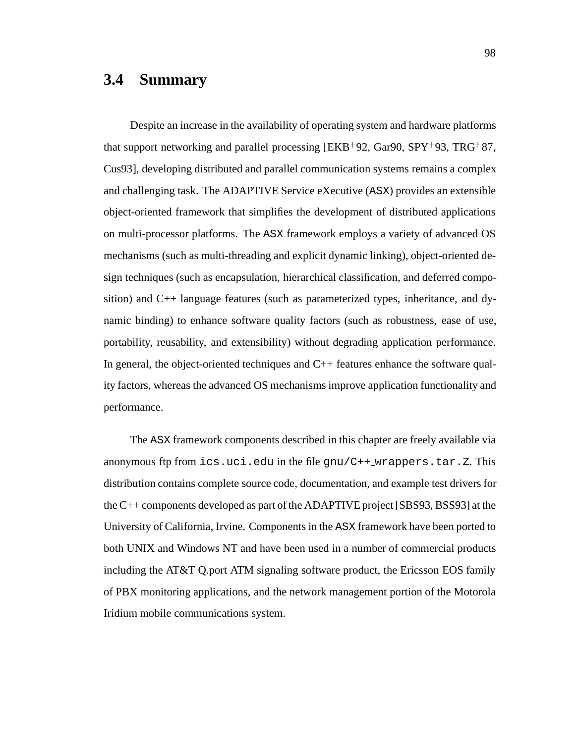# **3.4 Summary**

Despite an increase in the availability of operating system and hardware platforms that support networking and parallel processing [EKB<sup>+</sup> 92, Gar90, SPY<sup>+</sup> 93, TRG<sup>+</sup> 87, Cus93], developing distributed and parallel communication systems remains a complex and challenging task. The ADAPTIVE Service eXecutive (ASX) provides an extensible object-oriented framework that simplifies the development of distributed applications on multi-processor platforms. The ASX framework employs a variety of advanced OS mechanisms (such as multi-threading and explicit dynamic linking), object-oriented design techniques (such as encapsulation, hierarchical classification, and deferred composition) and C++ language features (such as parameterized types, inheritance, and dynamic binding) to enhance software quality factors (such as robustness, ease of use, portability, reusability, and extensibility) without degrading application performance. In general, the object-oriented techniques and  $C_{++}$  features enhance the software quality factors, whereas the advanced OS mechanisms improve application functionality and performance.

The ASX framework components described in this chapter are freely available via anonymous ftp from  $ics.$  uci.edu in the file  $gnu/C++_warppers.$  tar. Z. This distribution contains complete source code, documentation, and example test drivers for the C++ components developed as part of the ADAPTIVE project [SBS93, BSS93] at the University of California, Irvine. Components in the ASX framework have been ported to both UNIX and Windows NT and have been used in a number of commercial products including the AT&T Q.port ATM signaling software product, the Ericsson EOS family of PBX monitoring applications, and the network management portion of the Motorola Iridium mobile communications system.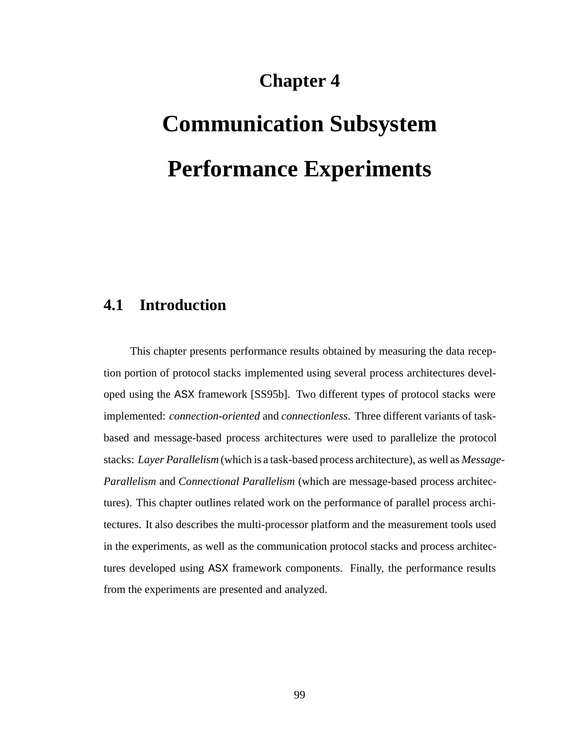# **Chapter 4**

# **Communication Subsystem Performance Experiments**

# **4.1 Introduction**

This chapter presents performance results obtained by measuring the data reception portion of protocol stacks implemented using several process architectures developed using the ASX framework [SS95b]. Two different types of protocol stacks were implemented: *connection-oriented* and *connectionless*. Three different variants of taskbased and message-based process architectures were used to parallelize the protocol stacks: *Layer Parallelism* (which is a task-based process architecture), as well as *Message-Parallelism* and *Connectional Parallelism* (which are message-based process architectures). This chapter outlines related work on the performance of parallel process architectures. It also describes the multi-processor platform and the measurement tools used in the experiments, as well as the communication protocol stacks and process architectures developed using ASX framework components. Finally, the performance results from the experiments are presented and analyzed.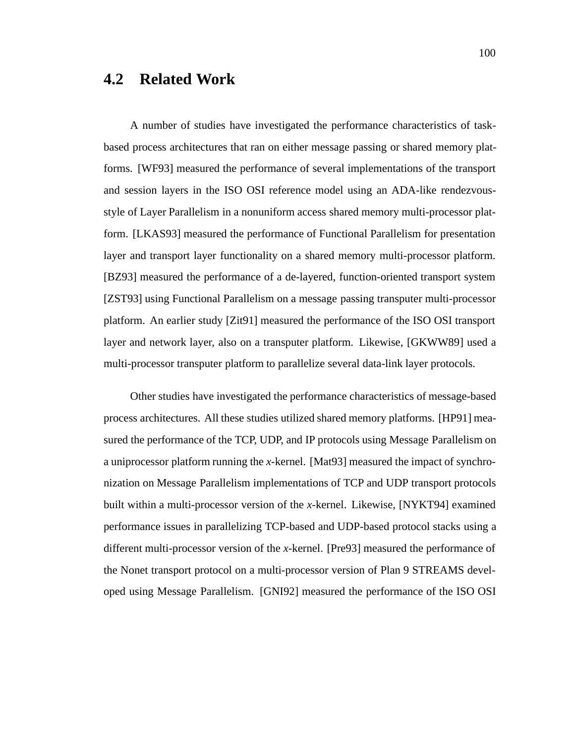# **4.2 Related Work**

A number of studies have investigated the performance characteristics of taskbased process architectures that ran on either message passing or shared memory platforms. [WF93] measured the performance of several implementations of the transport and session layers in the ISO OSI reference model using an ADA-like rendezvousstyle of Layer Parallelism in a nonuniform access shared memory multi-processor platform. [LKAS93] measured the performance of Functional Parallelism for presentation layer and transport layer functionality on a shared memory multi-processor platform. [BZ93] measured the performance of a de-layered, function-oriented transport system [ZST93] using Functional Parallelism on a message passing transputer multi-processor platform. An earlier study [Zit91] measured the performance of the ISO OSI transport layer and network layer, also on a transputer platform. Likewise, [GKWW89] used a multi-processor transputer platform to parallelize several data-link layer protocols.

Other studies have investigated the performance characteristics of message-based process architectures. All these studies utilized shared memory platforms. [HP91] measured the performance of the TCP, UDP, and IP protocols using Message Parallelism on a uniprocessor platform running the *x*-kernel. [Mat93] measured the impact of synchronization on Message Parallelism implementations of TCP and UDP transport protocols built within a multi-processor version of the *x*-kernel. Likewise, [NYKT94] examined performance issues in parallelizing TCP-based and UDP-based protocol stacks using a different multi-processor version of the *x*-kernel. [Pre93] measured the performance of the Nonet transport protocol on a multi-processor version of Plan 9 STREAMS developed using Message Parallelism. [GNI92] measured the performance of the ISO OSI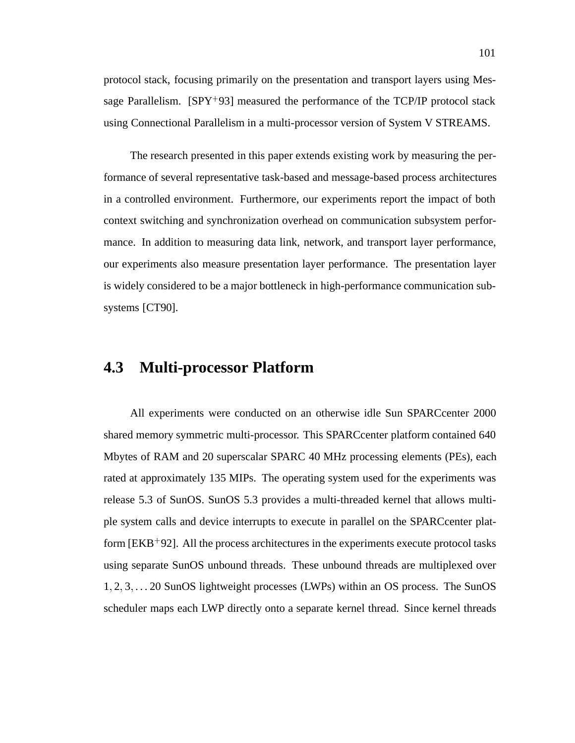protocol stack, focusing primarily on the presentation and transport layers using Message Parallelism. [SPY<sup>+</sup> 93] measured the performance of the TCP/IP protocol stack using Connectional Parallelism in a multi-processor version of System V STREAMS.

The research presented in this paper extends existing work by measuring the performance of several representative task-based and message-based process architectures in a controlled environment. Furthermore, our experiments report the impact of both context switching and synchronization overhead on communication subsystem performance. In addition to measuring data link, network, and transport layer performance, our experiments also measure presentation layer performance. The presentation layer is widely considered to be a major bottleneck in high-performance communication subsystems [CT90].

# **4.3 Multi-processor Platform**

All experiments were conducted on an otherwise idle Sun SPARCcenter 2000 shared memory symmetric multi-processor. This SPARCcenter platform contained 640 Mbytes of RAM and 20 superscalar SPARC 40 MHz processing elements (PEs), each rated at approximately 135 MIPs. The operating system used for the experiments was release 5.3 of SunOS. SunOS 5.3 provides a multi-threaded kernel that allows multiple system calls and device interrupts to execute in parallel on the SPARCcenter platform [EKB<sup>+</sup>92]. All the process architectures in the experiments execute protocol tasks using separate SunOS unbound threads. These unbound threads are multiplexed over 1; 2; 3; . . . 20 SunOS lightweight processes (LWPs) within an OS process. The SunOS scheduler maps each LWP directly onto a separate kernel thread. Since kernel threads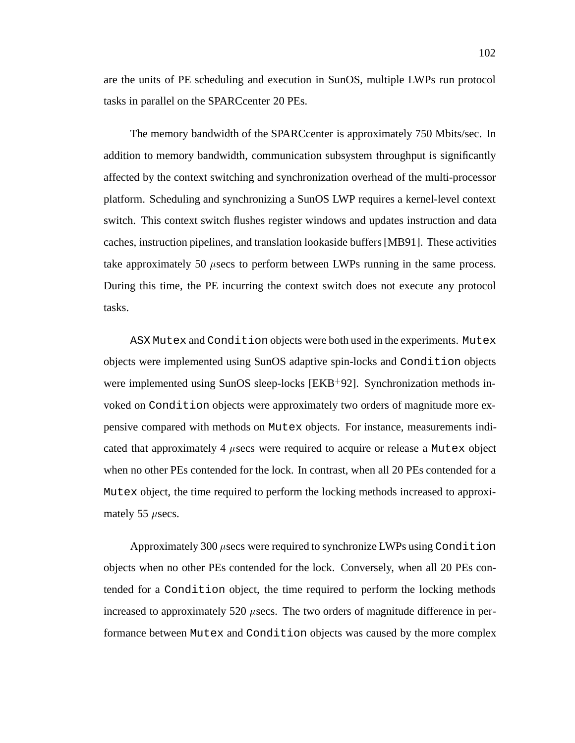are the units of PE scheduling and execution in SunOS, multiple LWPs run protocol tasks in parallel on the SPARCcenter 20 PEs.

The memory bandwidth of the SPARCcenter is approximately 750 Mbits/sec. In addition to memory bandwidth, communication subsystem throughput is significantly affected by the context switching and synchronization overhead of the multi-processor platform. Scheduling and synchronizing a SunOS LWP requires a kernel-level context switch. This context switch flushes register windows and updates instruction and data caches, instruction pipelines, and translation lookaside buffers [MB91]. These activities take approximately 50  $\mu$  secs to perform between LWPs running in the same process. During this time, the PE incurring the context switch does not execute any protocol tasks.

ASX Mutex and Condition objects were both used in the experiments. Mutex objects were implemented using SunOS adaptive spin-locks and Condition objects were implemented using SunOS sleep-locks [EKB+92]. Synchronization methods invoked on Condition objects were approximately two orders of magnitude more expensive compared with methods on Mutex objects. For instance, measurements indicated that approximately 4  $\mu$ secs were required to acquire or release a Mutex object when no other PEs contended for the lock. In contrast, when all 20 PEs contended for a Mutex object, the time required to perform the locking methods increased to approximately 55  $\mu$  secs.

Approximately 300  $\mu$  secs were required to synchronize LWPs using Condition objects when no other PEs contended for the lock. Conversely, when all 20 PEs contended for a Condition object, the time required to perform the locking methods increased to approximately 520  $\mu$  secs. The two orders of magnitude difference in performance between Mutex and Condition objects was caused by the more complex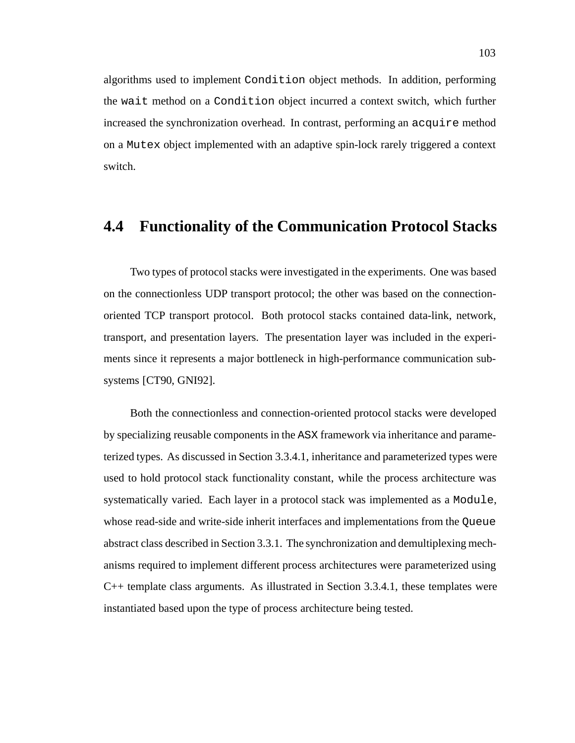algorithms used to implement Condition object methods. In addition, performing the wait method on a Condition object incurred a context switch, which further increased the synchronization overhead. In contrast, performing an acquire method on a Mutex object implemented with an adaptive spin-lock rarely triggered a context switch.

# **4.4 Functionality of the Communication Protocol Stacks**

Two types of protocol stacks were investigated in the experiments. One was based on the connectionless UDP transport protocol; the other was based on the connectionoriented TCP transport protocol. Both protocol stacks contained data-link, network, transport, and presentation layers. The presentation layer was included in the experiments since it represents a major bottleneck in high-performance communication subsystems [CT90, GNI92].

Both the connectionless and connection-oriented protocol stacks were developed by specializing reusable components in the ASX framework via inheritance and parameterized types. As discussed in Section 3.3.4.1, inheritance and parameterized types were used to hold protocol stack functionality constant, while the process architecture was systematically varied. Each layer in a protocol stack was implemented as a Module, whose read-side and write-side inherit interfaces and implementations from the Queue abstract class described in Section 3.3.1. The synchronization and demultiplexing mechanisms required to implement different process architectures were parameterized using C++ template class arguments. As illustrated in Section 3.3.4.1, these templates were instantiated based upon the type of process architecture being tested.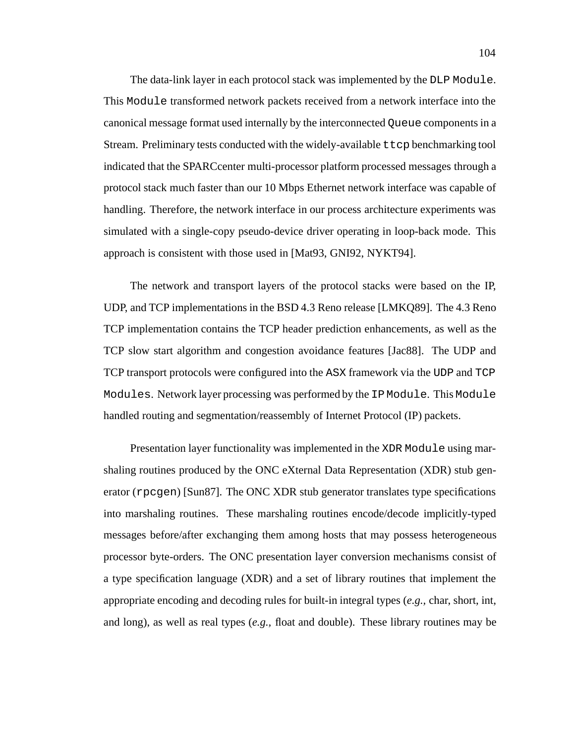The data-link layer in each protocol stack was implemented by the DLP Module. This Module transformed network packets received from a network interface into the canonical message format used internally by the interconnected Queue components in a Stream. Preliminary tests conducted with the widely-available  $t \tau$  benchmarking tool indicated that the SPARCcenter multi-processor platform processed messages through a protocol stack much faster than our 10 Mbps Ethernet network interface was capable of handling. Therefore, the network interface in our process architecture experiments was simulated with a single-copy pseudo-device driver operating in loop-back mode. This approach is consistent with those used in [Mat93, GNI92, NYKT94].

The network and transport layers of the protocol stacks were based on the IP, UDP, and TCP implementations in the BSD 4.3 Reno release [LMKQ89]. The 4.3 Reno TCP implementation contains the TCP header prediction enhancements, as well as the TCP slow start algorithm and congestion avoidance features [Jac88]. The UDP and TCP transport protocols were configured into the ASX framework via the UDP and TCP Modules. Network layer processing was performed by the IP Module. This Module handled routing and segmentation/reassembly of Internet Protocol (IP) packets.

Presentation layer functionality was implemented in the XDR Module using marshaling routines produced by the ONC eXternal Data Representation (XDR) stub generator (rpcgen) [Sun87]. The ONC XDR stub generator translates type specifications into marshaling routines. These marshaling routines encode/decode implicitly-typed messages before/after exchanging them among hosts that may possess heterogeneous processor byte-orders. The ONC presentation layer conversion mechanisms consist of a type specification language (XDR) and a set of library routines that implement the appropriate encoding and decoding rules for built-in integral types (*e.g.,* char, short, int, and long), as well as real types (*e.g.,* float and double). These library routines may be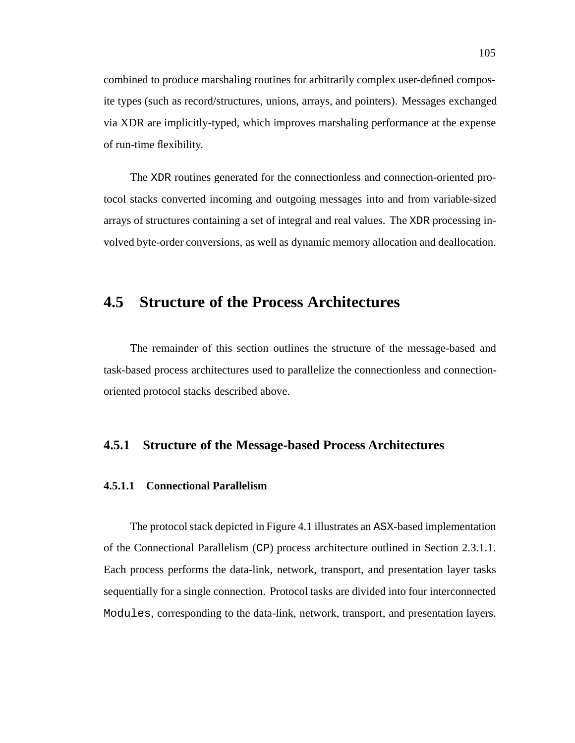combined to produce marshaling routines for arbitrarily complex user-defined composite types (such as record/structures, unions, arrays, and pointers). Messages exchanged via XDR are implicitly-typed, which improves marshaling performance at the expense of run-time flexibility.

The XDR routines generated for the connectionless and connection-oriented protocol stacks converted incoming and outgoing messages into and from variable-sized arrays of structures containing a set of integral and real values. The XDR processing involved byte-order conversions, as well as dynamic memory allocation and deallocation.

# **4.5 Structure of the Process Architectures**

The remainder of this section outlines the structure of the message-based and task-based process architectures used to parallelize the connectionless and connectionoriented protocol stacks described above.

## **4.5.1 Structure of the Message-based Process Architectures**

## **4.5.1.1 Connectional Parallelism**

The protocol stack depicted in Figure 4.1 illustrates an ASX-based implementation of the Connectional Parallelism (CP) process architecture outlined in Section 2.3.1.1. Each process performs the data-link, network, transport, and presentation layer tasks sequentially for a single connection. Protocol tasks are divided into four interconnected Modules, corresponding to the data-link, network, transport, and presentation layers.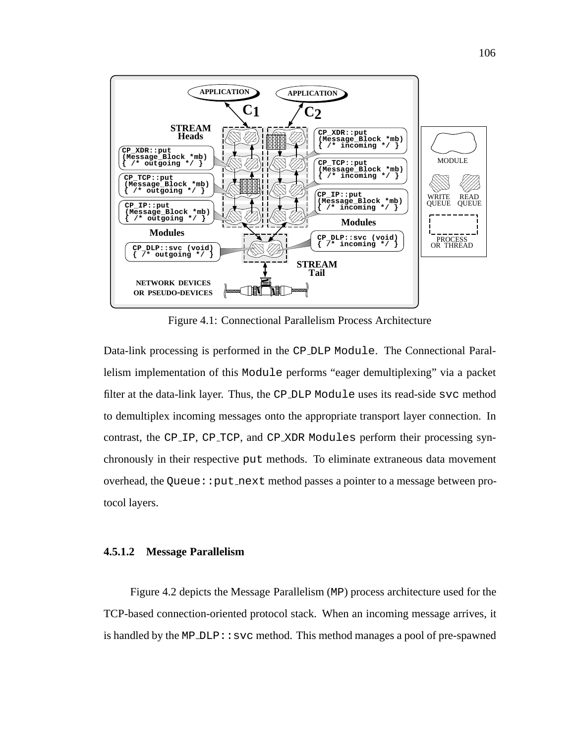

Figure 4.1: Connectional Parallelism Process Architecture

Data-link processing is performed in the CP DLP Module. The Connectional Parallelism implementation of this Module performs "eager demultiplexing" via a packet filter at the data-link layer. Thus, the CP DLP Module uses its read-side svc method to demultiplex incoming messages onto the appropriate transport layer connection. In contrast, the CP IP, CP TCP, and CP XDR Modules perform their processing synchronously in their respective put methods. To eliminate extraneous data movement overhead, the Queue:: put next method passes a pointer to a message between protocol layers.

## **4.5.1.2 Message Parallelism**

Figure 4.2 depicts the Message Parallelism (MP) process architecture used for the TCP-based connection-oriented protocol stack. When an incoming message arrives, it is handled by the MP\_DLP $::$ svc method. This method manages a pool of pre-spawned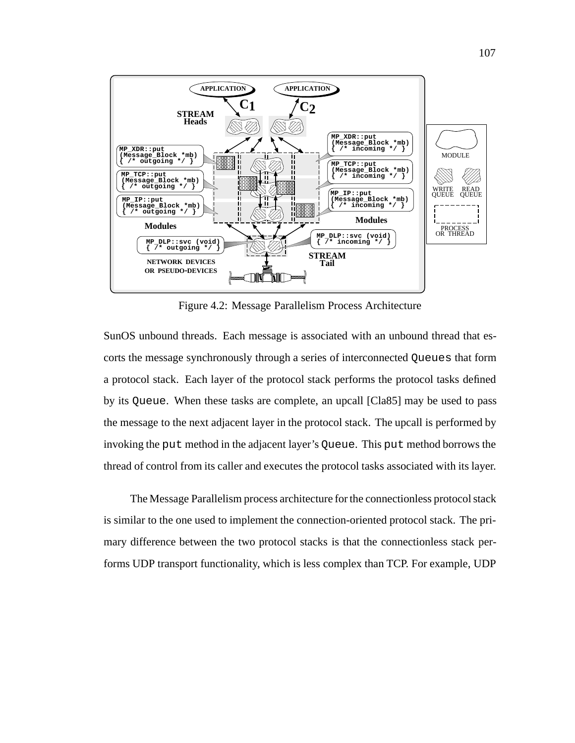

Figure 4.2: Message Parallelism Process Architecture

SunOS unbound threads. Each message is associated with an unbound thread that escorts the message synchronously through a series of interconnected Queues that form a protocol stack. Each layer of the protocol stack performs the protocol tasks defined by its Queue. When these tasks are complete, an upcall [Cla85] may be used to pass the message to the next adjacent layer in the protocol stack. The upcall is performed by invoking the put method in the adjacent layer's Queue. This put method borrows the thread of control from its caller and executes the protocol tasks associated with its layer.

The Message Parallelism process architecture for the connectionless protocol stack is similar to the one used to implement the connection-oriented protocol stack. The primary difference between the two protocol stacks is that the connectionless stack performs UDP transport functionality, which is less complex than TCP. For example, UDP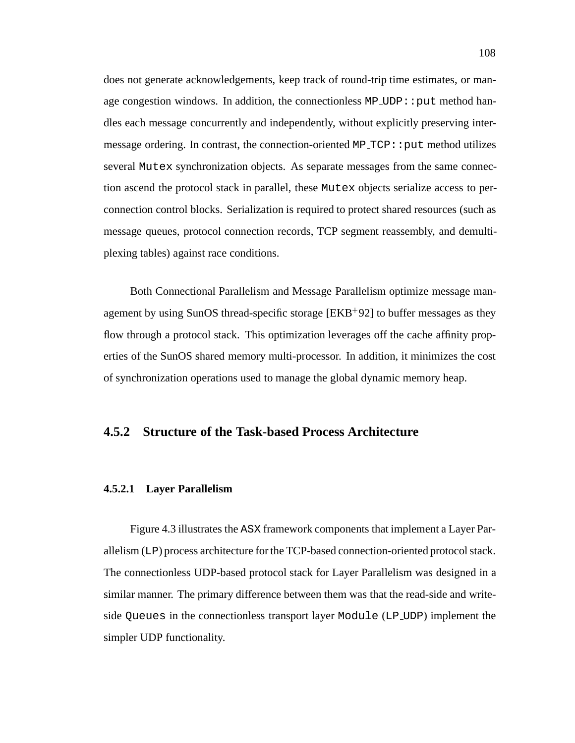does not generate acknowledgements, keep track of round-trip time estimates, or manage congestion windows. In addition, the connectionless  $MP\_UDP: :put$  method handles each message concurrently and independently, without explicitly preserving intermessage ordering. In contrast, the connection-oriented  $MP\_TCP::put$  method utilizes several Mutex synchronization objects. As separate messages from the same connection ascend the protocol stack in parallel, these Mutex objects serialize access to perconnection control blocks. Serialization is required to protect shared resources (such as message queues, protocol connection records, TCP segment reassembly, and demultiplexing tables) against race conditions.

Both Connectional Parallelism and Message Parallelism optimize message management by using SunOS thread-specific storage [EKB<sup>+</sup> 92] to buffer messages as they flow through a protocol stack. This optimization leverages off the cache affinity properties of the SunOS shared memory multi-processor. In addition, it minimizes the cost of synchronization operations used to manage the global dynamic memory heap.

## **4.5.2 Structure of the Task-based Process Architecture**

#### **4.5.2.1 Layer Parallelism**

Figure 4.3 illustrates the ASX framework components that implement a Layer Parallelism (LP) process architecture for the TCP-based connection-oriented protocol stack. The connectionless UDP-based protocol stack for Layer Parallelism was designed in a similar manner. The primary difference between them was that the read-side and writeside Queues in the connectionless transport layer Module (LP UDP) implement the simpler UDP functionality.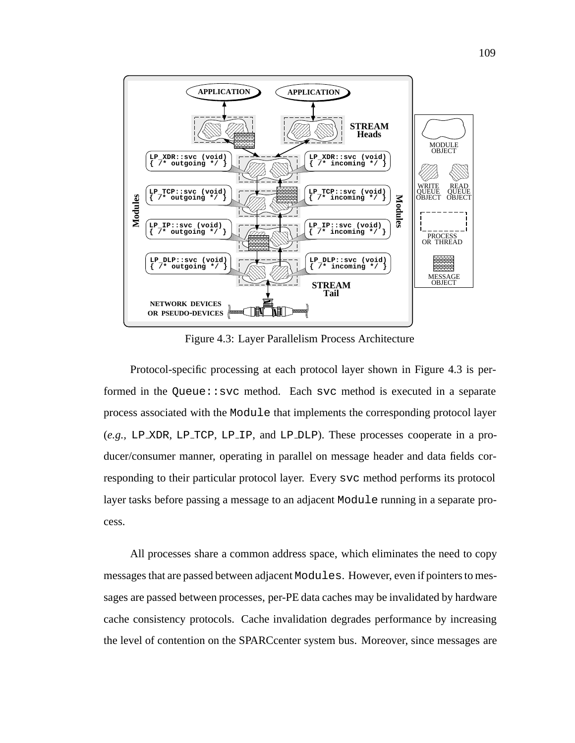

Figure 4.3: Layer Parallelism Process Architecture

Protocol-specific processing at each protocol layer shown in Figure 4.3 is performed in the Queue: : svc method. Each svc method is executed in a separate process associated with the Module that implements the corresponding protocol layer (*e.g.,* LP XDR, LP TCP, LP IP, and LP DLP). These processes cooperate in a producer/consumer manner, operating in parallel on message header and data fields corresponding to their particular protocol layer. Every svc method performs its protocol layer tasks before passing a message to an adjacent Module running in a separate process.

All processes share a common address space, which eliminates the need to copy messages that are passed between adjacent Modules. However, even if pointers to messages are passed between processes, per-PE data caches may be invalidated by hardware cache consistency protocols. Cache invalidation degrades performance by increasing the level of contention on the SPARCcenter system bus. Moreover, since messages are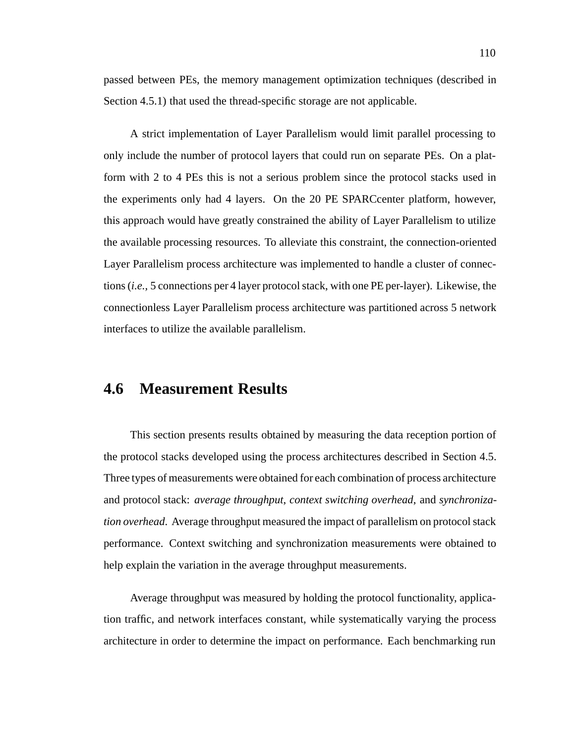passed between PEs, the memory management optimization techniques (described in Section 4.5.1) that used the thread-specific storage are not applicable.

A strict implementation of Layer Parallelism would limit parallel processing to only include the number of protocol layers that could run on separate PEs. On a platform with 2 to 4 PEs this is not a serious problem since the protocol stacks used in the experiments only had 4 layers. On the 20 PE SPARCcenter platform, however, this approach would have greatly constrained the ability of Layer Parallelism to utilize the available processing resources. To alleviate this constraint, the connection-oriented Layer Parallelism process architecture was implemented to handle a cluster of connections (*i.e.,* 5 connections per 4 layer protocol stack, with one PE per-layer). Likewise, the connectionless Layer Parallelism process architecture was partitioned across 5 network interfaces to utilize the available parallelism.

# **4.6 Measurement Results**

This section presents results obtained by measuring the data reception portion of the protocol stacks developed using the process architectures described in Section 4.5. Three types of measurements were obtained for each combination of process architecture and protocol stack: *average throughput*, *context switching overhead*, and *synchronization overhead*. Average throughput measured the impact of parallelism on protocol stack performance. Context switching and synchronization measurements were obtained to help explain the variation in the average throughput measurements.

Average throughput was measured by holding the protocol functionality, application traffic, and network interfaces constant, while systematically varying the process architecture in order to determine the impact on performance. Each benchmarking run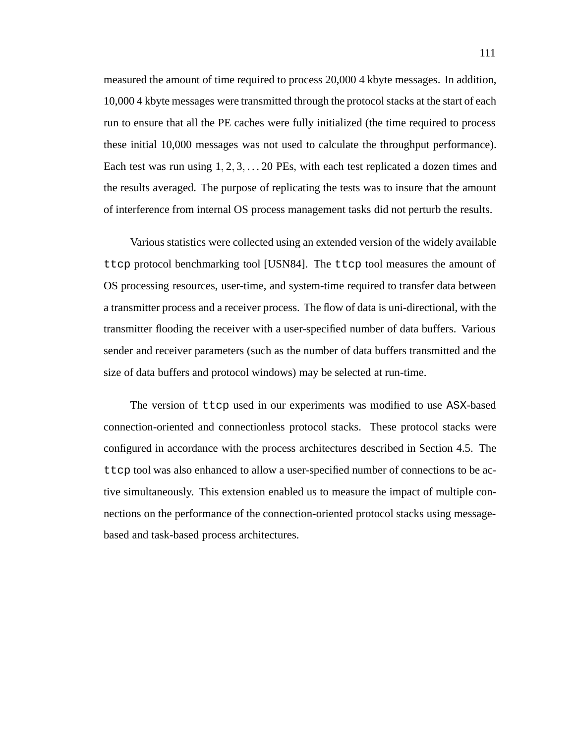measured the amount of time required to process 20,000 4 kbyte messages. In addition, 10,000 4 kbyte messages were transmitted through the protocol stacks at the start of each run to ensure that all the PE caches were fully initialized (the time required to process these initial 10,000 messages was not used to calculate the throughput performance). Each test was run using  $1, 2, 3, \ldots$  20 PEs, with each test replicated a dozen times and the results averaged. The purpose of replicating the tests was to insure that the amount of interference from internal OS process management tasks did not perturb the results.

Various statistics were collected using an extended version of the widely available ttcp protocol benchmarking tool [USN84]. The ttcp tool measures the amount of OS processing resources, user-time, and system-time required to transfer data between a transmitter process and a receiver process. The flow of data is uni-directional, with the transmitter flooding the receiver with a user-specified number of data buffers. Various sender and receiver parameters (such as the number of data buffers transmitted and the size of data buffers and protocol windows) may be selected at run-time.

The version of ttcp used in our experiments was modified to use ASX-based connection-oriented and connectionless protocol stacks. These protocol stacks were configured in accordance with the process architectures described in Section 4.5. The ttcp tool was also enhanced to allow a user-specified number of connections to be active simultaneously. This extension enabled us to measure the impact of multiple connections on the performance of the connection-oriented protocol stacks using messagebased and task-based process architectures.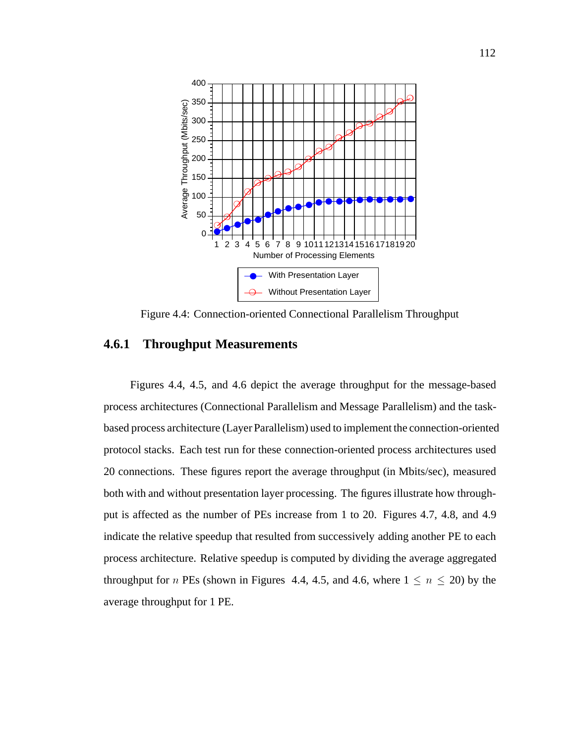

Figure 4.4: Connection-oriented Connectional Parallelism Throughput

## **4.6.1 Throughput Measurements**

Figures 4.4, 4.5, and 4.6 depict the average throughput for the message-based process architectures (Connectional Parallelism and Message Parallelism) and the taskbased process architecture (Layer Parallelism) used to implement the connection-oriented protocol stacks. Each test run for these connection-oriented process architectures used 20 connections. These figures report the average throughput (in Mbits/sec), measured both with and without presentation layer processing. The figures illustrate how throughput is affected as the number of PEs increase from 1 to 20. Figures 4.7, 4.8, and 4.9 indicate the relative speedup that resulted from successively adding another PE to each process architecture. Relative speedup is computed by dividing the average aggregated throughput for *n* PEs (shown in Figures 4.4, 4.5, and 4.6, where  $1 \le n \le 20$ ) by the average throughput for 1 PE.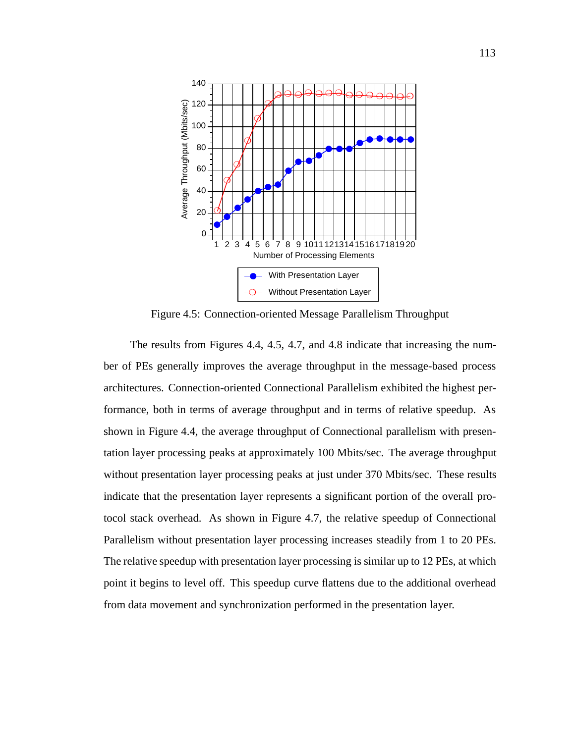

Figure 4.5: Connection-oriented Message Parallelism Throughput

The results from Figures 4.4, 4.5, 4.7, and 4.8 indicate that increasing the number of PEs generally improves the average throughput in the message-based process architectures. Connection-oriented Connectional Parallelism exhibited the highest performance, both in terms of average throughput and in terms of relative speedup. As shown in Figure 4.4, the average throughput of Connectional parallelism with presentation layer processing peaks at approximately 100 Mbits/sec. The average throughput without presentation layer processing peaks at just under 370 Mbits/sec. These results indicate that the presentation layer represents a significant portion of the overall protocol stack overhead. As shown in Figure 4.7, the relative speedup of Connectional Parallelism without presentation layer processing increases steadily from 1 to 20 PEs. The relative speedup with presentation layer processing is similar up to 12 PEs, at which point it begins to level off. This speedup curve flattens due to the additional overhead from data movement and synchronization performed in the presentation layer.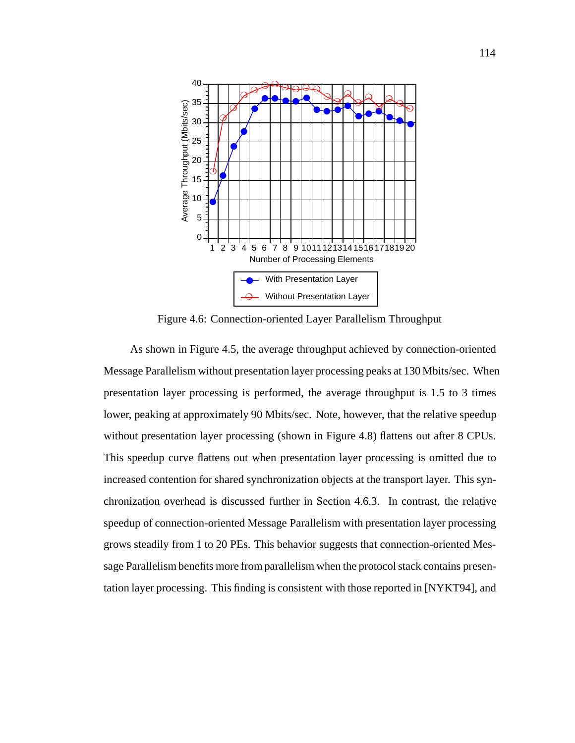

Figure 4.6: Connection-oriented Layer Parallelism Throughput

As shown in Figure 4.5, the average throughput achieved by connection-oriented Message Parallelism without presentation layer processing peaks at 130 Mbits/sec. When presentation layer processing is performed, the average throughput is 1.5 to 3 times lower, peaking at approximately 90 Mbits/sec. Note, however, that the relative speedup without presentation layer processing (shown in Figure 4.8) flattens out after 8 CPUs. This speedup curve flattens out when presentation layer processing is omitted due to increased contention for shared synchronization objects at the transport layer. This synchronization overhead is discussed further in Section 4.6.3. In contrast, the relative speedup of connection-oriented Message Parallelism with presentation layer processing grows steadily from 1 to 20 PEs. This behavior suggests that connection-oriented Message Parallelism benefits more from parallelism when the protocol stack contains presentation layer processing. This finding is consistent with those reported in [NYKT94], and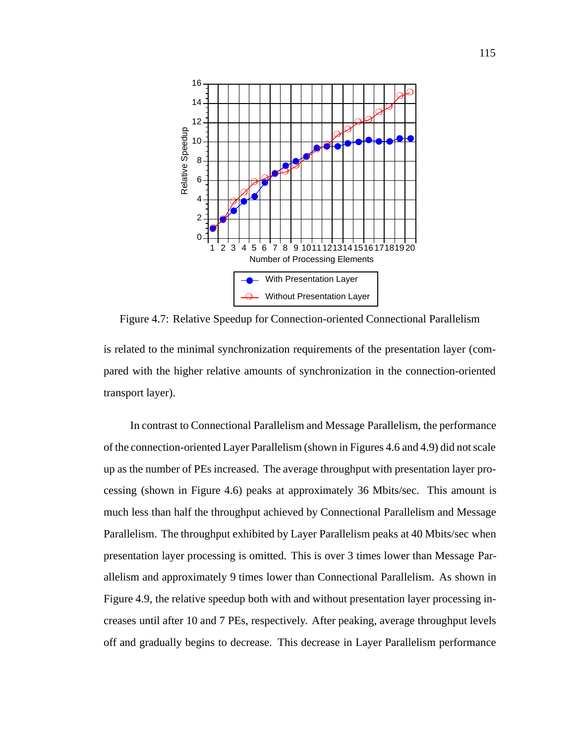

Figure 4.7: Relative Speedup for Connection-oriented Connectional Parallelism is related to the minimal synchronization requirements of the presentation layer (compared with the higher relative amounts of synchronization in the connection-oriented

transport layer).

In contrast to Connectional Parallelism and Message Parallelism, the performance of the connection-oriented Layer Parallelism (shown in Figures 4.6 and 4.9) did not scale up as the number of PEs increased. The average throughput with presentation layer processing (shown in Figure 4.6) peaks at approximately 36 Mbits/sec. This amount is much less than half the throughput achieved by Connectional Parallelism and Message Parallelism. The throughput exhibited by Layer Parallelism peaks at 40 Mbits/sec when presentation layer processing is omitted. This is over 3 times lower than Message Parallelism and approximately 9 times lower than Connectional Parallelism. As shown in Figure 4.9, the relative speedup both with and without presentation layer processing increases until after 10 and 7 PEs, respectively. After peaking, average throughput levels off and gradually begins to decrease. This decrease in Layer Parallelism performance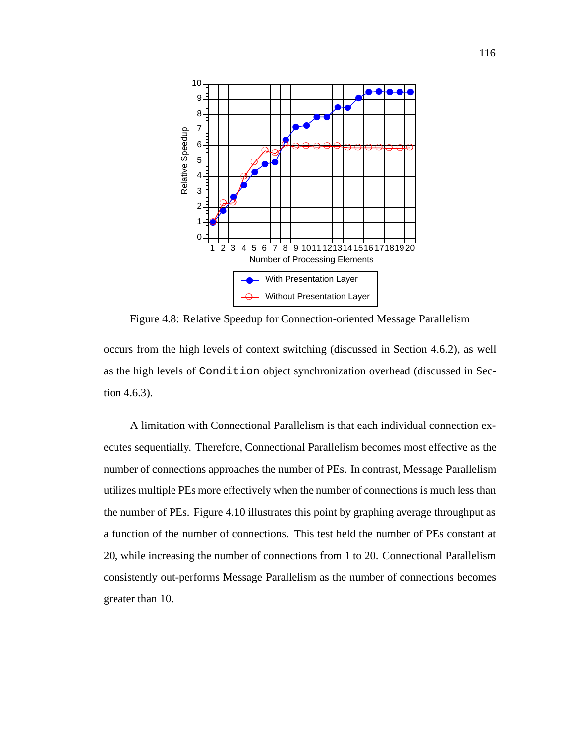

Figure 4.8: Relative Speedup for Connection-oriented Message Parallelism

occurs from the high levels of context switching (discussed in Section 4.6.2), as well as the high levels of Condition object synchronization overhead (discussed in Section 4.6.3).

A limitation with Connectional Parallelism is that each individual connection executes sequentially. Therefore, Connectional Parallelism becomes most effective as the number of connections approaches the number of PEs. In contrast, Message Parallelism utilizes multiple PEs more effectively when the number of connections is much less than the number of PEs. Figure 4.10 illustrates this point by graphing average throughput as a function of the number of connections. This test held the number of PEs constant at 20, while increasing the number of connections from 1 to 20. Connectional Parallelism consistently out-performs Message Parallelism as the number of connections becomes greater than 10.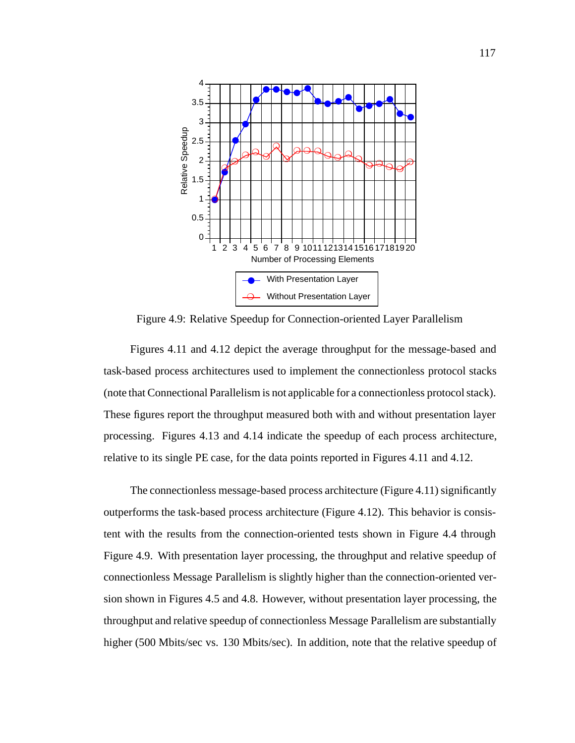

Figure 4.9: Relative Speedup for Connection-oriented Layer Parallelism

Figures 4.11 and 4.12 depict the average throughput for the message-based and task-based process architectures used to implement the connectionless protocol stacks (note that Connectional Parallelism is not applicable for a connectionless protocol stack). These figures report the throughput measured both with and without presentation layer processing. Figures 4.13 and 4.14 indicate the speedup of each process architecture, relative to its single PE case, for the data points reported in Figures 4.11 and 4.12.

The connectionless message-based process architecture (Figure 4.11) significantly outperforms the task-based process architecture (Figure 4.12). This behavior is consistent with the results from the connection-oriented tests shown in Figure 4.4 through Figure 4.9. With presentation layer processing, the throughput and relative speedup of connectionless Message Parallelism is slightly higher than the connection-oriented version shown in Figures 4.5 and 4.8. However, without presentation layer processing, the throughput and relative speedup of connectionless Message Parallelism are substantially higher (500 Mbits/sec vs. 130 Mbits/sec). In addition, note that the relative speedup of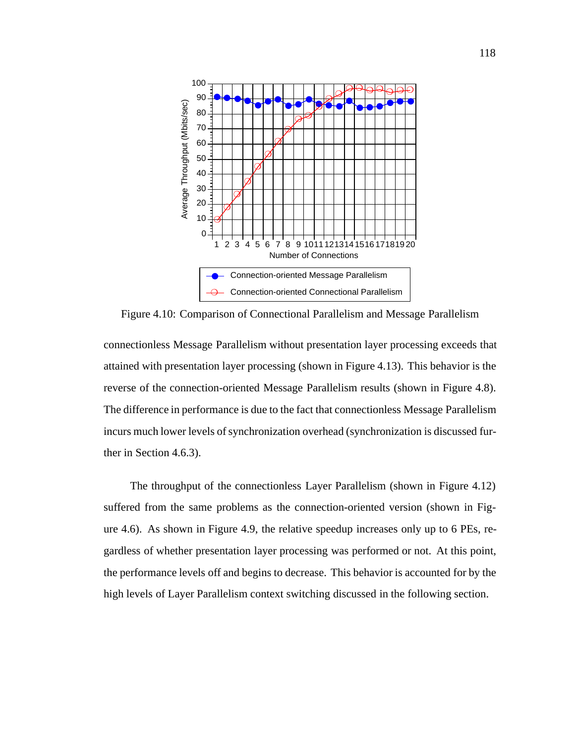

Figure 4.10: Comparison of Connectional Parallelism and Message Parallelism

connectionless Message Parallelism without presentation layer processing exceeds that attained with presentation layer processing (shown in Figure 4.13). This behavior is the reverse of the connection-oriented Message Parallelism results (shown in Figure 4.8). The difference in performance is due to the fact that connectionless Message Parallelism incurs much lower levels of synchronization overhead (synchronization is discussed further in Section 4.6.3).

The throughput of the connectionless Layer Parallelism (shown in Figure 4.12) suffered from the same problems as the connection-oriented version (shown in Figure 4.6). As shown in Figure 4.9, the relative speedup increases only up to 6 PEs, regardless of whether presentation layer processing was performed or not. At this point, the performance levels off and begins to decrease. This behavior is accounted for by the high levels of Layer Parallelism context switching discussed in the following section.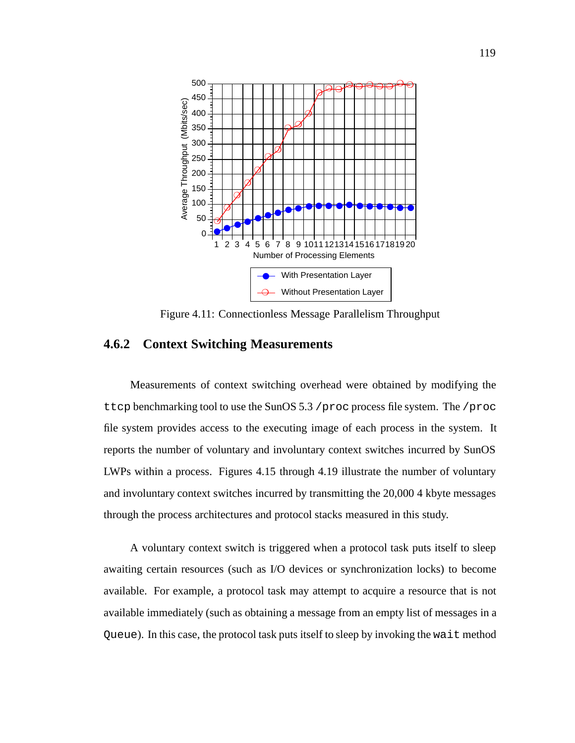

Figure 4.11: Connectionless Message Parallelism Throughput

## **4.6.2 Context Switching Measurements**

Measurements of context switching overhead were obtained by modifying the ttcp benchmarking tool to use the SunOS 5.3 /proc process file system. The /proc file system provides access to the executing image of each process in the system. It reports the number of voluntary and involuntary context switches incurred by SunOS LWPs within a process. Figures 4.15 through 4.19 illustrate the number of voluntary and involuntary context switches incurred by transmitting the 20,000 4 kbyte messages through the process architectures and protocol stacks measured in this study.

A voluntary context switch is triggered when a protocol task puts itself to sleep awaiting certain resources (such as I/O devices or synchronization locks) to become available. For example, a protocol task may attempt to acquire a resource that is not available immediately (such as obtaining a message from an empty list of messages in a Queue). In this case, the protocol task puts itself to sleep by invoking the wait method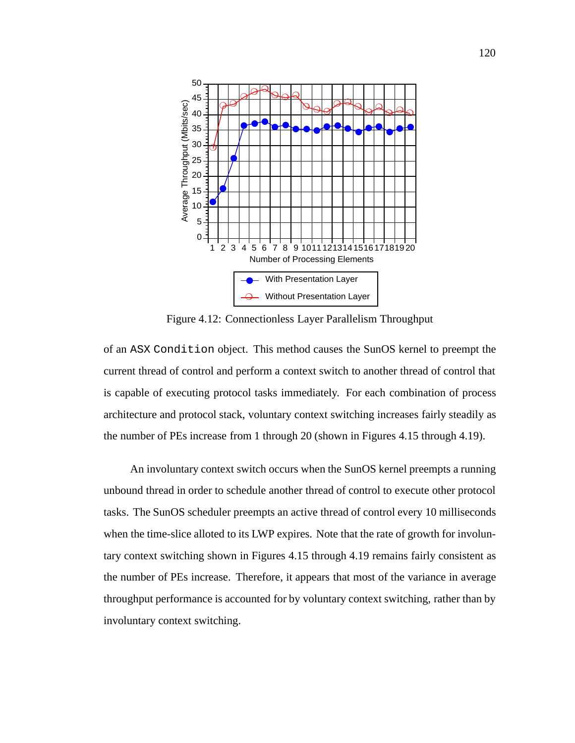

Figure 4.12: Connectionless Layer Parallelism Throughput

of an ASX Condition object. This method causes the SunOS kernel to preempt the current thread of control and perform a context switch to another thread of control that is capable of executing protocol tasks immediately. For each combination of process architecture and protocol stack, voluntary context switching increases fairly steadily as the number of PEs increase from 1 through 20 (shown in Figures 4.15 through 4.19).

An involuntary context switch occurs when the SunOS kernel preempts a running unbound thread in order to schedule another thread of control to execute other protocol tasks. The SunOS scheduler preempts an active thread of control every 10 milliseconds when the time-slice alloted to its LWP expires. Note that the rate of growth for involuntary context switching shown in Figures 4.15 through 4.19 remains fairly consistent as the number of PEs increase. Therefore, it appears that most of the variance in average throughput performance is accounted for by voluntary context switching, rather than by involuntary context switching.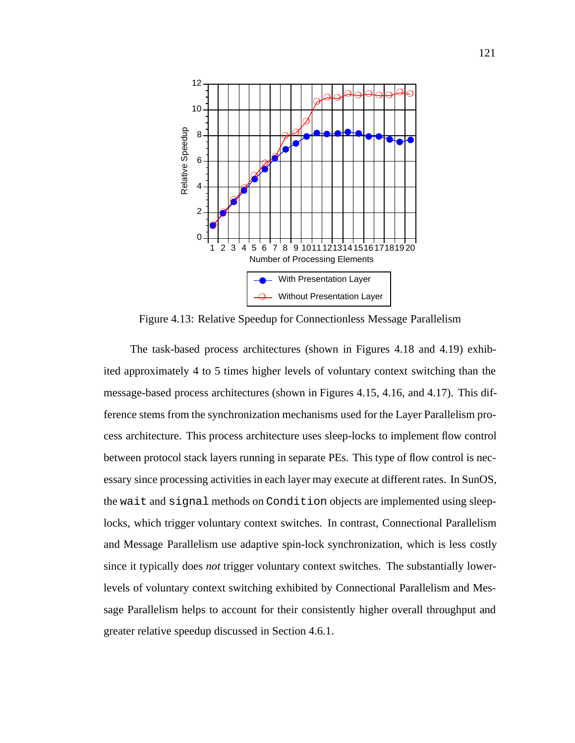

Figure 4.13: Relative Speedup for Connectionless Message Parallelism

The task-based process architectures (shown in Figures 4.18 and 4.19) exhibited approximately 4 to 5 times higher levels of voluntary context switching than the message-based process architectures (shown in Figures 4.15, 4.16, and 4.17). This difference stems from the synchronization mechanisms used for the Layer Parallelism process architecture. This process architecture uses sleep-locks to implement flow control between protocol stack layers running in separate PEs. This type of flow control is necessary since processing activities in each layer may execute at different rates. In SunOS, the wait and signal methods on Condition objects are implemented using sleeplocks, which trigger voluntary context switches. In contrast, Connectional Parallelism and Message Parallelism use adaptive spin-lock synchronization, which is less costly since it typically does *not* trigger voluntary context switches. The substantially lowerlevels of voluntary context switching exhibited by Connectional Parallelism and Message Parallelism helps to account for their consistently higher overall throughput and greater relative speedup discussed in Section 4.6.1.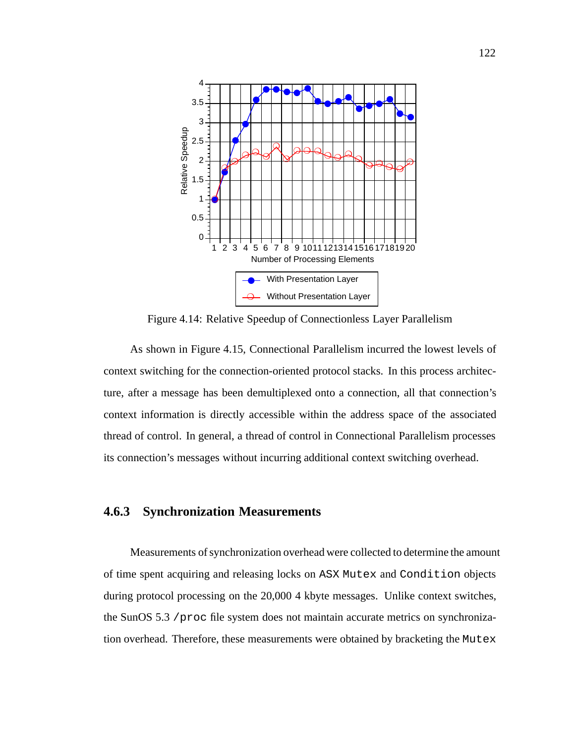

Figure 4.14: Relative Speedup of Connectionless Layer Parallelism

As shown in Figure 4.15, Connectional Parallelism incurred the lowest levels of context switching for the connection-oriented protocol stacks. In this process architecture, after a message has been demultiplexed onto a connection, all that connection's context information is directly accessible within the address space of the associated thread of control. In general, a thread of control in Connectional Parallelism processes its connection's messages without incurring additional context switching overhead.

## **4.6.3 Synchronization Measurements**

Measurements of synchronization overhead were collected to determine the amount of time spent acquiring and releasing locks on ASX Mutex and Condition objects during protocol processing on the 20,000 4 kbyte messages. Unlike context switches, the SunOS 5.3 /proc file system does not maintain accurate metrics on synchronization overhead. Therefore, these measurements were obtained by bracketing the Mutex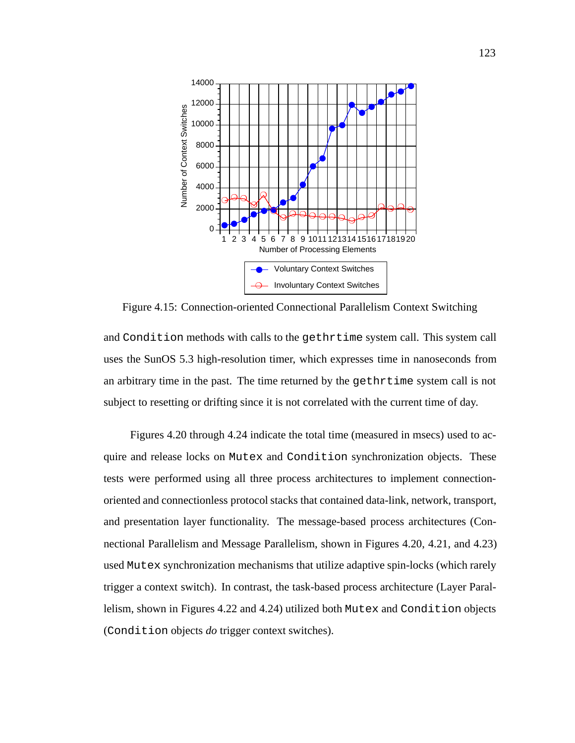

Figure 4.15: Connection-oriented Connectional Parallelism Context Switching

and Condition methods with calls to the gethrtime system call. This system call uses the SunOS 5.3 high-resolution timer, which expresses time in nanoseconds from an arbitrary time in the past. The time returned by the gethrtime system call is not subject to resetting or drifting since it is not correlated with the current time of day.

Figures 4.20 through 4.24 indicate the total time (measured in msecs) used to acquire and release locks on Mutex and Condition synchronization objects. These tests were performed using all three process architectures to implement connectionoriented and connectionless protocol stacks that contained data-link, network, transport, and presentation layer functionality. The message-based process architectures (Connectional Parallelism and Message Parallelism, shown in Figures 4.20, 4.21, and 4.23) used Mutex synchronization mechanisms that utilize adaptive spin-locks (which rarely trigger a context switch). In contrast, the task-based process architecture (Layer Parallelism, shown in Figures 4.22 and 4.24) utilized both Mutex and Condition objects (Condition objects *do* trigger context switches).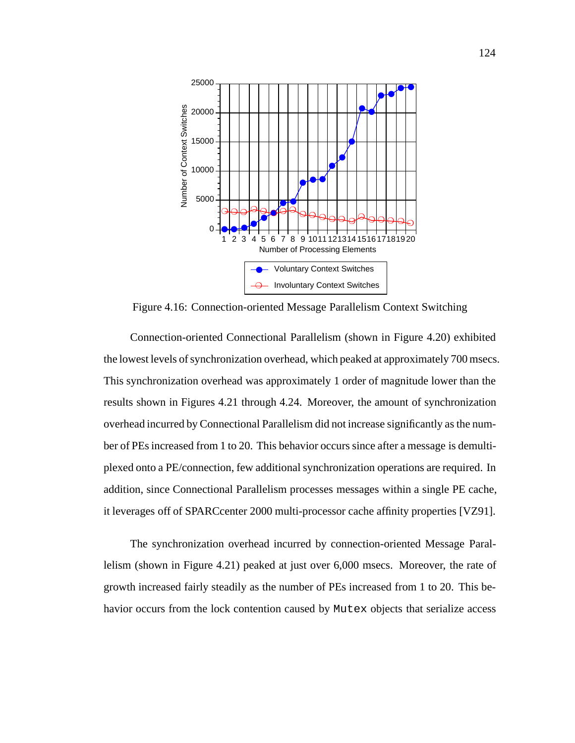

Figure 4.16: Connection-oriented Message Parallelism Context Switching

Connection-oriented Connectional Parallelism (shown in Figure 4.20) exhibited the lowest levels of synchronization overhead, which peaked at approximately 700 msecs. This synchronization overhead was approximately 1 order of magnitude lower than the results shown in Figures 4.21 through 4.24. Moreover, the amount of synchronization overhead incurred by Connectional Parallelism did not increase significantly as the number of PEs increased from 1 to 20. This behavior occurs since after a message is demultiplexed onto a PE/connection, few additional synchronization operations are required. In addition, since Connectional Parallelism processes messages within a single PE cache, it leverages off of SPARCcenter 2000 multi-processor cache affinity properties [VZ91].

The synchronization overhead incurred by connection-oriented Message Parallelism (shown in Figure 4.21) peaked at just over 6,000 msecs. Moreover, the rate of growth increased fairly steadily as the number of PEs increased from 1 to 20. This behavior occurs from the lock contention caused by Mutex objects that serialize access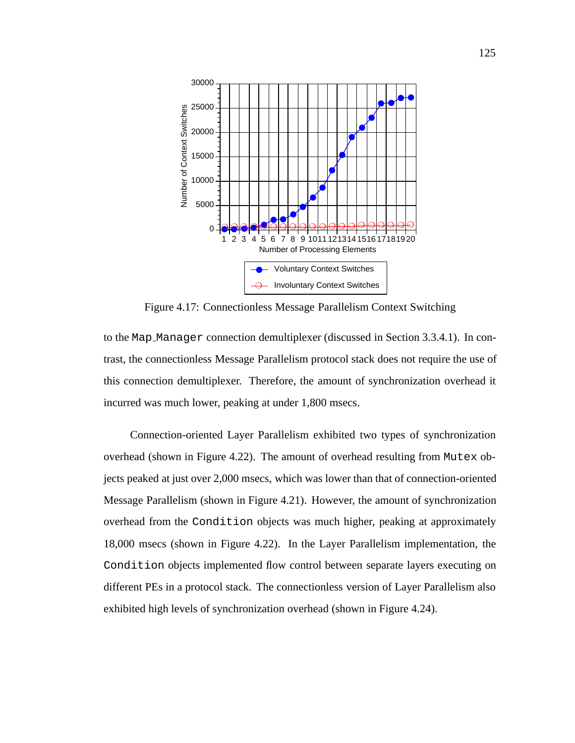

Figure 4.17: Connectionless Message Parallelism Context Switching

to the Map Manager connection demultiplexer (discussed in Section 3.3.4.1). In contrast, the connectionless Message Parallelism protocol stack does not require the use of this connection demultiplexer. Therefore, the amount of synchronization overhead it incurred was much lower, peaking at under 1,800 msecs.

Connection-oriented Layer Parallelism exhibited two types of synchronization overhead (shown in Figure 4.22). The amount of overhead resulting from Mutex objects peaked at just over 2,000 msecs, which was lower than that of connection-oriented Message Parallelism (shown in Figure 4.21). However, the amount of synchronization overhead from the Condition objects was much higher, peaking at approximately 18,000 msecs (shown in Figure 4.22). In the Layer Parallelism implementation, the Condition objects implemented flow control between separate layers executing on different PEs in a protocol stack. The connectionless version of Layer Parallelism also exhibited high levels of synchronization overhead (shown in Figure 4.24).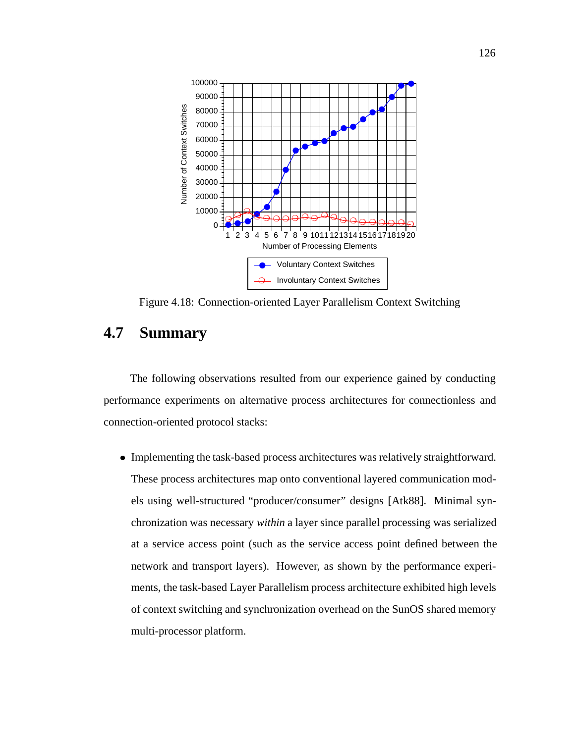

Figure 4.18: Connection-oriented Layer Parallelism Context Switching

## **4.7 Summary**

The following observations resulted from our experience gained by conducting performance experiments on alternative process architectures for connectionless and connection-oriented protocol stacks:

 Implementing the task-based process architectures was relatively straightforward. These process architectures map onto conventional layered communication models using well-structured "producer/consumer" designs [Atk88]. Minimal synchronization was necessary *within* a layer since parallel processing was serialized at a service access point (such as the service access point defined between the network and transport layers). However, as shown by the performance experiments, the task-based Layer Parallelism process architecture exhibited high levels of context switching and synchronization overhead on the SunOS shared memory multi-processor platform.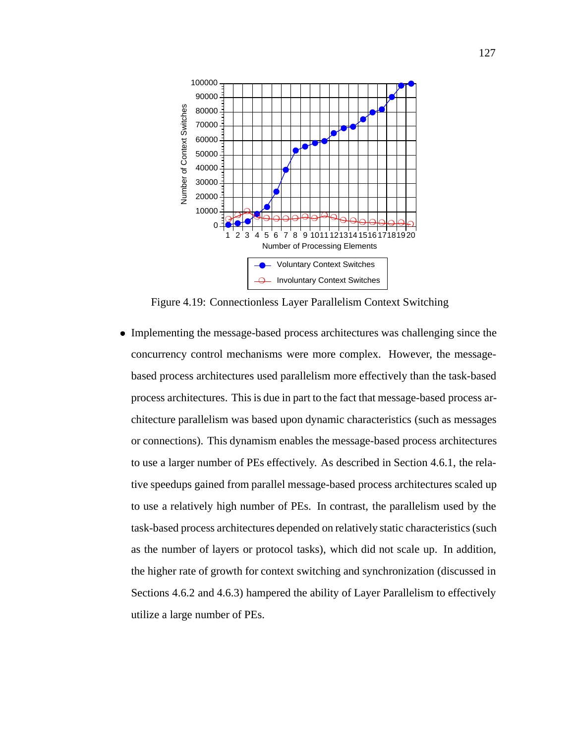

Figure 4.19: Connectionless Layer Parallelism Context Switching

 Implementing the message-based process architectures was challenging since the concurrency control mechanisms were more complex. However, the messagebased process architectures used parallelism more effectively than the task-based process architectures. This is due in part to the fact that message-based process architecture parallelism was based upon dynamic characteristics (such as messages or connections). This dynamism enables the message-based process architectures to use a larger number of PEs effectively. As described in Section 4.6.1, the relative speedups gained from parallel message-based process architectures scaled up to use a relatively high number of PEs. In contrast, the parallelism used by the task-based process architectures depended on relatively static characteristics (such as the number of layers or protocol tasks), which did not scale up. In addition, the higher rate of growth for context switching and synchronization (discussed in Sections 4.6.2 and 4.6.3) hampered the ability of Layer Parallelism to effectively utilize a large number of PEs.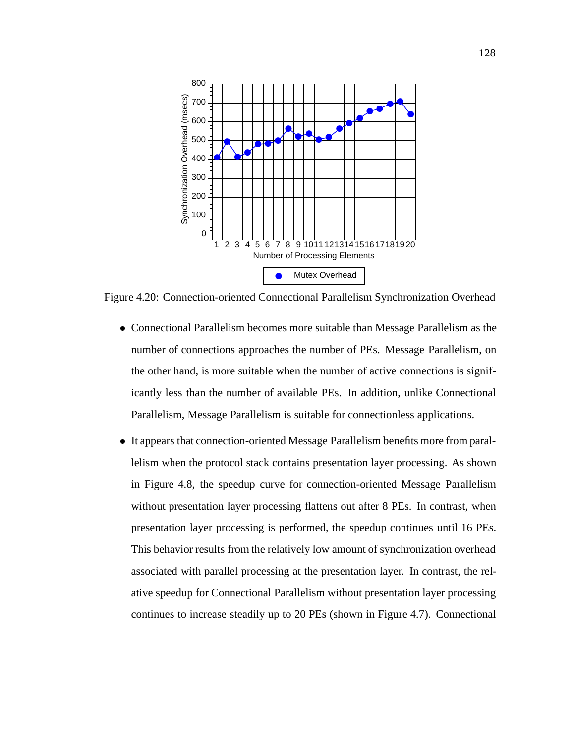

Figure 4.20: Connection-oriented Connectional Parallelism Synchronization Overhead

- Connectional Parallelism becomes more suitable than Message Parallelism as the number of connections approaches the number of PEs. Message Parallelism, on the other hand, is more suitable when the number of active connections is significantly less than the number of available PEs. In addition, unlike Connectional Parallelism, Message Parallelism is suitable for connectionless applications.
- It appears that connection-oriented Message Parallelism benefits more from parallelism when the protocol stack contains presentation layer processing. As shown in Figure 4.8, the speedup curve for connection-oriented Message Parallelism without presentation layer processing flattens out after 8 PEs. In contrast, when presentation layer processing is performed, the speedup continues until 16 PEs. This behavior results from the relatively low amount of synchronization overhead associated with parallel processing at the presentation layer. In contrast, the relative speedup for Connectional Parallelism without presentation layer processing continues to increase steadily up to 20 PEs (shown in Figure 4.7). Connectional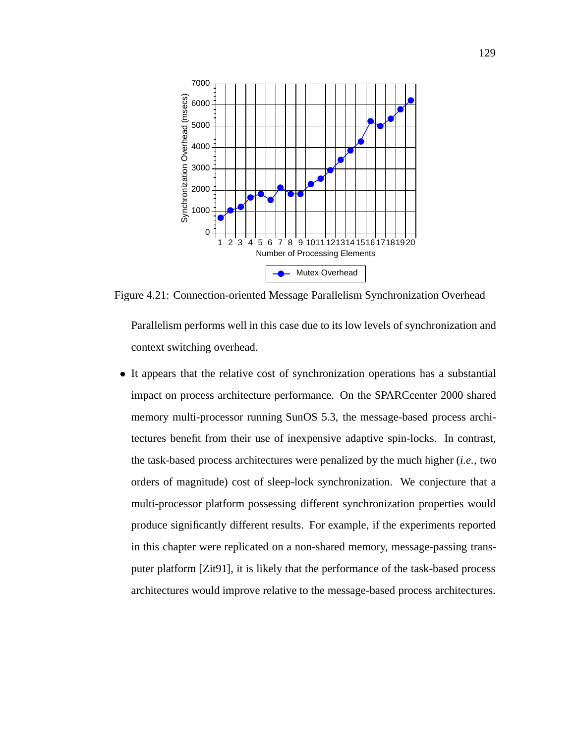

Figure 4.21: Connection-oriented Message Parallelism Synchronization Overhead

Parallelism performs well in this case due to its low levels of synchronization and context switching overhead.

 It appears that the relative cost of synchronization operations has a substantial impact on process architecture performance. On the SPARCcenter 2000 shared memory multi-processor running SunOS 5.3, the message-based process architectures benefit from their use of inexpensive adaptive spin-locks. In contrast, the task-based process architectures were penalized by the much higher (*i.e.,* two orders of magnitude) cost of sleep-lock synchronization. We conjecture that a multi-processor platform possessing different synchronization properties would produce significantly different results. For example, if the experiments reported in this chapter were replicated on a non-shared memory, message-passing transputer platform [Zit91], it is likely that the performance of the task-based process architectures would improve relative to the message-based process architectures.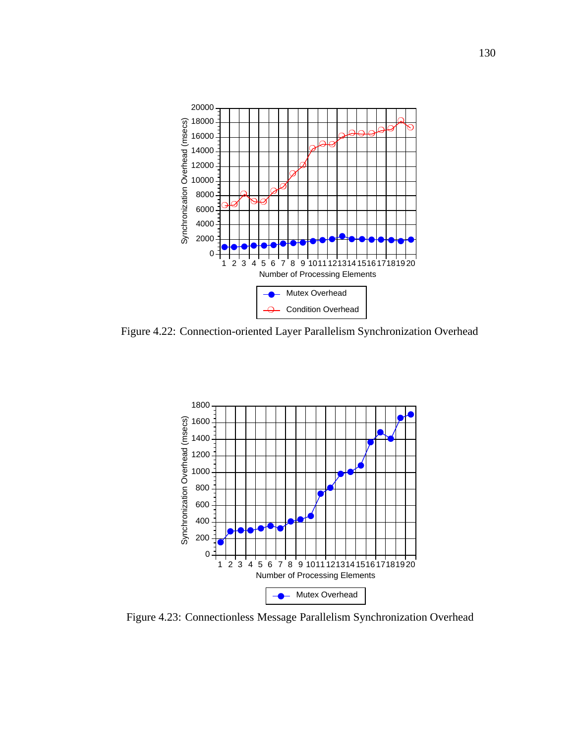

Figure 4.22: Connection-oriented Layer Parallelism Synchronization Overhead



Figure 4.23: Connectionless Message Parallelism Synchronization Overhead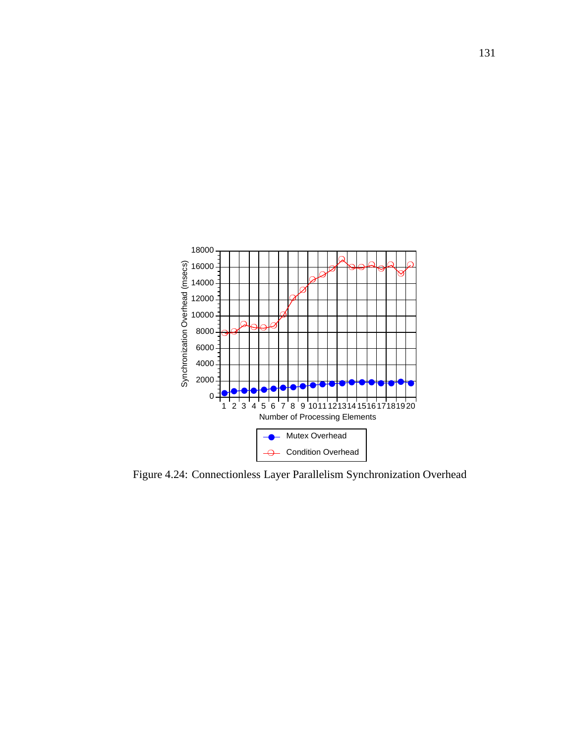

Figure 4.24: Connectionless Layer Parallelism Synchronization Overhead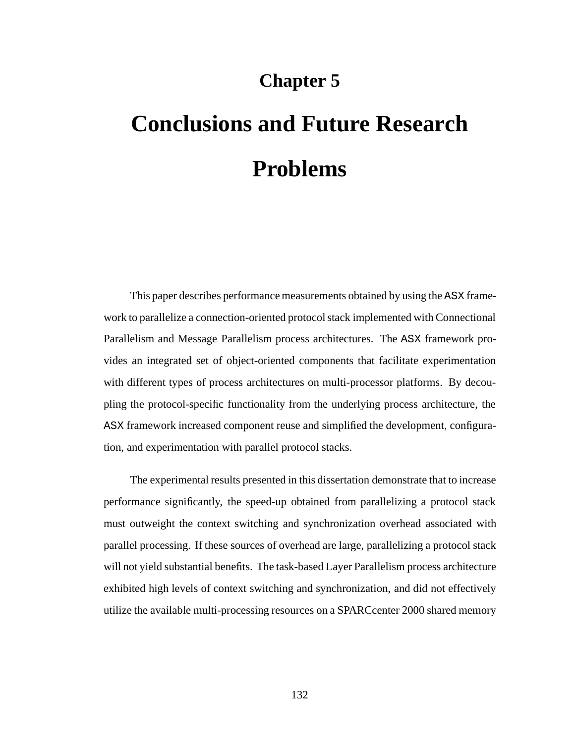## **Chapter 5**

## **Conclusions and Future Research Problems**

This paper describes performance measurements obtained by using the ASX framework to parallelize a connection-oriented protocol stack implemented with Connectional Parallelism and Message Parallelism process architectures. The ASX framework provides an integrated set of object-oriented components that facilitate experimentation with different types of process architectures on multi-processor platforms. By decoupling the protocol-specific functionality from the underlying process architecture, the ASX framework increased component reuse and simplified the development, configuration, and experimentation with parallel protocol stacks.

The experimental results presented in this dissertation demonstrate that to increase performance significantly, the speed-up obtained from parallelizing a protocol stack must outweight the context switching and synchronization overhead associated with parallel processing. If these sources of overhead are large, parallelizing a protocol stack will not yield substantial benefits. The task-based Layer Parallelism process architecture exhibited high levels of context switching and synchronization, and did not effectively utilize the available multi-processing resources on a SPARCcenter 2000 shared memory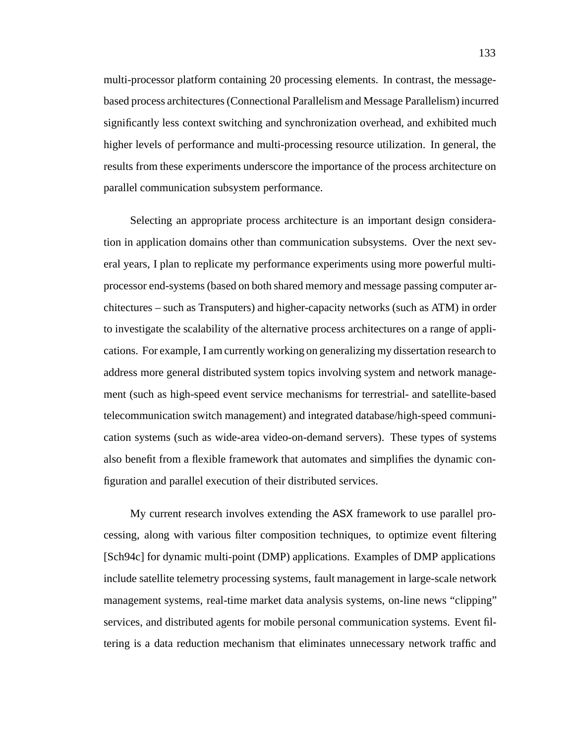multi-processor platform containing 20 processing elements. In contrast, the messagebased process architectures (Connectional Parallelism and Message Parallelism) incurred significantly less context switching and synchronization overhead, and exhibited much higher levels of performance and multi-processing resource utilization. In general, the results from these experiments underscore the importance of the process architecture on parallel communication subsystem performance.

Selecting an appropriate process architecture is an important design consideration in application domains other than communication subsystems. Over the next several years, I plan to replicate my performance experiments using more powerful multiprocessor end-systems (based on both shared memory and message passing computer architectures – such as Transputers) and higher-capacity networks (such as ATM) in order to investigate the scalability of the alternative process architectures on a range of applications. For example, I am currently working on generalizing my dissertation research to address more general distributed system topics involving system and network management (such as high-speed event service mechanisms for terrestrial- and satellite-based telecommunication switch management) and integrated database/high-speed communication systems (such as wide-area video-on-demand servers). These types of systems also benefit from a flexible framework that automates and simplifies the dynamic configuration and parallel execution of their distributed services.

My current research involves extending the ASX framework to use parallel processing, along with various filter composition techniques, to optimize event filtering [Sch94c] for dynamic multi-point (DMP) applications. Examples of DMP applications include satellite telemetry processing systems, fault management in large-scale network management systems, real-time market data analysis systems, on-line news "clipping" services, and distributed agents for mobile personal communication systems. Event filtering is a data reduction mechanism that eliminates unnecessary network traffic and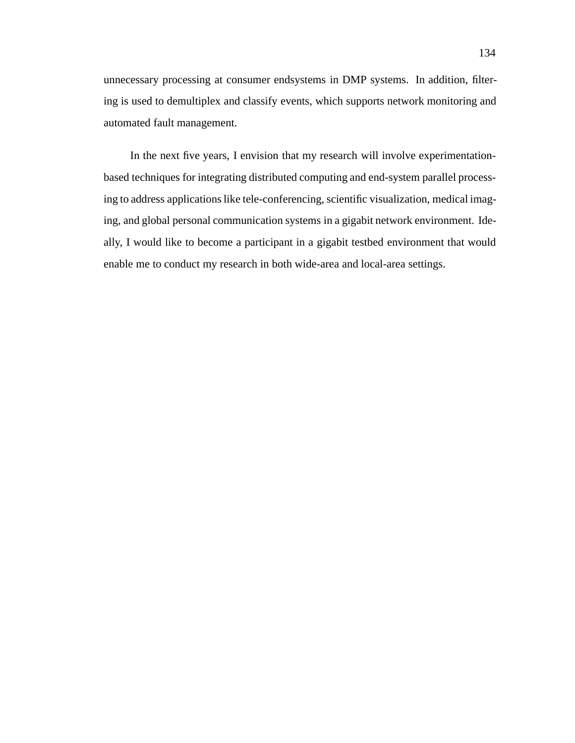unnecessary processing at consumer endsystems in DMP systems. In addition, filtering is used to demultiplex and classify events, which supports network monitoring and automated fault management.

In the next five years, I envision that my research will involve experimentationbased techniques for integrating distributed computing and end-system parallel processing to address applications like tele-conferencing, scientific visualization, medical imaging, and global personal communication systems in a gigabit network environment. Ideally, I would like to become a participant in a gigabit testbed environment that would enable me to conduct my research in both wide-area and local-area settings.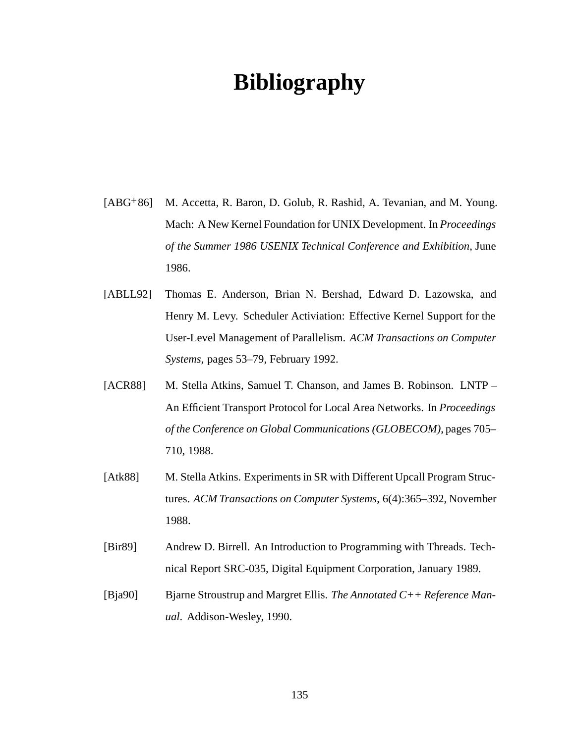## **Bibliography**

- $[ABG+86]$ M. Accetta, R. Baron, D. Golub, R. Rashid, A. Tevanian, and M. Young. Mach: A New Kernel Foundation for UNIX Development. In *Proceedings of the Summer 1986 USENIX Technical Conference and Exhibition*, June 1986.
- [ABLL92] Thomas E. Anderson, Brian N. Bershad, Edward D. Lazowska, and Henry M. Levy. Scheduler Activiation: Effective Kernel Support for the User-Level Management of Parallelism. *ACM Transactions on Computer Systems*, pages 53–79, February 1992.
- [ACR88] M. Stella Atkins, Samuel T. Chanson, and James B. Robinson. LNTP An Efficient Transport Protocol for Local Area Networks. In *Proceedings of the Conference on Global Communications (GLOBECOM)*, pages 705– 710, 1988.
- [Atk88] M. Stella Atkins. Experiments in SR with Different Upcall Program Structures. *ACM Transactions on Computer Systems*, 6(4):365–392, November 1988.
- [Bir89] Andrew D. Birrell. An Introduction to Programming with Threads. Technical Report SRC-035, Digital Equipment Corporation, January 1989.
- [Bja90] Bjarne Stroustrup and Margret Ellis. *The Annotated C++ Reference Manual*. Addison-Wesley, 1990.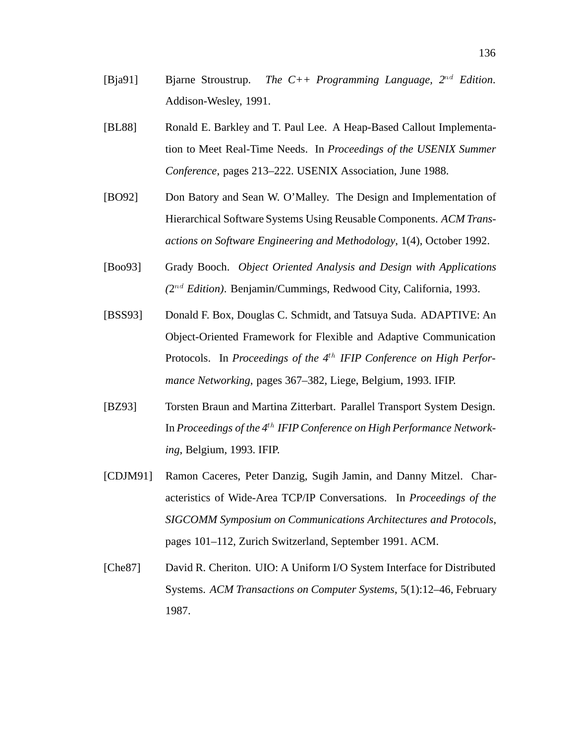- [Bja91] Bjarne Stroustrup. *The C++ Programming Language, 2*nd *Edition*. Addison-Wesley, 1991.
- [BL88] Ronald E. Barkley and T. Paul Lee. A Heap-Based Callout Implementation to Meet Real-Time Needs. In *Proceedings of the USENIX Summer Conference*, pages 213–222. USENIX Association, June 1988.
- [BO92] Don Batory and Sean W. O'Malley. The Design and Implementation of Hierarchical Software Systems Using Reusable Components. *ACM Transactions on Software Engineering and Methodology*, 1(4), October 1992.
- [Boo93] Grady Booch. *Object Oriented Analysis and Design with Applications (*2nd *Edition)*. Benjamin/Cummings, Redwood City, California, 1993.
- [BSS93] Donald F. Box, Douglas C. Schmidt, and Tatsuya Suda. ADAPTIVE: An Object-Oriented Framework for Flexible and Adaptive Communication Protocols. In *Proceedings of the 4*th *IFIP Conference on High Performance Networking*, pages 367–382, Liege, Belgium, 1993. IFIP.
- [BZ93] Torsten Braun and Martina Zitterbart. Parallel Transport System Design. In *Proceedings of the 4*th *IFIP Conference on High Performance Networking*, Belgium, 1993. IFIP.
- [CDJM91] Ramon Caceres, Peter Danzig, Sugih Jamin, and Danny Mitzel. Characteristics of Wide-Area TCP/IP Conversations. In *Proceedings of the SIGCOMM Symposium on Communications Architectures and Protocols*, pages 101–112, Zurich Switzerland, September 1991. ACM.
- [Che87] David R. Cheriton. UIO: A Uniform I/O System Interface for Distributed Systems. *ACM Transactions on Computer Systems*, 5(1):12–46, February 1987.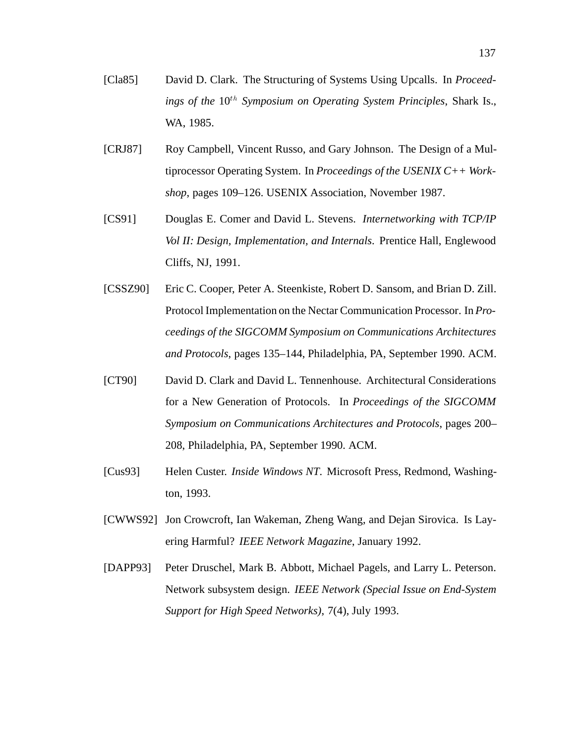- [Cla85] David D. Clark. The Structuring of Systems Using Upcalls. In *Proceed*ings of the 10<sup>th</sup> Symposium on Operating System Principles, Shark Is., WA, 1985.
- [CRJ87] Roy Campbell, Vincent Russo, and Gary Johnson. The Design of a Multiprocessor Operating System. In *Proceedings of the USENIX C++ Workshop*, pages 109–126. USENIX Association, November 1987.
- [CS91] Douglas E. Comer and David L. Stevens. *Internetworking with TCP/IP Vol II: Design, Implementation, and Internals*. Prentice Hall, Englewood Cliffs, NJ, 1991.
- [CSSZ90] Eric C. Cooper, Peter A. Steenkiste, Robert D. Sansom, and Brian D. Zill. Protocol Implementation on the Nectar Communication Processor. In *Proceedings of the SIGCOMM Symposium on Communications Architectures and Protocols*, pages 135–144, Philadelphia, PA, September 1990. ACM.
- [CT90] David D. Clark and David L. Tennenhouse. Architectural Considerations for a New Generation of Protocols. In *Proceedings of the SIGCOMM Symposium on Communications Architectures and Protocols*, pages 200– 208, Philadelphia, PA, September 1990. ACM.
- [Cus93] Helen Custer. *Inside Windows NT*. Microsoft Press, Redmond, Washington, 1993.
- [CWWS92] Jon Crowcroft, Ian Wakeman, Zheng Wang, and Dejan Sirovica. Is Layering Harmful? *IEEE Network Magazine*, January 1992.
- [DAPP93] Peter Druschel, Mark B. Abbott, Michael Pagels, and Larry L. Peterson. Network subsystem design. *IEEE Network (Special Issue on End-System Support for High Speed Networks)*, 7(4), July 1993.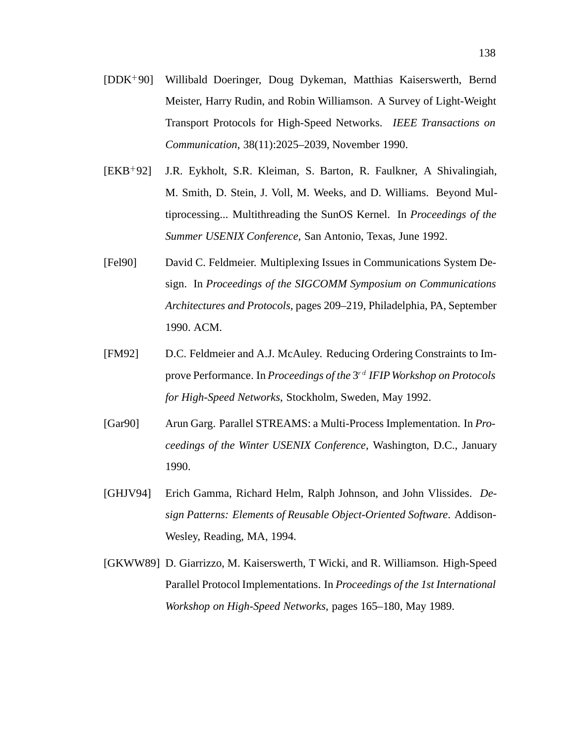- $[DDK+90]$ 90] Willibald Doeringer, Doug Dykeman, Matthias Kaiserswerth, Bernd Meister, Harry Rudin, and Robin Williamson. A Survey of Light-Weight Transport Protocols for High-Speed Networks. *IEEE Transactions on Communication*, 38(11):2025–2039, November 1990.
- $[EKB+92]$ J.R. Eykholt, S.R. Kleiman, S. Barton, R. Faulkner, A Shivalingiah, M. Smith, D. Stein, J. Voll, M. Weeks, and D. Williams. Beyond Multiprocessing... Multithreading the SunOS Kernel. In *Proceedings of the Summer USENIX Conference*, San Antonio, Texas, June 1992.
- [Fel90] David C. Feldmeier. Multiplexing Issues in Communications System Design. In *Proceedings of the SIGCOMM Symposium on Communications Architectures and Protocols*, pages 209–219, Philadelphia, PA, September 1990. ACM.
- [FM92] D.C. Feldmeier and A.J. McAuley. Reducing Ordering Constraints to Improve Performance. In *Proceedings of the* 3<sup>rd</sup> *IFIP Workshop on Protocols for High-Speed Networks*, Stockholm, Sweden, May 1992.
- [Gar90] Arun Garg. Parallel STREAMS: a Multi-Process Implementation. In *Proceedings of the Winter USENIX Conference*, Washington, D.C., January 1990.
- [GHJV94] Erich Gamma, Richard Helm, Ralph Johnson, and John Vlissides. *Design Patterns: Elements of Reusable Object-Oriented Software*. Addison-Wesley, Reading, MA, 1994.
- [GKWW89] D. Giarrizzo, M. Kaiserswerth, T Wicki, and R. Williamson. High-Speed Parallel Protocol Implementations. In *Proceedings of the 1st International Workshop on High-Speed Networks*, pages 165–180, May 1989.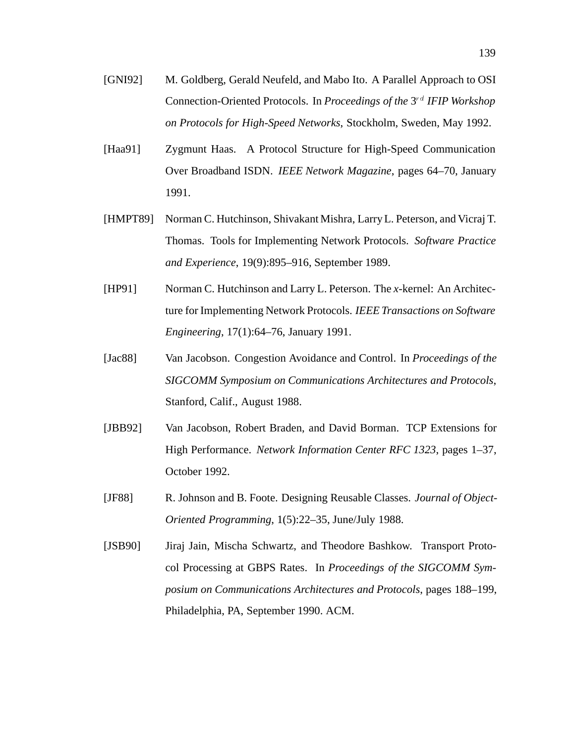- [GNI92] M. Goldberg, Gerald Neufeld, and Mabo Ito. A Parallel Approach to OSI Connection-Oriented Protocols. In *Proceedings of the* 3<sup>rd</sup> *IFIP Workshop on Protocols for High-Speed Networks*, Stockholm, Sweden, May 1992.
- [Haa91] Zygmunt Haas. A Protocol Structure for High-Speed Communication Over Broadband ISDN. *IEEE Network Magazine*, pages 64–70, January 1991.
- [HMPT89] Norman C. Hutchinson, Shivakant Mishra, Larry L. Peterson, and Vicraj T. Thomas. Tools for Implementing Network Protocols. *Software Practice and Experience*, 19(9):895–916, September 1989.
- [HP91] Norman C. Hutchinson and Larry L. Peterson. The *x*-kernel: An Architecture for Implementing Network Protocols. *IEEE Transactions on Software Engineering*, 17(1):64–76, January 1991.
- [Jac88] Van Jacobson. Congestion Avoidance and Control. In *Proceedings of the SIGCOMM Symposium on Communications Architectures and Protocols*, Stanford, Calif., August 1988.
- [JBB92] Van Jacobson, Robert Braden, and David Borman. TCP Extensions for High Performance. *Network Information Center RFC 1323*, pages 1–37, October 1992.
- [JF88] R. Johnson and B. Foote. Designing Reusable Classes. *Journal of Object-Oriented Programming*, 1(5):22–35, June/July 1988.
- [JSB90] Jiraj Jain, Mischa Schwartz, and Theodore Bashkow. Transport Protocol Processing at GBPS Rates. In *Proceedings of the SIGCOMM Symposium on Communications Architectures and Protocols*, pages 188–199, Philadelphia, PA, September 1990. ACM.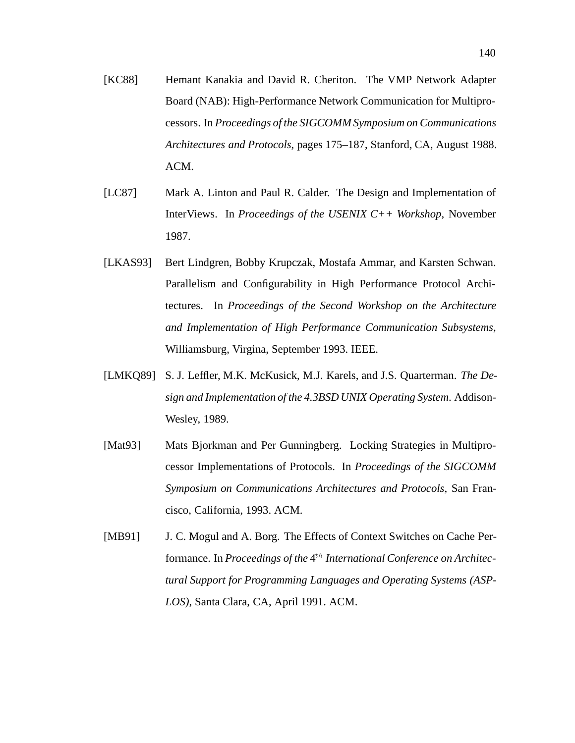- [KC88] Hemant Kanakia and David R. Cheriton. The VMP Network Adapter Board (NAB): High-Performance Network Communication for Multiprocessors. In *Proceedings of the SIGCOMM Symposium on Communications Architectures and Protocols*, pages 175–187, Stanford, CA, August 1988. ACM.
- [LC87] Mark A. Linton and Paul R. Calder. The Design and Implementation of InterViews. In *Proceedings of the USENIX C++ Workshop*, November 1987.
- [LKAS93] Bert Lindgren, Bobby Krupczak, Mostafa Ammar, and Karsten Schwan. Parallelism and Configurability in High Performance Protocol Architectures. In *Proceedings of the Second Workshop on the Architecture and Implementation of High Performance Communication Subsystems*, Williamsburg, Virgina, September 1993. IEEE.
- [LMKQ89] S. J. Leffler, M.K. McKusick, M.J. Karels, and J.S. Quarterman. *The Design and Implementation of the 4.3BSD UNIX Operating System*. Addison-Wesley, 1989.
- [Mat93] Mats Bjorkman and Per Gunningberg. Locking Strategies in Multiprocessor Implementations of Protocols. In *Proceedings of the SIGCOMM Symposium on Communications Architectures and Protocols*, San Francisco, California, 1993. ACM.
- [MB91] J. C. Mogul and A. Borg. The Effects of Context Switches on Cache Performance. In *Proceedings of the* 4th *International Conference on Architectural Support for Programming Languages and Operating Systems (ASP-LOS)*, Santa Clara, CA, April 1991. ACM.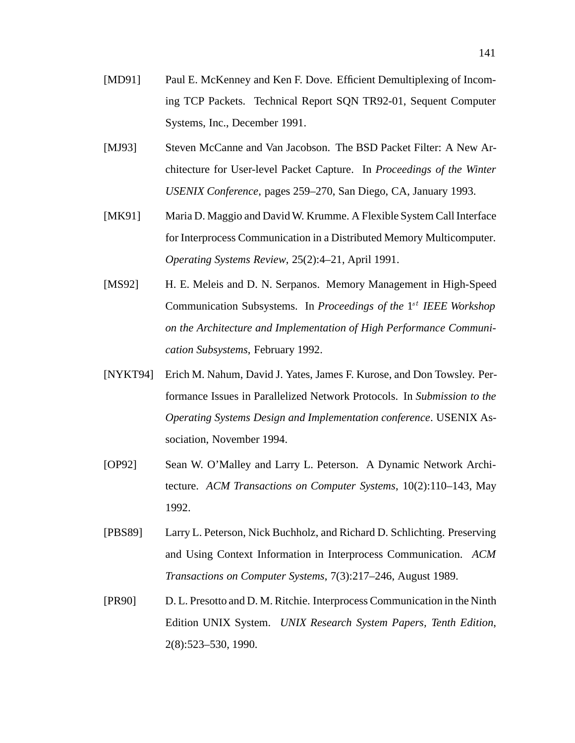- [MD91] Paul E. McKenney and Ken F. Dove. Efficient Demultiplexing of Incoming TCP Packets. Technical Report SQN TR92-01, Sequent Computer Systems, Inc., December 1991.
- [MJ93] Steven McCanne and Van Jacobson. The BSD Packet Filter: A New Architecture for User-level Packet Capture. In *Proceedings of the Winter USENIX Conference*, pages 259–270, San Diego, CA, January 1993.
- [MK91] Maria D. Maggio and David W. Krumme. A Flexible System Call Interface for Interprocess Communication in a Distributed Memory Multicomputer. *Operating Systems Review*, 25(2):4–21, April 1991.
- [MS92] H. E. Meleis and D. N. Serpanos. Memory Management in High-Speed Communication Subsystems. In *Proceedings of the* 1<sup>st</sup> *IEEE Workshop on the Architecture and Implementation of High Performance Communication Subsystems*, February 1992.
- [NYKT94] Erich M. Nahum, David J. Yates, James F. Kurose, and Don Towsley. Performance Issues in Parallelized Network Protocols. In *Submission to the Operating Systems Design and Implementation conference*. USENIX Association, November 1994.
- [OP92] Sean W. O'Malley and Larry L. Peterson. A Dynamic Network Architecture. *ACM Transactions on Computer Systems*, 10(2):110–143, May 1992.
- [PBS89] Larry L. Peterson, Nick Buchholz, and Richard D. Schlichting. Preserving and Using Context Information in Interprocess Communication. *ACM Transactions on Computer Systems*, 7(3):217–246, August 1989.
- [PR90] D. L. Presotto and D. M. Ritchie. Interprocess Communication in the Ninth Edition UNIX System. *UNIX Research System Papers, Tenth Edition*, 2(8):523–530, 1990.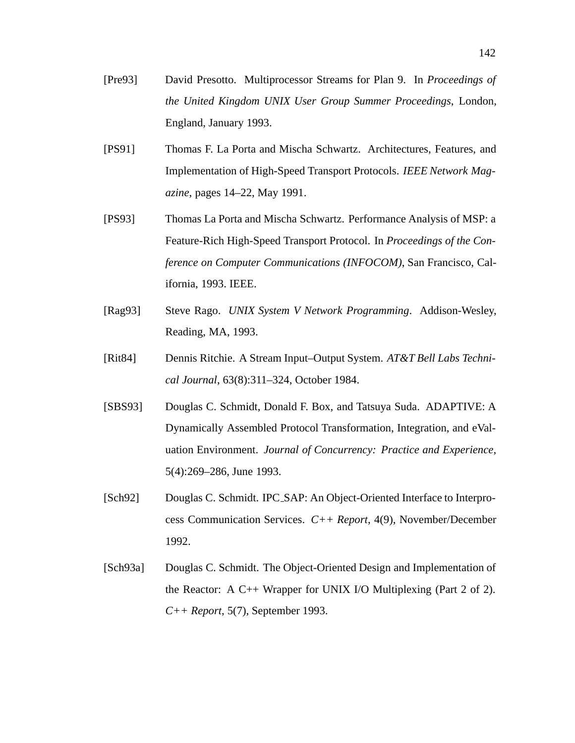- [Pre93] David Presotto. Multiprocessor Streams for Plan 9. In *Proceedings of the United Kingdom UNIX User Group Summer Proceedings*, London, England, January 1993.
- [PS91] Thomas F. La Porta and Mischa Schwartz. Architectures, Features, and Implementation of High-Speed Transport Protocols. *IEEE Network Magazine*, pages 14–22, May 1991.
- [PS93] Thomas La Porta and Mischa Schwartz. Performance Analysis of MSP: a Feature-Rich High-Speed Transport Protocol. In *Proceedings of the Conference on Computer Communications (INFOCOM)*, San Francisco, California, 1993. IEEE.
- [Rag93] Steve Rago. *UNIX System V Network Programming*. Addison-Wesley, Reading, MA, 1993.
- [Rit84] Dennis Ritchie. A Stream Input–Output System. *AT&T Bell Labs Technical Journal*, 63(8):311–324, October 1984.
- [SBS93] Douglas C. Schmidt, Donald F. Box, and Tatsuya Suda. ADAPTIVE: A Dynamically Assembled Protocol Transformation, Integration, and eValuation Environment. *Journal of Concurrency: Practice and Experience*, 5(4):269–286, June 1993.
- [Sch92] Douglas C. Schmidt. IPC SAP: An Object-Oriented Interface to Interprocess Communication Services. *C++ Report*, 4(9), November/December 1992.
- [Sch93a] Douglas C. Schmidt. The Object-Oriented Design and Implementation of the Reactor: A C++ Wrapper for UNIX I/O Multiplexing (Part 2 of 2). *C++ Report*, 5(7), September 1993.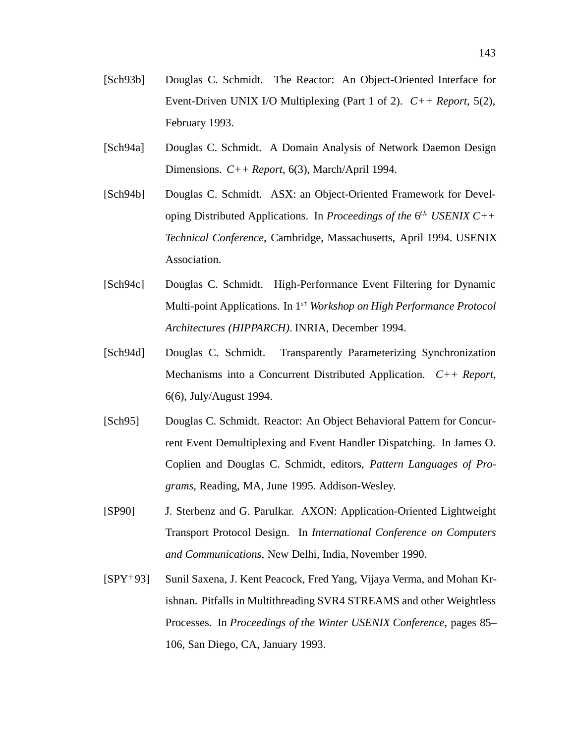- [Sch93b] Douglas C. Schmidt. The Reactor: An Object-Oriented Interface for Event-Driven UNIX I/O Multiplexing (Part 1 of 2). *C++ Report*, 5(2), February 1993.
- [Sch94a] Douglas C. Schmidt. A Domain Analysis of Network Daemon Design Dimensions. *C++ Report*, 6(3), March/April 1994.
- [Sch94b] Douglas C. Schmidt. ASX: an Object-Oriented Framework for Developing Distributed Applications. In *Proceedings of the* 6<sup>th</sup> USENIX C++ *Technical Conference*, Cambridge, Massachusetts, April 1994. USENIX Association.
- [Sch94c] Douglas C. Schmidt. High-Performance Event Filtering for Dynamic Multi-point Applications. In 1st *Workshop on High Performance Protocol Architectures (HIPPARCH)*. INRIA, December 1994.
- [Sch94d] Douglas C. Schmidt. Transparently Parameterizing Synchronization Mechanisms into a Concurrent Distributed Application. *C++ Report*, 6(6), July/August 1994.
- [Sch95] Douglas C. Schmidt. Reactor: An Object Behavioral Pattern for Concurrent Event Demultiplexing and Event Handler Dispatching. In James O. Coplien and Douglas C. Schmidt, editors, *Pattern Languages of Programs*, Reading, MA, June 1995. Addison-Wesley.
- [SP90] J. Sterbenz and G. Parulkar. AXON: Application-Oriented Lightweight Transport Protocol Design. In *International Conference on Computers and Communications*, New Delhi, India, November 1990.
- $[SPY+93]$ Sunil Saxena, J. Kent Peacock, Fred Yang, Vijaya Verma, and Mohan Krishnan. Pitfalls in Multithreading SVR4 STREAMS and other Weightless Processes. In *Proceedings of the Winter USENIX Conference*, pages 85– 106, San Diego, CA, January 1993.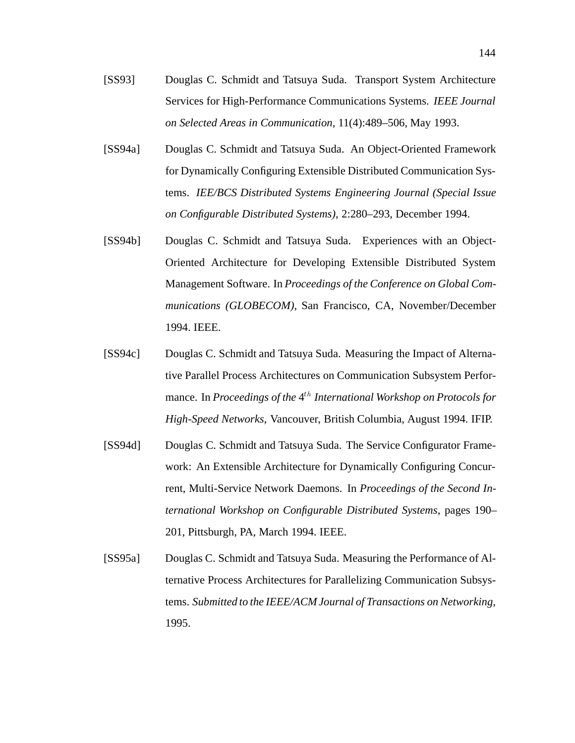- [SS93] Douglas C. Schmidt and Tatsuya Suda. Transport System Architecture Services for High-Performance Communications Systems. *IEEE Journal on Selected Areas in Communication*, 11(4):489–506, May 1993.
- [SS94a] Douglas C. Schmidt and Tatsuya Suda. An Object-Oriented Framework for Dynamically Configuring Extensible Distributed Communication Systems. *IEE/BCS Distributed Systems Engineering Journal (Special Issue on Configurable Distributed Systems)*, 2:280–293, December 1994.
- [SS94b] Douglas C. Schmidt and Tatsuya Suda. Experiences with an Object-Oriented Architecture for Developing Extensible Distributed System Management Software. In *Proceedings of the Conference on Global Communications (GLOBECOM)*, San Francisco, CA, November/December 1994. IEEE.
- [SS94c] Douglas C. Schmidt and Tatsuya Suda. Measuring the Impact of Alternative Parallel Process Architectures on Communication Subsystem Performance. In *Proceedings of the* 4<sup>th</sup> *International Workshop on Protocols for High-Speed Networks*, Vancouver, British Columbia, August 1994. IFIP.
- [SS94d] Douglas C. Schmidt and Tatsuya Suda. The Service Configurator Framework: An Extensible Architecture for Dynamically Configuring Concurrent, Multi-Service Network Daemons. In *Proceedings of the Second International Workshop on Configurable Distributed Systems*, pages 190– 201, Pittsburgh, PA, March 1994. IEEE.
- [SS95a] Douglas C. Schmidt and Tatsuya Suda. Measuring the Performance of Alternative Process Architectures for Parallelizing Communication Subsystems. *Submitted to the IEEE/ACM Journal of Transactions on Networking*, 1995.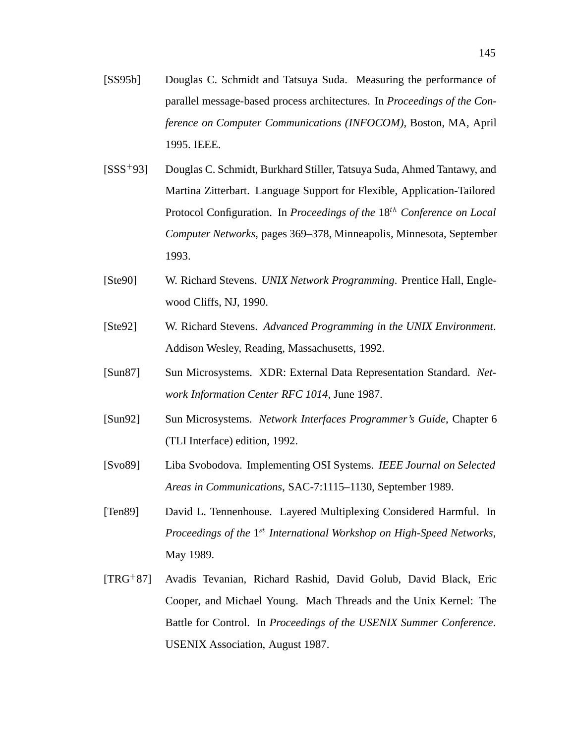- [SS95b] Douglas C. Schmidt and Tatsuya Suda. Measuring the performance of parallel message-based process architectures. In *Proceedings of the Conference on Computer Communications (INFOCOM)*, Boston, MA, April 1995. IEEE.
- $[SSS^+93]$ 93] Douglas C. Schmidt, Burkhard Stiller, Tatsuya Suda, Ahmed Tantawy, and Martina Zitterbart. Language Support for Flexible, Application-Tailored Protocol Configuration. In *Proceedings of the* 18<sup>th</sup> Conference on Local *Computer Networks*, pages 369–378, Minneapolis, Minnesota, September 1993.
- [Ste90] W. Richard Stevens. *UNIX Network Programming*. Prentice Hall, Englewood Cliffs, NJ, 1990.
- [Ste92] W. Richard Stevens. *Advanced Programming in the UNIX Environment*. Addison Wesley, Reading, Massachusetts, 1992.
- [Sun87] Sun Microsystems. XDR: External Data Representation Standard. *Network Information Center RFC 1014*, June 1987.
- [Sun92] Sun Microsystems. *Network Interfaces Programmer's Guide*, Chapter 6 (TLI Interface) edition, 1992.
- [Svo89] Liba Svobodova. Implementing OSI Systems. *IEEE Journal on Selected Areas in Communications*, SAC-7:1115–1130, September 1989.
- [Ten89] David L. Tennenhouse. Layered Multiplexing Considered Harmful. In *Proceedings of the* 1<sup>st</sup> *International Workshop on High-Speed Networks*, May 1989.
- $TRG+87$ 87] Avadis Tevanian, Richard Rashid, David Golub, David Black, Eric Cooper, and Michael Young. Mach Threads and the Unix Kernel: The Battle for Control. In *Proceedings of the USENIX Summer Conference*. USENIX Association, August 1987.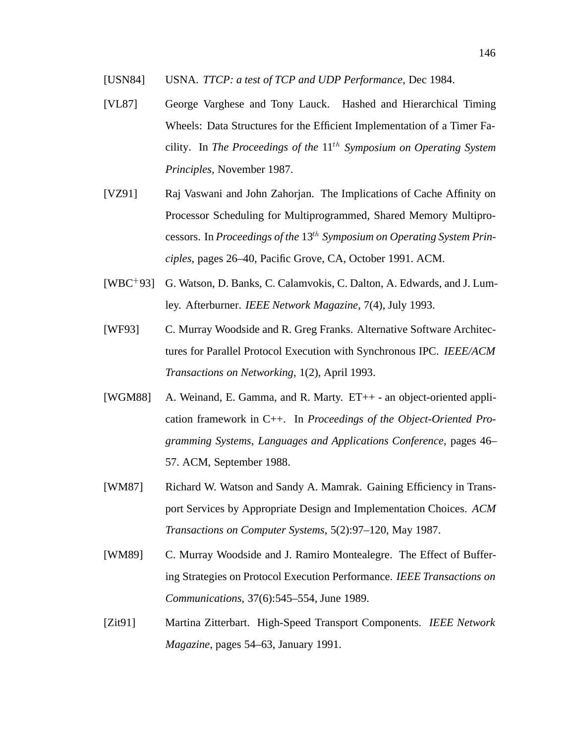- [VL87] George Varghese and Tony Lauck. Hashed and Hierarchical Timing Wheels: Data Structures for the Efficient Implementation of a Timer Facility. In *The Proceedings of the* 11th *Symposium on Operating System Principles*, November 1987.
- [VZ91] Raj Vaswani and John Zahorjan. The Implications of Cache Affinity on Processor Scheduling for Multiprogrammed, Shared Memory Multiprocessors. In *Proceedings of the* 13th *Symposium on Operating System Principles*, pages 26–40, Pacific Grove, CA, October 1991. ACM.
- [WBC<sup>+</sup> 93] G. Watson, D. Banks, C. Calamvokis, C. Dalton, A. Edwards, and J. Lumley. Afterburner. *IEEE Network Magazine*, 7(4), July 1993.
- [WF93] C. Murray Woodside and R. Greg Franks. Alternative Software Architectures for Parallel Protocol Execution with Synchronous IPC. *IEEE/ACM Transactions on Networking*, 1(2), April 1993.
- [WGM88] A. Weinand, E. Gamma, and R. Marty. ET++ an object-oriented application framework in C++. In *Proceedings of the Object-Oriented Programming Systems, Languages and Applications Conference*, pages 46– 57. ACM, September 1988.
- [WM87] Richard W. Watson and Sandy A. Mamrak. Gaining Efficiency in Transport Services by Appropriate Design and Implementation Choices. *ACM Transactions on Computer Systems*, 5(2):97–120, May 1987.
- [WM89] C. Murray Woodside and J. Ramiro Montealegre. The Effect of Buffering Strategies on Protocol Execution Performance. *IEEE Transactions on Communications*, 37(6):545–554, June 1989.
- [Zit91] Martina Zitterbart. High-Speed Transport Components. *IEEE Network Magazine*, pages 54–63, January 1991.

<sup>[</sup>USN84] USNA. *TTCP: a test of TCP and UDP Performance*, Dec 1984.